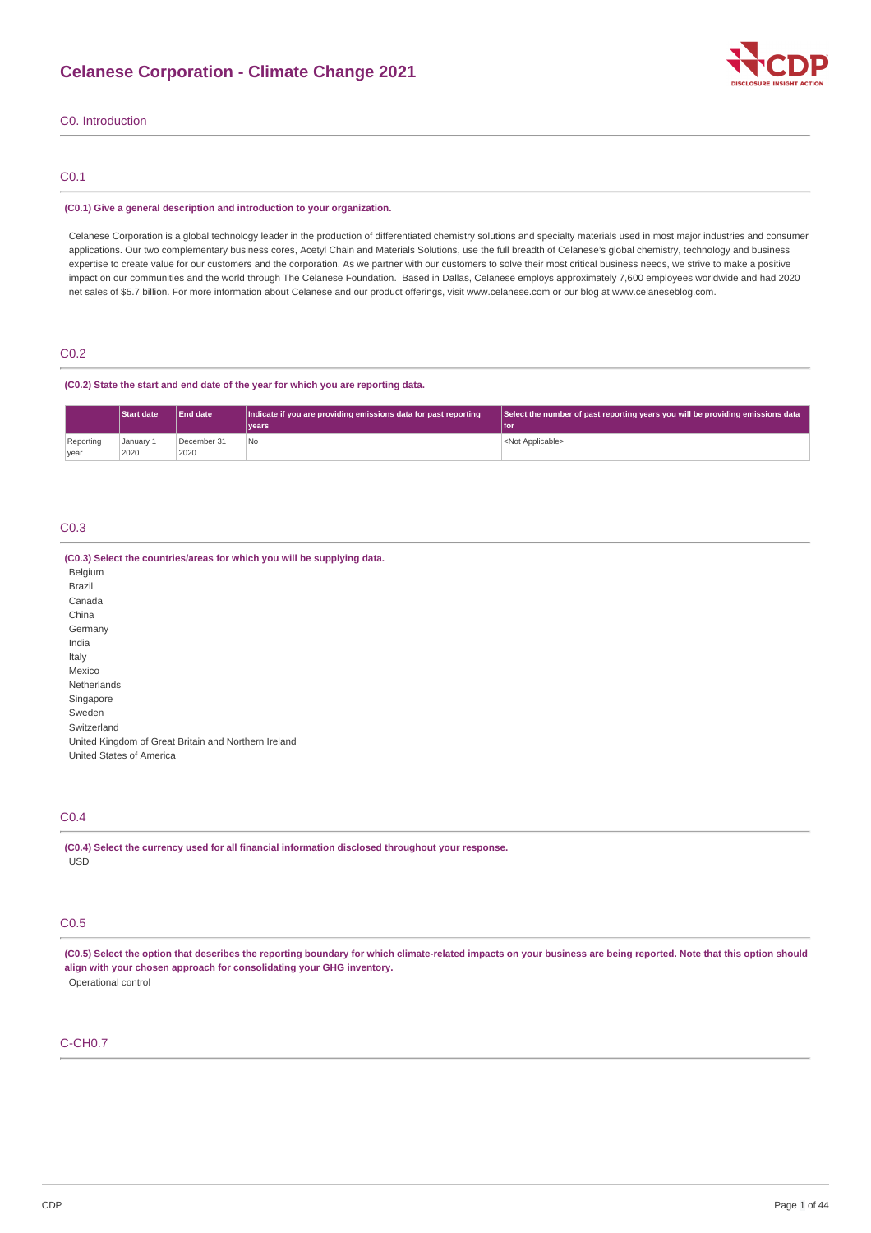

### C0. Introduction

### C0.1

#### **(C0.1) Give a general description and introduction to your organization.**

Celanese Corporation is a global technology leader in the production of differentiated chemistry solutions and specialty materials used in most major industries and consumer applications. Our two complementary business cores, Acetyl Chain and Materials Solutions, use the full breadth of Celanese's global chemistry, technology and business expertise to create value for our customers and the corporation. As we partner with our customers to solve their most critical business needs, we strive to make a positive impact on our communities and the world through The Celanese Foundation. Based in Dallas, Celanese employs approximately 7,600 employees worldwide and had 2020 net sales of \$5.7 billion. For more information about Celanese and our product offerings, visit www.celanese.com or our blog at www.celaneseblog.com.

### C0.2

### **(C0.2) State the start and end date of the year for which you are reporting data.**

|                   | <b>Start date</b> | <b>LEnd date</b>    | Indicate if you are providing emissions data for past reporting<br>vears <sup>®</sup> | Select the number of past reporting years you will be providing emissions data<br>'l for |
|-------------------|-------------------|---------------------|---------------------------------------------------------------------------------------|------------------------------------------------------------------------------------------|
| Reporting<br>year | January 1<br>2020 | December 31<br>2020 | No.                                                                                   | <not applicable=""></not>                                                                |

### C0.3

| (C0.3) Select the countries/areas for which you will be supplying data. |
|-------------------------------------------------------------------------|
| Belgium                                                                 |
| Brazil                                                                  |
| Canada                                                                  |
| China                                                                   |
| Germany                                                                 |
| India                                                                   |
| Italy                                                                   |
| Mexico                                                                  |
| <b>Netherlands</b>                                                      |
| Singapore                                                               |
| Sweden                                                                  |
| Switzerland                                                             |
| United Kingdom of Great Britain and Northern Ireland                    |
| United States of America                                                |

# C0.4

**(C0.4) Select the currency used for all financial information disclosed throughout your response.** USD

# C0.5

(C0.5) Select the option that describes the reporting boundary for which climate-related impacts on your business are being reported. Note that this option should **align with your chosen approach for consolidating your GHG inventory.** Operational control

### C-CH0.7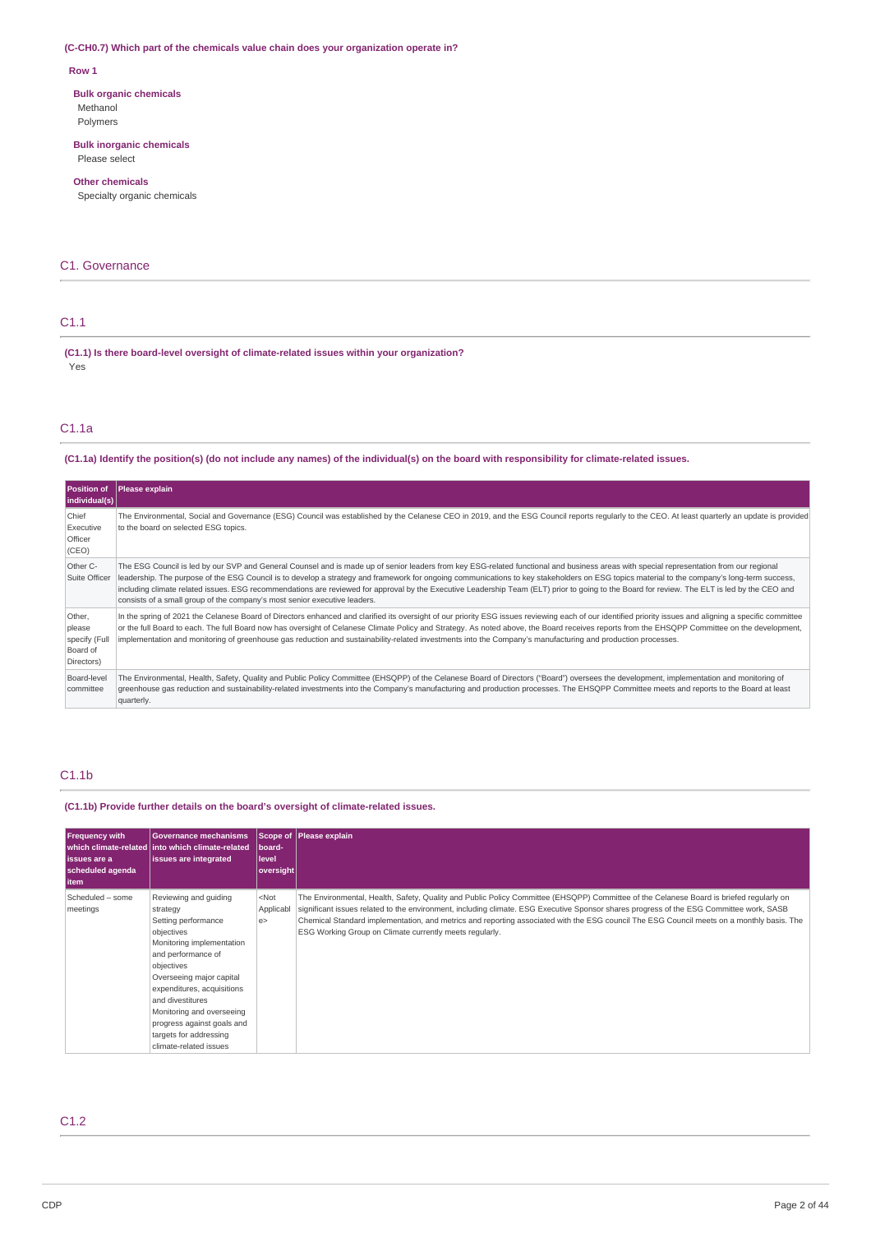### **(C-CH0.7) Which part of the chemicals value chain does your organization operate in?**

### **Row 1**

# **Bulk organic chemicals**

Methanol Polymers

# **Bulk inorganic chemicals**

Please select

### **Other chemicals**

Specialty organic chemicals

### C1. Governance

# C1.1

**(C1.1) Is there board-level oversight of climate-related issues within your organization?** Yes

# C1.1a

# (C1.1a) Identify the position(s) (do not include any names) of the individual(s) on the board with responsibility for climate-related issues.

| Position of<br> individual(s)                               | Please explain                                                                                                                                                                                                                                                                                                                                                                                                                                                                                                                                                                                                                                                      |
|-------------------------------------------------------------|---------------------------------------------------------------------------------------------------------------------------------------------------------------------------------------------------------------------------------------------------------------------------------------------------------------------------------------------------------------------------------------------------------------------------------------------------------------------------------------------------------------------------------------------------------------------------------------------------------------------------------------------------------------------|
| Chief<br>Executive<br>Officer<br>(CEO)                      | The Environmental, Social and Governance (ESG) Council was established by the Celanese CEO in 2019, and the ESG Council reports regularly to the CEO. At least quarterly an update is provided<br>to the board on selected ESG topics.                                                                                                                                                                                                                                                                                                                                                                                                                              |
| Other C-<br>Suite Officer                                   | The ESG Council is led by our SVP and General Counsel and is made up of senior leaders from key ESG-related functional and business areas with special representation from our regional<br>leadership. The purpose of the ESG Council is to develop a strategy and framework for ongoing communications to key stakeholders on ESG topics material to the company's long-term success,<br>including climate related issues. ESG recommendations are reviewed for approval by the Executive Leadership Team (ELT) prior to going to the Board for review. The ELT is led by the CEO and<br>consists of a small group of the company's most senior executive leaders. |
| Other,<br>please<br>specify (Full<br>Board of<br>Directors) | In the spring of 2021 the Celanese Board of Directors enhanced and clarified its oversight of our priority ESG issues reviewing each of our identified priority issues and aligning a specific committee<br>or the full Board to each. The full Board now has oversight of Celanese Climate Policy and Strategy. As noted above, the Board receives reports from the EHSQPP Committee on the development,<br>implementation and monitoring of greenhouse gas reduction and sustainability-related investments into the Company's manufacturing and production processes.                                                                                            |
| Board-level<br>committee                                    | The Environmental, Health, Safety, Quality and Public Policy Committee (EHSOPP) of the Celanese Board of Directors ("Board") oversees the development, implementation and monitoring of<br>greenhouse gas reduction and sustainability-related investments into the Company's manufacturing and production processes. The EHSOPP Committee meets and reports to the Board at least<br>quarterly.                                                                                                                                                                                                                                                                    |

# C1.1b

**(C1.1b) Provide further details on the board's oversight of climate-related issues.**

| <b>Frequency with</b><br>l issues are a<br>scheduled agenda<br>  item | <b>Governance mechanisms</b><br>which climate-related linto which climate-related<br><b>issues are integrated</b>                                                                                                                                                                                                                    | board-<br>l level<br> oversight | Scope of Please explain                                                                                                                                                                                                                                                                                                                                                                                                                                                                    |
|-----------------------------------------------------------------------|--------------------------------------------------------------------------------------------------------------------------------------------------------------------------------------------------------------------------------------------------------------------------------------------------------------------------------------|---------------------------------|--------------------------------------------------------------------------------------------------------------------------------------------------------------------------------------------------------------------------------------------------------------------------------------------------------------------------------------------------------------------------------------------------------------------------------------------------------------------------------------------|
| Scheduled - some<br>meetings                                          | Reviewing and quiding<br>strategy<br>Setting performance<br>objectives<br>Monitoring implementation<br>and performance of<br>objectives<br>Overseeing major capital<br>expenditures, acquisitions<br>and divestitures<br>Monitoring and overseeing<br>progress against goals and<br>targets for addressing<br>climate-related issues | $<$ Not<br>Applicabl<br>e >     | The Environmental, Health, Safety, Quality and Public Policy Committee (EHSQPP) Committee of the Celanese Board is briefed regularly on<br>significant issues related to the environment, including climate. ESG Executive Sponsor shares progress of the ESG Committee work, SASB<br>Chemical Standard implementation, and metrics and reporting associated with the ESG council The ESG Council meets on a monthly basis. The<br>ESG Working Group on Climate currently meets regularly. |

# C1.2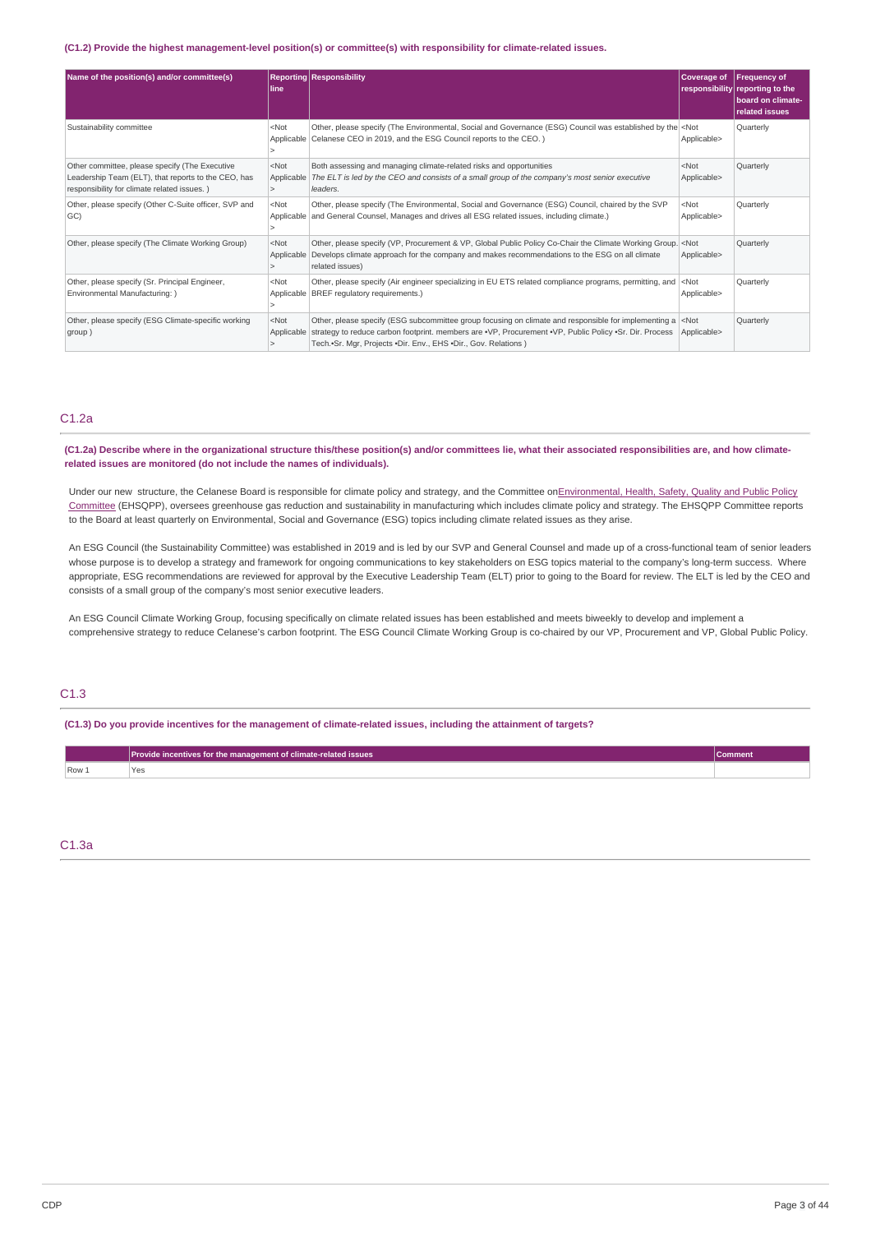#### **(C1.2) Provide the highest management-level position(s) or committee(s) with responsibility for climate-related issues.**

| Name of the position(s) and/or committee(s)                                                                                                          | line                  | <b>Reporting Responsibility</b>                                                                                                                                                                                                                                                                                    | <b>Coverage of</b>                  | <b>Frequency of</b><br>responsibility reporting to the<br><b>board on climate-</b><br>related issues |
|------------------------------------------------------------------------------------------------------------------------------------------------------|-----------------------|--------------------------------------------------------------------------------------------------------------------------------------------------------------------------------------------------------------------------------------------------------------------------------------------------------------------|-------------------------------------|------------------------------------------------------------------------------------------------------|
| Sustainability committee                                                                                                                             | $<$ Not               | Other, please specify (The Environmental, Social and Governance (ESG) Council was established by the <not<br>Applicable   Celanese CEO in 2019, and the ESG Council reports to the CEO.)</not<br>                                                                                                                  | Applicable>                         | Quarterly                                                                                            |
| Other committee, please specify (The Executive<br>Leadership Team (ELT), that reports to the CEO, has<br>responsibility for climate related issues.) | $<$ Not<br>Applicable | Both assessing and managing climate-related risks and opportunities<br>The ELT is led by the CEO and consists of a small group of the company's most senior executive<br>leaders.                                                                                                                                  | $<$ Not<br>Applicable>              | Quarterly                                                                                            |
| Other, please specify (Other C-Suite officer, SVP and<br>GC)                                                                                         | $<$ Not<br>Applicable | Other, please specify (The Environmental, Social and Governance (ESG) Council, chaired by the SVP<br>and General Counsel, Manages and drives all ESG related issues, including climate.)                                                                                                                           | $<$ Not<br>Applicable>              | Quarterly                                                                                            |
| Other, please specify (The Climate Working Group)                                                                                                    | $<$ Not<br>Applicable | Other, please specify (VP, Procurement & VP, Global Public Policy Co-Chair the Climate Working Group. < Not<br>Develops climate approach for the company and makes recommendations to the ESG on all climate<br>related issues)                                                                                    | Applicable>                         | Quarterly                                                                                            |
| Other, please specify (Sr. Principal Engineer,<br>Environmental Manufacturing: )                                                                     | $<$ Not               | Other, please specify (Air engineer specializing in EU ETS related compliance programs, permitting, and<br>Applicable   BREF regulatory requirements.)                                                                                                                                                             | $ $ <not<br>Applicable&gt;</not<br> | Quarterly                                                                                            |
| Other, please specify (ESG Climate-specific working<br>group)                                                                                        | $<$ Not               | Other, please specify (ESG subcommittee group focusing on climate and responsible for implementing a $\vert$ <not<br>Applicable strategy to reduce carbon footprint. members are •VP, Procurement •VP, Public Policy •Sr. Dir. Process<br/>Tech.•Sr. Mgr, Projects •Dir. Env., EHS •Dir., Gov. Relations)</not<br> | Applicable>                         | Quarterly                                                                                            |

### C1.2a

(C1.2a) Describe where in the organizational structure this/these position(s) and/or committees lie, what their associated responsibilities are, and how climate**related issues are monitored (do not include the names of individuals).**

Under our new structure, the Celanese Board is responsible for climate policy and strategy, and the Committee [onEnvironmental,](https://irpages2.eqs.com/download/companies/celanesecorp/CorporateGovernance/1001240228.pdf) Health, Safety, Quality and Public Policy Committee (EHSQPP), oversees greenhouse gas reduction and sustainability in manufacturing which includes climate policy and strategy. The EHSQPP Committee reports to the Board at least quarterly on Environmental, Social and Governance (ESG) topics including climate related issues as they arise.

An ESG Council (the Sustainability Committee) was established in 2019 and is led by our SVP and General Counsel and made up of a cross-functional team of senior leaders whose purpose is to develop a strategy and framework for ongoing communications to key stakeholders on ESG topics material to the company's long-term success. Where appropriate, ESG recommendations are reviewed for approval by the Executive Leadership Team (ELT) prior to going to the Board for review. The ELT is led by the CEO and consists of a small group of the company's most senior executive leaders.

An ESG Council Climate Working Group, focusing specifically on climate related issues has been established and meets biweekly to develop and implement a comprehensive strategy to reduce Celanese's carbon footprint. The ESG Council Climate Working Group is co-chaired by our VP, Procurement and VP, Global Public Policy.

### C1.3

(C1.3) Do you provide incentives for the management of climate-related issues, including the attainment of targets?

|               | Provide incentives for the management of climate-related issues | comment |
|---------------|-----------------------------------------------------------------|---------|
| $Row_{\perp}$ |                                                                 |         |

### C1.3a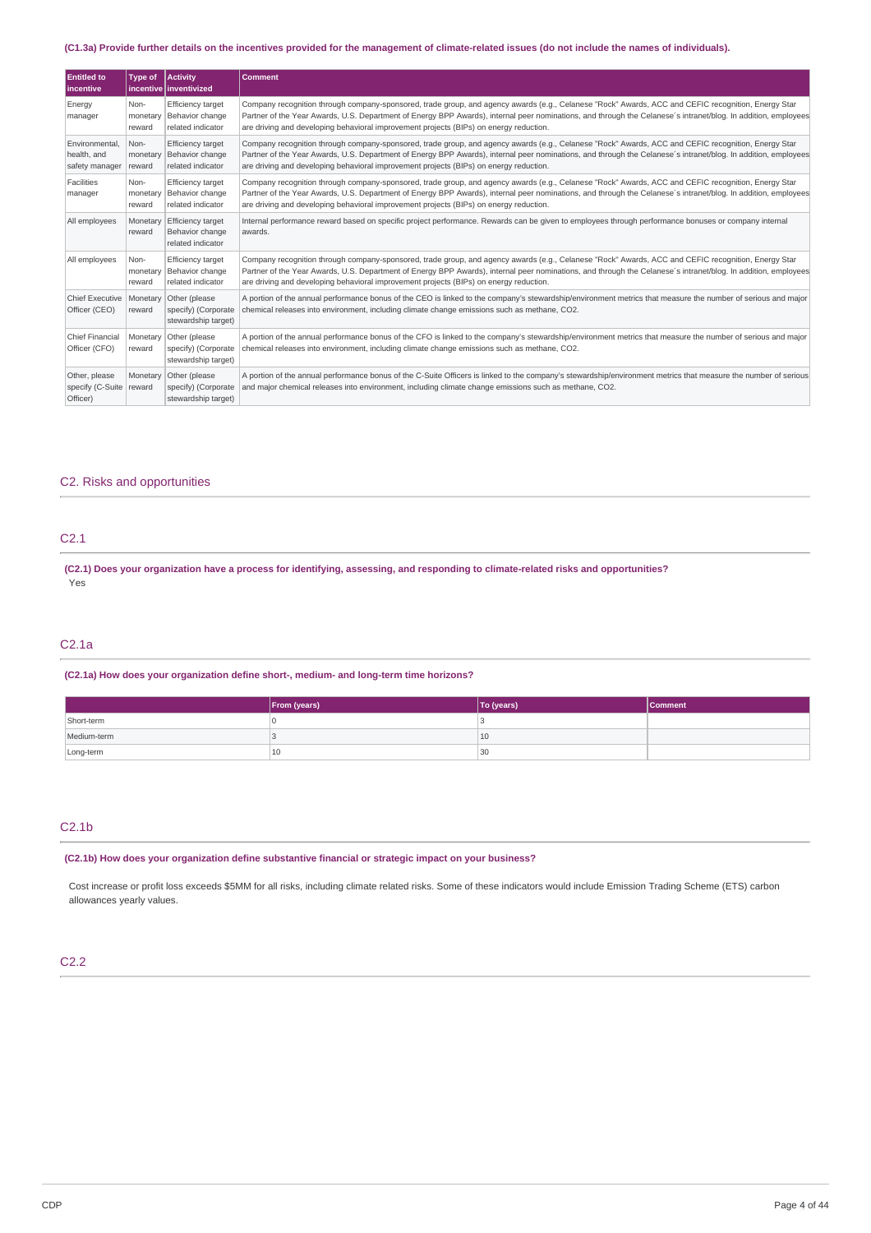### (C1.3a) Provide further details on the incentives provided for the management of climate-related issues (do not include the names of individuals).

| <b>Entitled to</b><br><b>lincentive</b>              | Type of                    | Activity<br>incentive   inventivized                             | <b>Comment</b>                                                                                                                                                                                                                                                                                                                                                                                                  |
|------------------------------------------------------|----------------------------|------------------------------------------------------------------|-----------------------------------------------------------------------------------------------------------------------------------------------------------------------------------------------------------------------------------------------------------------------------------------------------------------------------------------------------------------------------------------------------------------|
| Energy<br>manager                                    | Non-<br>monetary<br>reward | Efficiency target<br>Behavior change<br>related indicator        | Company recognition through company-sponsored, trade group, and agency awards (e.g., Celanese "Rock" Awards, ACC and CEFIC recognition, Energy Star<br>Partner of the Year Awards, U.S. Department of Energy BPP Awards), internal peer nominations, and through the Celanese's intranet/blog. In addition, employees<br>are driving and developing behavioral improvement projects (BIPs) on energy reduction. |
| Environmental.<br>health, and<br>safety manager      | Non-<br>monetary<br>reward | <b>Efficiency target</b><br>Behavior change<br>related indicator | Company recognition through company-sponsored, trade group, and agency awards (e.g., Celanese "Rock" Awards, ACC and CEFIC recognition, Energy Star<br>Partner of the Year Awards, U.S. Department of Energy BPP Awards), internal peer nominations, and through the Celanese's intranet/blog. In addition, employees<br>are driving and developing behavioral improvement projects (BIPs) on energy reduction. |
| Facilities<br>manager                                | Non-<br>monetary<br>reward | <b>Efficiency target</b><br>Behavior change<br>related indicator | Company recognition through company-sponsored, trade group, and agency awards (e.g., Celanese "Rock" Awards, ACC and CEFIC recognition, Energy Star<br>Partner of the Year Awards, U.S. Department of Energy BPP Awards), internal peer nominations, and through the Celanese's intranet/blog. In addition, employees<br>are driving and developing behavioral improvement projects (BIPs) on energy reduction. |
| All employees                                        | Monetary<br>reward         | Efficiency target<br>Behavior change<br>related indicator        | Internal performance reward based on specific project performance. Rewards can be given to employees through performance bonuses or company internal<br>awards.                                                                                                                                                                                                                                                 |
| All employees                                        | Non-<br>monetary<br>reward | <b>Efficiency target</b><br>Behavior change<br>related indicator | Company recognition through company-sponsored, trade group, and agency awards (e.g., Celanese "Rock" Awards, ACC and CEFIC recognition, Energy Star<br>Partner of the Year Awards, U.S. Department of Energy BPP Awards), internal peer nominations, and through the Celanese's intranet/blog. In addition, employees<br>are driving and developing behavioral improvement projects (BIPs) on energy reduction. |
| <b>Chief Executive</b><br>Officer (CEO)              | Monetary<br>reward         | Other (please<br>specify) (Corporate<br>stewardship target)      | A portion of the annual performance bonus of the CEO is linked to the company's stewardship/environment metrics that measure the number of serious and major<br>chemical releases into environment, including climate change emissions such as methane, CO2.                                                                                                                                                    |
| <b>Chief Financial</b><br>Officer (CFO)              | Monetary<br>reward         | Other (please<br>specify) (Corporate<br>stewardship target)      | A portion of the annual performance bonus of the CFO is linked to the company's stewardship/environment metrics that measure the number of serious and major<br>chemical releases into environment, including climate change emissions such as methane, CO2.                                                                                                                                                    |
| Other, please<br>specify (C-Suite reward<br>Officer) | Monetary                   | Other (please<br>specify) (Corporate<br>stewardship target)      | A portion of the annual performance bonus of the C-Suite Officers is linked to the company's stewardship/environment metrics that measure the number of serious<br>and major chemical releases into environment, including climate change emissions such as methane, CO2.                                                                                                                                       |

# C2. Risks and opportunities

# C2.1

(C2.1) Does your organization have a process for identifying, assessing, and responding to climate-related risks and opportunities? Yes

### C2.1a

### **(C2.1a) How does your organization define short-, medium- and long-term time horizons?**

|             | From (years) | To (years) | <b>Comment</b> |
|-------------|--------------|------------|----------------|
| Short-term  |              |            |                |
| Medium-term |              | 10         |                |
| Long-term   | 10           | 30         |                |

# C2.1b

**(C2.1b) How does your organization define substantive financial or strategic impact on your business?**

Cost increase or profit loss exceeds \$5MM for all risks, including climate related risks. Some of these indicators would include Emission Trading Scheme (ETS) carbon allowances yearly values.

### C2.2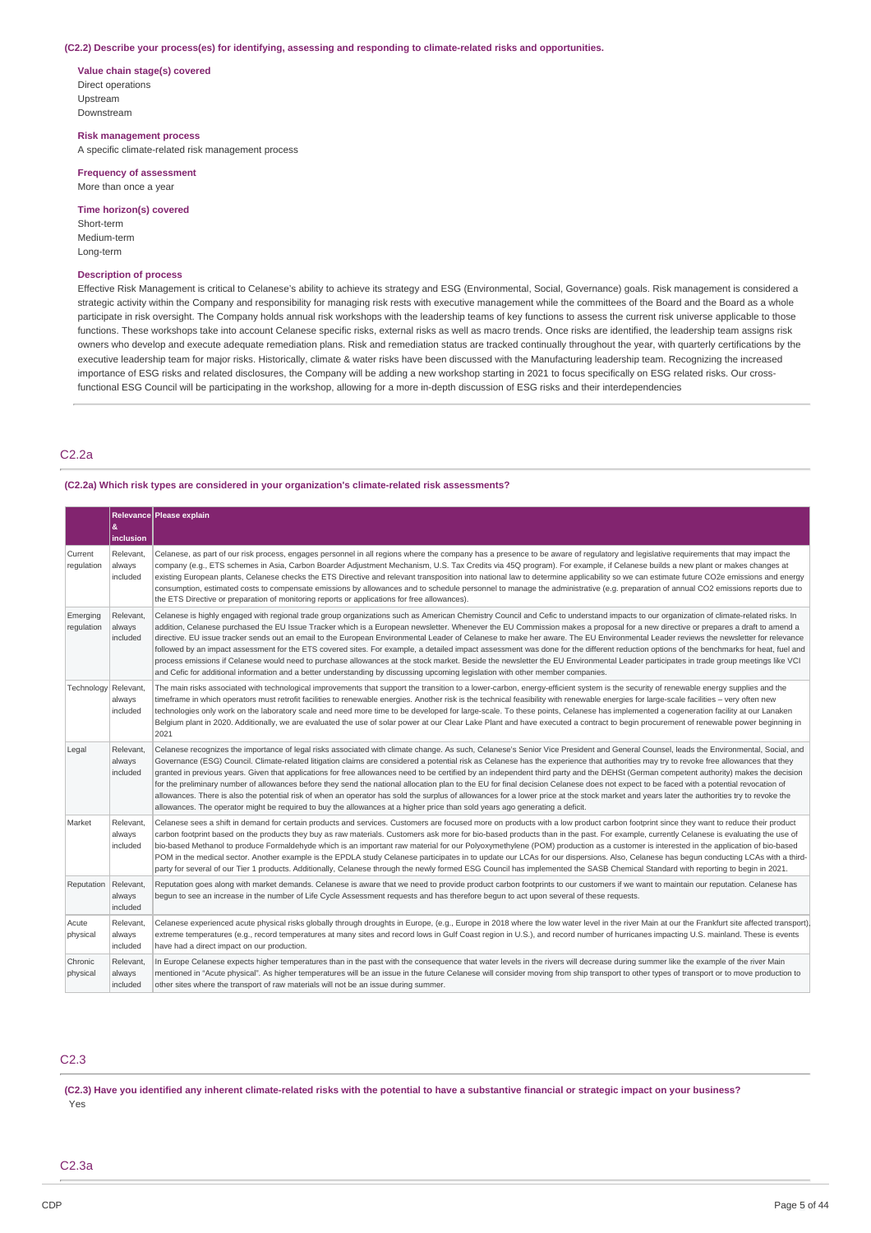#### **(C2.2) Describe your process(es) for identifying, assessing and responding to climate-related risks and opportunities.**

**Value chain stage(s) covered** Direct operations Upstream Downstream

#### **Risk management process**

A specific climate-related risk management process

#### **Frequency of assessment** More than once a year

### **Time horizon(s) covered** Short-term

Medium-term Long-term

#### **Description of process**

Effective Risk Management is critical to Celanese's ability to achieve its strategy and ESG (Environmental, Social, Governance) goals. Risk management is considered a strategic activity within the Company and responsibility for managing risk rests with executive management while the committees of the Board and the Board as a whole participate in risk oversight. The Company holds annual risk workshops with the leadership teams of key functions to assess the current risk universe applicable to those functions. These workshops take into account Celanese specific risks, external risks as well as macro trends. Once risks are identified, the leadership team assigns risk owners who develop and execute adequate remediation plans. Risk and remediation status are tracked continually throughout the year, with quarterly certifications by the executive leadership team for major risks. Historically, climate & water risks have been discussed with the Manufacturing leadership team. Recognizing the increased importance of ESG risks and related disclosures, the Company will be adding a new workshop starting in 2021 to focus specifically on ESG related risks. Our crossfunctional ESG Council will be participating in the workshop, allowing for a more in-depth discussion of ESG risks and their interdependencies

### C2.2a

### **(C2.2a) Which risk types are considered in your organization's climate-related risk assessments?**

|                        |                                 | Relevance Please explain                                                                                                                                                                                                                                                                                                                                                                                                                                                                                                                                                                                                                                                                                                                                                                                                                                                                                                                                                                                                                                                                              |
|------------------------|---------------------------------|-------------------------------------------------------------------------------------------------------------------------------------------------------------------------------------------------------------------------------------------------------------------------------------------------------------------------------------------------------------------------------------------------------------------------------------------------------------------------------------------------------------------------------------------------------------------------------------------------------------------------------------------------------------------------------------------------------------------------------------------------------------------------------------------------------------------------------------------------------------------------------------------------------------------------------------------------------------------------------------------------------------------------------------------------------------------------------------------------------|
|                        | <b>&amp;</b><br>inclusion       |                                                                                                                                                                                                                                                                                                                                                                                                                                                                                                                                                                                                                                                                                                                                                                                                                                                                                                                                                                                                                                                                                                       |
| Current<br>regulation  | Relevant,<br>always<br>included | Celanese, as part of our risk process, engages personnel in all regions where the company has a presence to be aware of regulatory and legislative reguirements that may impact the<br>company (e.q., ETS schemes in Asia, Carbon Boarder Adjustment Mechanism, U.S. Tax Credits via 450 program). For example, if Celanese builds a new plant or makes changes at<br>existing European plants, Celanese checks the ETS Directive and relevant transposition into national law to determine applicability so we can estimate future CO2e emissions and energy<br>consumption, estimated costs to compensate emissions by allowances and to schedule personnel to manage the administrative (e.g. preparation of annual CO2 emissions reports due to<br>the ETS Directive or preparation of monitoring reports or applications for free allowances).                                                                                                                                                                                                                                                   |
| Emerging<br>regulation | Relevant.<br>always<br>included | Celanese is highly engaged with regional trade group organizations such as American Chemistry Council and Cefic to understand impacts to our organization of climate-related risks. In<br>addition, Celanese purchased the EU Issue Tracker which is a European newsletter. Whenever the EU Commission makes a proposal for a new directive or prepares a draft to amend a<br>directive. EU issue tracker sends out an email to the European Environmental Leader of Celanese to make her aware. The EU Environmental Leader reviews the newsletter for relevance<br>followed by an impact assessment for the ETS covered sites. For example, a detailed impact assessment was done for the different reduction options of the benchmarks for heat, fuel and<br>process emissions if Celanese would need to purchase allowances at the stock market. Beside the newsletter the EU Environmental Leader participates in trade group meetings like VCI<br>and Cefic for additional information and a better understanding by discussing upcoming legislation with other member companies.               |
| Technology Relevant,   | always<br>included              | The main risks associated with technological improvements that support the transition to a lower-carbon, energy-efficient system is the security of renewable energy supplies and the<br>timeframe in which operators must retrofit facilities to renewable energies. Another risk is the technical feasibility with renewable energies for large-scale facilities – very often new<br>technologies only work on the laboratory scale and need more time to be developed for large-scale. To these points, Celanese has implemented a cogeneration facility at our Lanaken<br>Belgium plant in 2020. Additionally, we are evaluated the use of solar power at our Clear Lake Plant and have executed a contract to begin procurement of renewable power beginning in<br>2021                                                                                                                                                                                                                                                                                                                          |
| Legal                  | Relevant.<br>always<br>included | Celanese recognizes the importance of legal risks associated with climate change. As such, Celanese's Senior Vice President and General Counsel, leads the Environmental, Social, and<br>Governance (ESG) Council. Climate-related litigation claims are considered a potential risk as Celanese has the experience that authorities may try to revoke free allowances that they<br>granted in previous years. Given that applications for free allowances need to be certified by an independent third party and the DEHSt (German competent authority) makes the decision<br>for the preliminary number of allowances before they send the national allocation plan to the EU for final decision Celanese does not expect to be faced with a potential revocation of<br>allowances. There is also the potential risk of when an operator has sold the surplus of allowances for a lower price at the stock market and years later the authorities try to revoke the<br>allowances. The operator might be required to buy the allowances at a higher price than sold years ago generating a deficit. |
| Market                 | Relevant,<br>always<br>included | Celanese sees a shift in demand for certain products and services. Customers are focused more on products with a low product carbon footprint since they want to reduce their product<br>carbon footprint based on the products they buy as raw materials. Customers ask more for bio-based products than in the past. For example, currently Celanese is evaluating the use of<br>bio-based Methanol to produce Formaldehyde which is an important raw material for our Polyoxymethylene (POM) production as a customer is interested in the application of bio-based<br>POM in the medical sector. Another example is the EPDLA study Celanese participates in to update our LCAs for our dispersions. Also, Celanese has begun conducting LCAs with a third-<br>party for several of our Tier 1 products. Additionally, Celanese through the newly formed ESG Council has implemented the SASB Chemical Standard with reporting to begin in 2021.                                                                                                                                                  |
| Reputation             | Relevant,<br>always<br>included | Reputation goes along with market demands. Celanese is aware that we need to provide product carbon footprints to our customers if we want to maintain our reputation. Celanese has<br>begun to see an increase in the number of Life Cycle Assessment requests and has therefore begun to act upon several of these requests.                                                                                                                                                                                                                                                                                                                                                                                                                                                                                                                                                                                                                                                                                                                                                                        |
| Acute<br>physical      | Relevant.<br>always<br>included | Celanese experienced acute physical risks globally through droughts in Europe, (e.g., Europe in 2018 where the low water level in the river Main at our the Frankfurt site affected transport).<br>extreme temperatures (e.g., record temperatures at many sites and record lows in Gulf Coast region in U.S.), and record number of hurricanes impacting U.S. mainland. These is events<br>have had a direct impact on our production.                                                                                                                                                                                                                                                                                                                                                                                                                                                                                                                                                                                                                                                               |
| Chronic<br>physical    | Relevant,<br>always<br>included | In Europe Celanese expects higher temperatures than in the past with the consequence that water levels in the rivers will decrease during summer like the example of the river Main<br>mentioned in "Acute physical". As higher temperatures will be an issue in the future Celanese will consider moving from ship transport to other types of transport or to move production to<br>other sites where the transport of raw materials will not be an issue during summer.                                                                                                                                                                                                                                                                                                                                                                                                                                                                                                                                                                                                                            |

### C2.3

(C2.3) Have you identified any inherent climate-related risks with the potential to have a substantive financial or strategic impact on your business? Yes

### C2.3a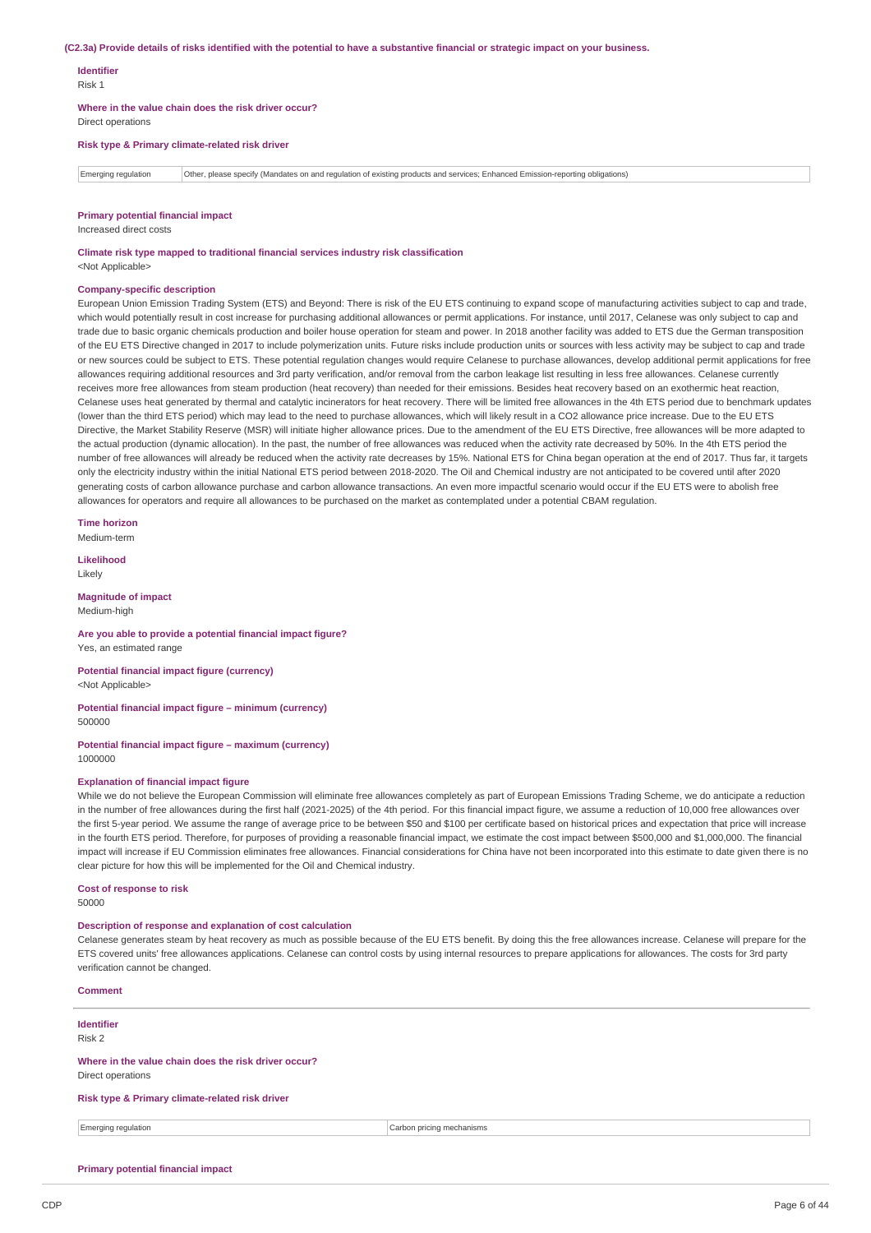#### (C2.3a) Provide details of risks identified with the potential to have a substantive financial or strategic impact on your business.

#### **Identifier**

Risk 1

**Where in the value chain does the risk driver occur?**

Direct operations

**Risk type & Primary climate-related risk driver**

Emerging regulation Other, please specify (Mandates on and regulation of existing products and services; Enhanced Emission-reporting obligations)

#### **Primary potential financial impact**

Increased direct costs

**Climate risk type mapped to traditional financial services industry risk classification** <Not Applicable>

#### **Company-specific description**

European Union Emission Trading System (ETS) and Beyond: There is risk of the EU ETS continuing to expand scope of manufacturing activities subject to cap and trade, which would potentially result in cost increase for purchasing additional allowances or permit applications. For instance, until 2017, Celanese was only subject to cap and trade due to basic organic chemicals production and boiler house operation for steam and power. In 2018 another facility was added to ETS due the German transposition of the EU ETS Directive changed in 2017 to include polymerization units. Future risks include production units or sources with less activity may be subject to cap and trade or new sources could be subject to ETS. These potential regulation changes would require Celanese to purchase allowances, develop additional permit applications for free allowances requiring additional resources and 3rd party verification, and/or removal from the carbon leakage list resulting in less free allowances. Celanese currently receives more free allowances from steam production (heat recovery) than needed for their emissions. Besides heat recovery based on an exothermic heat reaction, Celanese uses heat generated by thermal and catalytic incinerators for heat recovery. There will be limited free allowances in the 4th ETS period due to benchmark updates (lower than the third ETS period) which may lead to the need to purchase allowances, which will likely result in a CO2 allowance price increase. Due to the EU ETS Directive, the Market Stability Reserve (MSR) will initiate higher allowance prices. Due to the amendment of the EU ETS Directive, free allowances will be more adapted to the actual production (dynamic allocation). In the past, the number of free allowances was reduced when the activity rate decreased by 50%. In the 4th ETS period the number of free allowances will already be reduced when the activity rate decreases by 15%. National ETS for China began operation at the end of 2017. Thus far, it targets only the electricity industry within the initial National ETS period between 2018-2020. The Oil and Chemical industry are not anticipated to be covered until after 2020 generating costs of carbon allowance purchase and carbon allowance transactions. An even more impactful scenario would occur if the EU ETS were to abolish free allowances for operators and require all allowances to be purchased on the market as contemplated under a potential CBAM regulation.

**Time horizon**

Medium-term

**Likelihood** Likely

**Magnitude of impact** Medium-high

#### **Are you able to provide a potential financial impact figure?** Yes, an estimated range

**Potential financial impact figure (currency)** <Not Applicable>

#### **Potential financial impact figure – minimum (currency)** 500000

#### **Potential financial impact figure – maximum (currency)** 1000000

### **Explanation of financial impact figure**

While we do not believe the European Commission will eliminate free allowances completely as part of European Emissions Trading Scheme, we do anticipate a reduction in the number of free allowances during the first half (2021-2025) of the 4th period. For this financial impact figure, we assume a reduction of 10,000 free allowances over the first 5-year period. We assume the range of average price to be between \$50 and \$100 per certificate based on historical prices and expectation that price will increase in the fourth ETS period. Therefore, for purposes of providing a reasonable financial impact, we estimate the cost impact between \$500,000 and \$1,000,000. The financial impact will increase if EU Commission eliminates free allowances. Financial considerations for China have not been incorporated into this estimate to date given there is no clear picture for how this will be implemented for the Oil and Chemical industry.

#### **Cost of response to risk**

50000

**Comment**

**Identifier** Risk 2

### **Description of response and explanation of cost calculation**

Celanese generates steam by heat recovery as much as possible because of the EU ETS benefit. By doing this the free allowances increase. Celanese will prepare for the ETS covered units' free allowances applications. Celanese can control costs by using internal resources to prepare applications for allowances. The costs for 3rd party verification cannot be changed.

| <b>Comment</b>                                       |                           |
|------------------------------------------------------|---------------------------|
| Identifier                                           |                           |
| Risk 2                                               |                           |
| Where in the value chain does the risk driver occur? |                           |
| Direct operations                                    |                           |
| Risk type & Primary climate-related risk driver      |                           |
| Emerging regulation                                  | Carbon pricing mechanisms |
|                                                      |                           |

#### **Primary potential financial impact**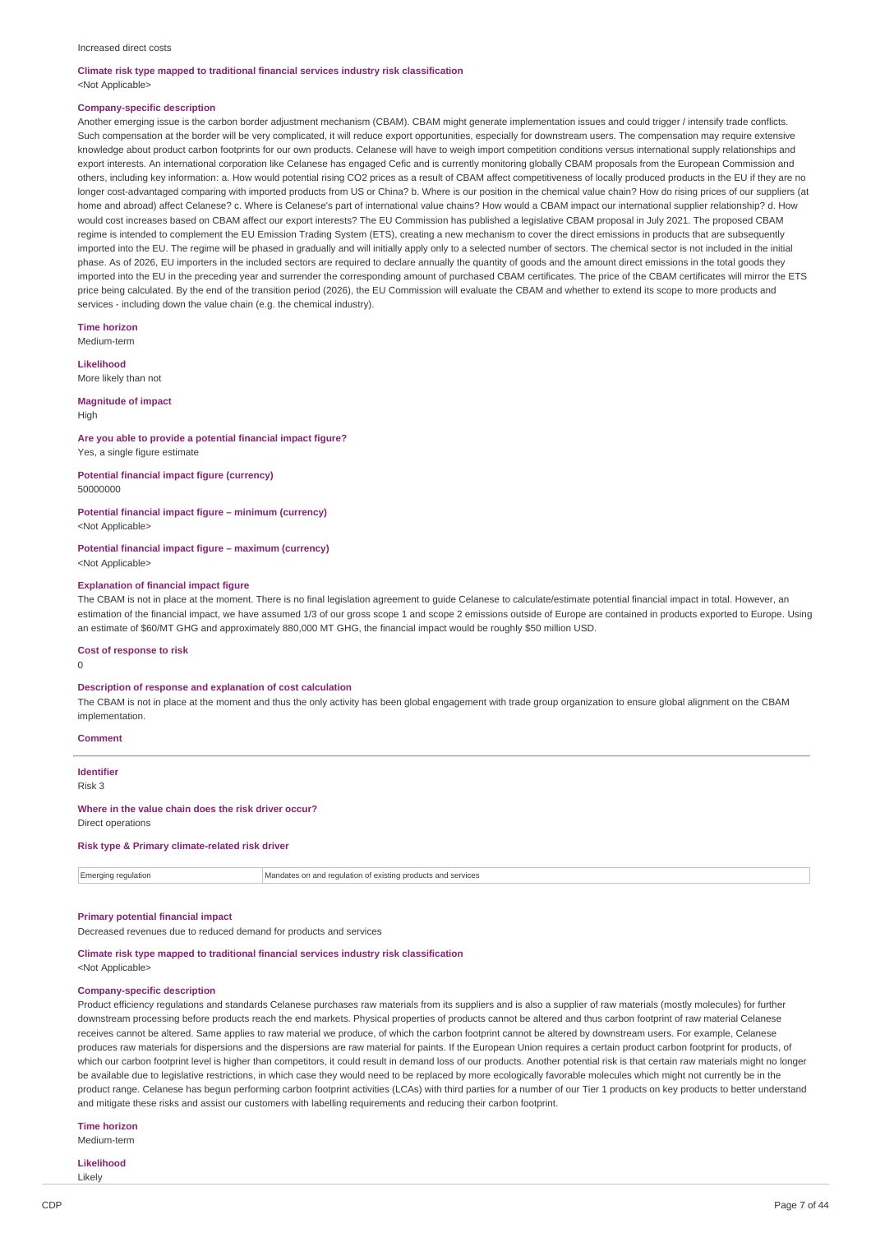#### Increased direct costs

#### **Climate risk type mapped to traditional financial services industry risk classification** <Not Applicable>

#### **Company-specific description**

Another emerging issue is the carbon border adjustment mechanism (CBAM). CBAM might generate implementation issues and could trigger / intensify trade conflicts. Such compensation at the border will be very complicated, it will reduce export opportunities, especially for downstream users. The compensation may require extensive knowledge about product carbon footprints for our own products. Celanese will have to weigh import competition conditions versus international supply relationships and export interests. An international corporation like Celanese has engaged Cefic and is currently monitoring globally CBAM proposals from the European Commission and others, including key information: a. How would potential rising CO2 prices as a result of CBAM affect competitiveness of locally produced products in the EU if they are no longer cost-advantaged comparing with imported products from US or China? b. Where is our position in the chemical value chain? How do rising prices of our suppliers (at home and abroad) affect Celanese? c. Where is Celanese's part of international value chains? How would a CBAM impact our international supplier relationship? d. How would cost increases based on CBAM affect our export interests? The EU Commission has published a legislative CBAM proposal in July 2021. The proposed CBAM regime is intended to complement the EU Emission Trading System (ETS), creating a new mechanism to cover the direct emissions in products that are subsequently imported into the EU. The regime will be phased in gradually and will initially apply only to a selected number of sectors. The chemical sector is not included in the initial phase. As of 2026, EU importers in the included sectors are required to declare annually the quantity of goods and the amount direct emissions in the total goods they imported into the EU in the preceding year and surrender the corresponding amount of purchased CBAM certificates. The price of the CBAM certificates will mirror the ETS price being calculated. By the end of the transition period (2026), the EU Commission will evaluate the CBAM and whether to extend its scope to more products and services - including down the value chain (e.g. the chemical industry).

**Time horizon**

Medium-term

**Likelihood**

More likely than not

#### **Magnitude of impact**

High

#### **Are you able to provide a potential financial impact figure?**

Yes, a single figure estimate

#### **Potential financial impact figure (currency)** 50000000

# **Potential financial impact figure – minimum (currency)**

<Not Applicable>

#### **Potential financial impact figure – maximum (currency)** <Not Applicable>

### **Explanation of financial impact figure**

The CBAM is not in place at the moment. There is no final legislation agreement to guide Celanese to calculate/estimate potential financial impact in total. However, an estimation of the financial impact, we have assumed 1/3 of our gross scope 1 and scope 2 emissions outside of Europe are contained in products exported to Europe. Using an estimate of \$60/MT GHG and approximately 880,000 MT GHG, the financial impact would be roughly \$50 million USD.

#### **Cost of response to risk**

0

#### **Description of response and explanation of cost calculation**

The CBAM is not in place at the moment and thus the only activity has been global engagement with trade group organization to ensure global alignment on the CBAM implementation.

#### **Comment**

**Identifier** Risk 3

#### **Where in the value chain does the risk driver occur?**

Direct operations

### **Risk type & Primary climate-related risk driver**

|  | ' Emergini.<br>активн | n and requlation of existing products and services<br>andates |
|--|-----------------------|---------------------------------------------------------------|
|--|-----------------------|---------------------------------------------------------------|

#### **Primary potential financial impact**

Decreased revenues due to reduced demand for products and services

### **Climate risk type mapped to traditional financial services industry risk classification**

<Not Applicable>

### **Company-specific description**

Product efficiency regulations and standards Celanese purchases raw materials from its suppliers and is also a supplier of raw materials (mostly molecules) for further downstream processing before products reach the end markets. Physical properties of products cannot be altered and thus carbon footprint of raw material Celanese receives cannot be altered. Same applies to raw material we produce, of which the carbon footprint cannot be altered by downstream users. For example, Celanese produces raw materials for dispersions and the dispersions are raw material for paints. If the European Union requires a certain product carbon footprint for products, of which our carbon footprint level is higher than competitors, it could result in demand loss of our products. Another potential risk is that certain raw materials might no longer be available due to legislative restrictions, in which case they would need to be replaced by more ecologically favorable molecules which might not currently be in the product range. Celanese has begun performing carbon footprint activities (LCAs) with third parties for a number of our Tier 1 products on key products to better understand and mitigate these risks and assist our customers with labelling requirements and reducing their carbon footprint.

### **Time horizon**

Medium-term

**Likelihood** Likely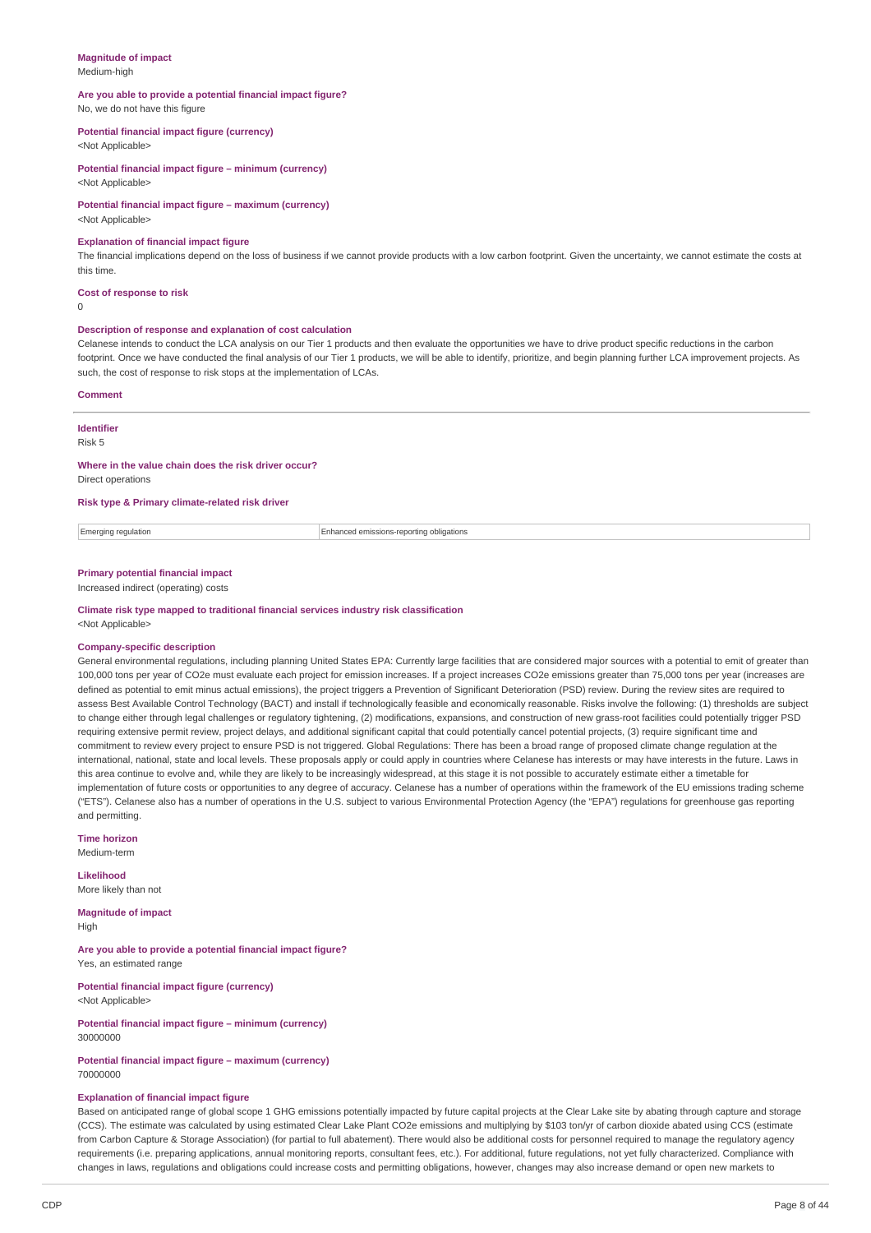#### **Magnitude of impact** Medium-high

### **Are you able to provide a potential financial impact figure?**

No, we do not have this figure

#### **Potential financial impact figure (currency)**

<Not Applicable>

**Potential financial impact figure – minimum (currency)** <Not Applicable>

### **Potential financial impact figure – maximum (currency)**

<Not Applicable>

#### **Explanation of financial impact figure**

The financial implications depend on the loss of business if we cannot provide products with a low carbon footprint. Given the uncertainty, we cannot estimate the costs at this time.

#### **Cost of response to risk**

 $\Omega$ 

#### **Description of response and explanation of cost calculation**

Celanese intends to conduct the LCA analysis on our Tier 1 products and then evaluate the opportunities we have to drive product specific reductions in the carbon footprint. Once we have conducted the final analysis of our Tier 1 products, we will be able to identify, prioritize, and begin planning further LCA improvement projects. As such, the cost of response to risk stops at the implementation of LCAs.

### **Comment**

# **Identifier**

Risk 5

#### **Where in the value chain does the risk driver occur?**

Direct operations

### **Risk type & Primary climate-related risk driver**

Emerging regulation Enhanced emissions-reporting obligations

### **Primary potential financial impact**

Increased indirect (operating) costs

#### **Climate risk type mapped to traditional financial services industry risk classification** <Not Applicable>

#### **Company-specific description**

General environmental regulations, including planning United States EPA: Currently large facilities that are considered major sources with a potential to emit of greater than 100,000 tons per year of CO2e must evaluate each project for emission increases. If a project increases CO2e emissions greater than 75,000 tons per year (increases are defined as potential to emit minus actual emissions), the project triggers a Prevention of Significant Deterioration (PSD) review. During the review sites are required to assess Best Available Control Technology (BACT) and install if technologically feasible and economically reasonable. Risks involve the following: (1) thresholds are subject to change either through legal challenges or regulatory tightening, (2) modifications, expansions, and construction of new grass-root facilities could potentially trigger PSD requiring extensive permit review, project delays, and additional significant capital that could potentially cancel potential projects, (3) require significant time and commitment to review every project to ensure PSD is not triggered. Global Regulations: There has been a broad range of proposed climate change regulation at the international, national, state and local levels. These proposals apply or could apply in countries where Celanese has interests or may have interests in the future. Laws in this area continue to evolve and, while they are likely to be increasingly widespread, at this stage it is not possible to accurately estimate either a timetable for implementation of future costs or opportunities to any degree of accuracy. Celanese has a number of operations within the framework of the EU emissions trading scheme ("ETS"). Celanese also has a number of operations in the U.S. subject to various Environmental Protection Agency (the "EPA") regulations for greenhouse gas reporting and permitting.

### **Time horizon**

Medium-term

#### **Likelihood** More likely than not

**Magnitude of impact** High

**Are you able to provide a potential financial impact figure?** Yes, an estimated range

**Potential financial impact figure (currency)** <Not Applicable>

**Potential financial impact figure – minimum (currency)** 30000000

### **Potential financial impact figure – maximum (currency)** 70000000

### **Explanation of financial impact figure**

Based on anticipated range of global scope 1 GHG emissions potentially impacted by future capital projects at the Clear Lake site by abating through capture and storage (CCS). The estimate was calculated by using estimated Clear Lake Plant CO2e emissions and multiplying by \$103 ton/yr of carbon dioxide abated using CCS (estimate from Carbon Capture & Storage Association) (for partial to full abatement). There would also be additional costs for personnel required to manage the regulatory agency requirements (i.e. preparing applications, annual monitoring reports, consultant fees, etc.). For additional, future regulations, not yet fully characterized. Compliance with changes in laws, regulations and obligations could increase costs and permitting obligations, however, changes may also increase demand or open new markets to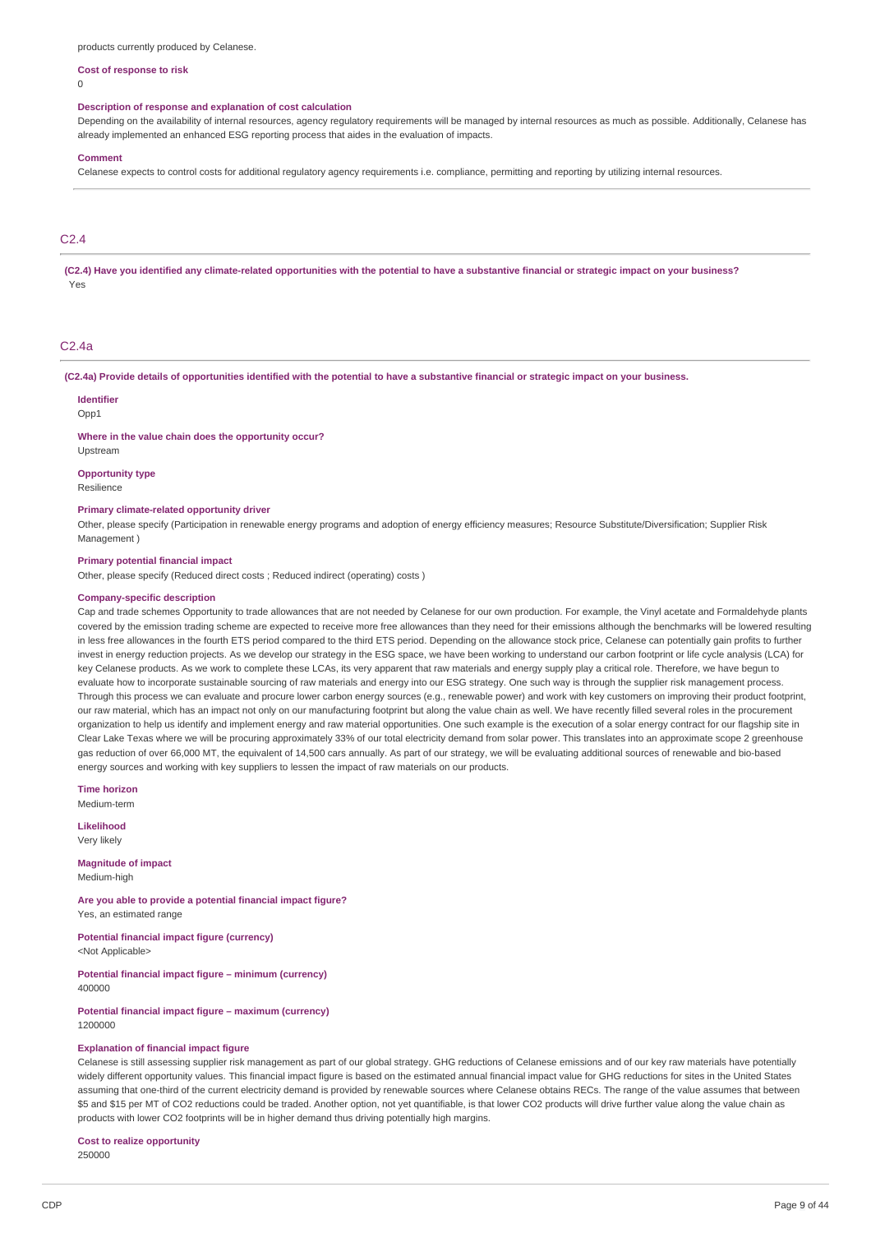products currently produced by Celanese.

### **Cost of response to risk**

 $\Omega$ 

#### **Description of response and explanation of cost calculation**

Depending on the availability of internal resources, agency regulatory requirements will be managed by internal resources as much as possible. Additionally, Celanese has already implemented an enhanced ESG reporting process that aides in the evaluation of impacts.

#### **Comment**

Celanese expects to control costs for additional regulatory agency requirements i.e. compliance, permitting and reporting by utilizing internal resources.

# C2.4

(C2.4) Have you identified any climate-related opportunities with the potential to have a substantive financial or strategic impact on your business? Yes

### C2.4a

(C2.4a) Provide details of opportunities identified with the potential to have a substantive financial or strategic impact on your business.

### **Identifier**

Opp1

#### **Where in the value chain does the opportunity occur?**

Upstream

### **Opportunity type**

Resilience

### **Primary climate-related opportunity driver**

Other, please specify (Participation in renewable energy programs and adoption of energy efficiency measures; Resource Substitute/Diversification; Supplier Risk Management )

#### **Primary potential financial impact**

Other, please specify (Reduced direct costs ; Reduced indirect (operating) costs )

#### **Company-specific description**

Cap and trade schemes Opportunity to trade allowances that are not needed by Celanese for our own production. For example, the Vinyl acetate and Formaldehyde plants covered by the emission trading scheme are expected to receive more free allowances than they need for their emissions although the benchmarks will be lowered resulting in less free allowances in the fourth ETS period compared to the third ETS period. Depending on the allowance stock price, Celanese can potentially gain profits to further invest in energy reduction projects. As we develop our strategy in the ESG space, we have been working to understand our carbon footprint or life cycle analysis (LCA) for key Celanese products. As we work to complete these LCAs, its very apparent that raw materials and energy supply play a critical role. Therefore, we have begun to evaluate how to incorporate sustainable sourcing of raw materials and energy into our ESG strategy. One such way is through the supplier risk management process. Through this process we can evaluate and procure lower carbon energy sources (e.g., renewable power) and work with key customers on improving their product footprint, our raw material, which has an impact not only on our manufacturing footprint but along the value chain as well. We have recently filled several roles in the procurement organization to help us identify and implement energy and raw material opportunities. One such example is the execution of a solar energy contract for our flagship site in Clear Lake Texas where we will be procuring approximately 33% of our total electricity demand from solar power. This translates into an approximate scope 2 greenhouse gas reduction of over 66,000 MT, the equivalent of 14,500 cars annually. As part of our strategy, we will be evaluating additional sources of renewable and bio-based energy sources and working with key suppliers to lessen the impact of raw materials on our products.

**Time horizon** Medium-term

**Likelihood** Very likely

**Magnitude of impact** Medium-high

**Are you able to provide a potential financial impact figure?** Yes, an estimated range

**Potential financial impact figure (currency)** <Not Applicable>

**Potential financial impact figure – minimum (currency)** 400000

**Potential financial impact figure – maximum (currency)** 1200000

#### **Explanation of financial impact figure**

Celanese is still assessing supplier risk management as part of our global strategy. GHG reductions of Celanese emissions and of our key raw materials have potentially widely different opportunity values. This financial impact figure is based on the estimated annual financial impact value for GHG reductions for sites in the United States assuming that one-third of the current electricity demand is provided by renewable sources where Celanese obtains RECs. The range of the value assumes that between \$5 and \$15 per MT of CO2 reductions could be traded. Another option, not yet quantifiable, is that lower CO2 products will drive further value along the value chain as products with lower CO2 footprints will be in higher demand thus driving potentially high margins.

#### **Cost to realize opportunity** 250000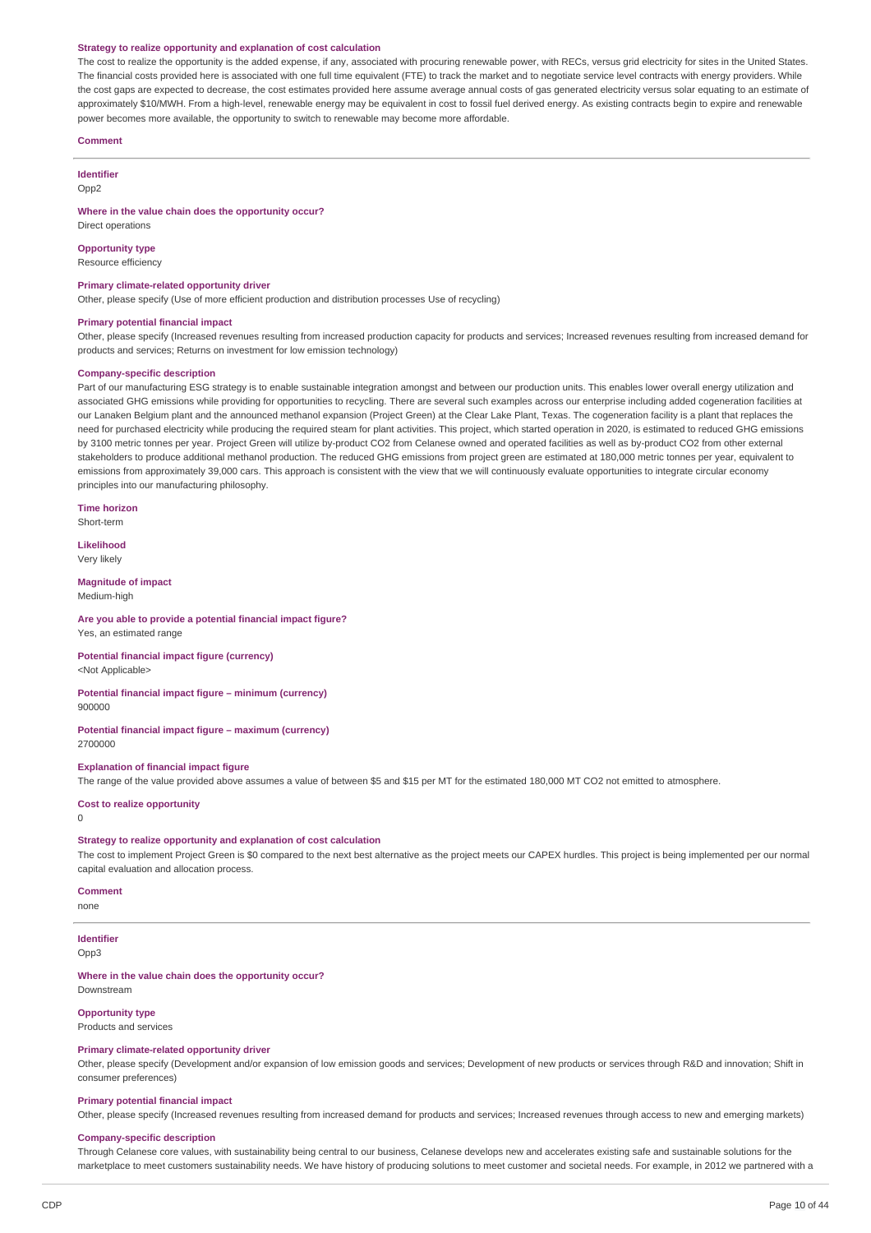#### **Strategy to realize opportunity and explanation of cost calculation**

The cost to realize the opportunity is the added expense, if any, associated with procuring renewable power, with RECs, versus grid electricity for sites in the United States. The financial costs provided here is associated with one full time equivalent (FTE) to track the market and to negotiate service level contracts with energy providers. While the cost gaps are expected to decrease, the cost estimates provided here assume average annual costs of gas generated electricity versus solar equating to an estimate of approximately \$10/MWH. From a high-level, renewable energy may be equivalent in cost to fossil fuel derived energy. As existing contracts begin to expire and renewable power becomes more available, the opportunity to switch to renewable may become more affordable.

#### **Comment**

### **Identifier**

Opp<sub>2</sub>

**Where in the value chain does the opportunity occur?**

# Direct operations **Opportunity type**

Resource efficiency

### **Primary climate-related opportunity driver**

Other, please specify (Use of more efficient production and distribution processes Use of recycling)

#### **Primary potential financial impact**

Other, please specify (Increased revenues resulting from increased production capacity for products and services; Increased revenues resulting from increased demand for products and services; Returns on investment for low emission technology)

#### **Company-specific description**

Part of our manufacturing ESG strategy is to enable sustainable integration amongst and between our production units. This enables lower overall energy utilization and associated GHG emissions while providing for opportunities to recycling. There are several such examples across our enterprise including added cogeneration facilities at our Lanaken Belgium plant and the announced methanol expansion (Project Green) at the Clear Lake Plant, Texas. The cogeneration facility is a plant that replaces the need for purchased electricity while producing the required steam for plant activities. This project, which started operation in 2020, is estimated to reduced GHG emissions by 3100 metric tonnes per year. Project Green will utilize by-product CO2 from Celanese owned and operated facilities as well as by-product CO2 from other external stakeholders to produce additional methanol production. The reduced GHG emissions from project green are estimated at 180,000 metric tonnes per year, equivalent to emissions from approximately 39,000 cars. This approach is consistent with the view that we will continuously evaluate opportunities to integrate circular economy principles into our manufacturing philosophy.

**Time horizon**

Short-term

**Likelihood** Very likely

#### **Magnitude of impact**

Medium-high

### **Are you able to provide a potential financial impact figure?**

Yes, an estimated range

# **Potential financial impact figure (currency)**

<Not Applicable>

# **Potential financial impact figure – minimum (currency)**

900000

#### **Potential financial impact figure – maximum (currency)** 2700000

#### **Explanation of financial impact figure**

The range of the value provided above assumes a value of between \$5 and \$15 per MT for the estimated 180,000 MT CO2 not emitted to atmosphere.

#### **Cost to realize opportunity**

 $\theta$ 

#### **Strategy to realize opportunity and explanation of cost calculation**

The cost to implement Project Green is \$0 compared to the next best alternative as the project meets our CAPEX hurdles. This project is being implemented per our normal capital evaluation and allocation process.

### **Comment**

none

# **Identifier**

Opp3

#### **Where in the value chain does the opportunity occur?**

Downstream

# **Opportunity type**

Products and services

# **Primary climate-related opportunity driver**

Other, please specify (Development and/or expansion of low emission goods and services; Development of new products or services through R&D and innovation; Shift in consumer preferences)

### **Primary potential financial impact**

Other, please specify (Increased revenues resulting from increased demand for products and services; Increased revenues through access to new and emerging markets)

### **Company-specific description**

Through Celanese core values, with sustainability being central to our business, Celanese develops new and accelerates existing safe and sustainable solutions for the marketplace to meet customers sustainability needs. We have history of producing solutions to meet customer and societal needs. For example, in 2012 we partnered with a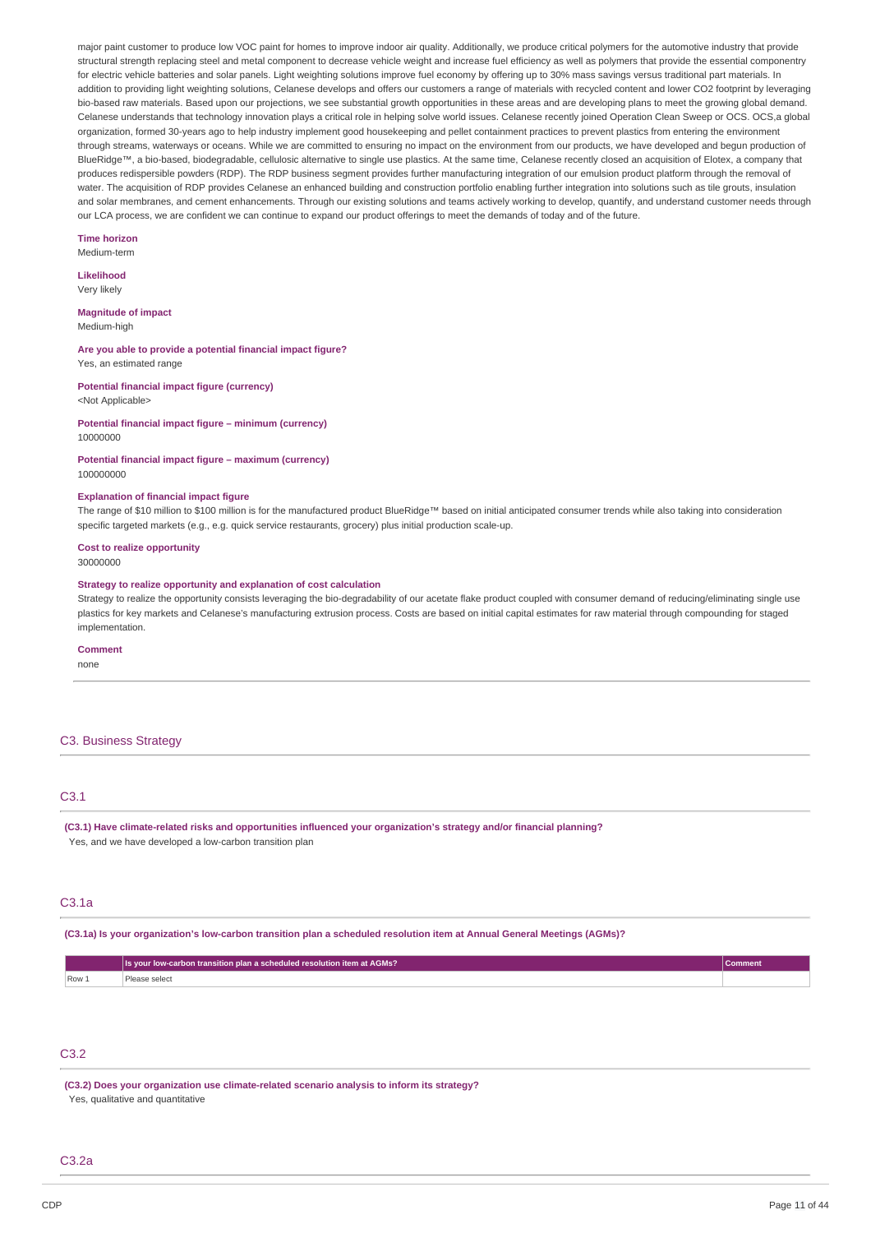major paint customer to produce low VOC paint for homes to improve indoor air quality. Additionally, we produce critical polymers for the automotive industry that provide structural strength replacing steel and metal component to decrease vehicle weight and increase fuel efficiency as well as polymers that provide the essential componentry for electric vehicle batteries and solar panels. Light weighting solutions improve fuel economy by offering up to 30% mass savings versus traditional part materials. In addition to providing light weighting solutions, Celanese develops and offers our customers a range of materials with recycled content and lower CO2 footprint by leveraging bio-based raw materials. Based upon our projections, we see substantial growth opportunities in these areas and are developing plans to meet the growing global demand. Celanese understands that technology innovation plays a critical role in helping solve world issues. Celanese recently joined Operation Clean Sweep or OCS. OCS,a global organization, formed 30-years ago to help industry implement good housekeeping and pellet containment practices to prevent plastics from entering the environment through streams, waterways or oceans. While we are committed to ensuring no impact on the environment from our products, we have developed and begun production of BlueRidge™, a bio-based, biodegradable, cellulosic alternative to single use plastics. At the same time, Celanese recently closed an acquisition of Elotex, a company that produces redispersible powders (RDP). The RDP business segment provides further manufacturing integration of our emulsion product platform through the removal of water. The acquisition of RDP provides Celanese an enhanced building and construction portfolio enabling further integration into solutions such as tile grouts, insulation and solar membranes, and cement enhancements. Through our existing solutions and teams actively working to develop, quantify, and understand customer needs through our LCA process, we are confident we can continue to expand our product offerings to meet the demands of today and of the future.

#### **Time horizon** Medium-term

#### **Likelihood**

Very likely

#### **Magnitude of impact** Medium-high

**Are you able to provide a potential financial impact figure?** Yes, an estimated range

#### **Potential financial impact figure (currency)** <Not Applicable>

#### **Potential financial impact figure – minimum (currency)** 10000000

**Potential financial impact figure – maximum (currency)** 100000000

### **Explanation of financial impact figure**

The range of \$10 million to \$100 million is for the manufactured product BlueRidge™ based on initial anticipated consumer trends while also taking into consideration specific targeted markets (e.g., e.g. quick service restaurants, grocery) plus initial production scale-up.

### **Cost to realize opportunity**

30000000

#### **Strategy to realize opportunity and explanation of cost calculation**

Strategy to realize the opportunity consists leveraging the bio-degradability of our acetate flake product coupled with consumer demand of reducing/eliminating single use plastics for key markets and Celanese's manufacturing extrusion process. Costs are based on initial capital estimates for raw material through compounding for staged implementation.

### **Comment**

none

### C3. Business Strategy

### C3.1

**(C3.1) Have climate-related risks and opportunities influenced your organization's strategy and/or financial planning?** Yes, and we have developed a low-carbon transition plan

#### C3.1a

(C3.1a) Is your organization's low-carbon transition plan a scheduled resolution item at Annual General Meetings (AGMs)?

|       | <b>Els your low-carbon transition plan a scheduled resolution item at AGMs?</b> | mment |
|-------|---------------------------------------------------------------------------------|-------|
| Row 1 | select<br>.                                                                     |       |

# C3.2

**(C3.2) Does your organization use climate-related scenario analysis to inform its strategy?** Yes, qualitative and quantitative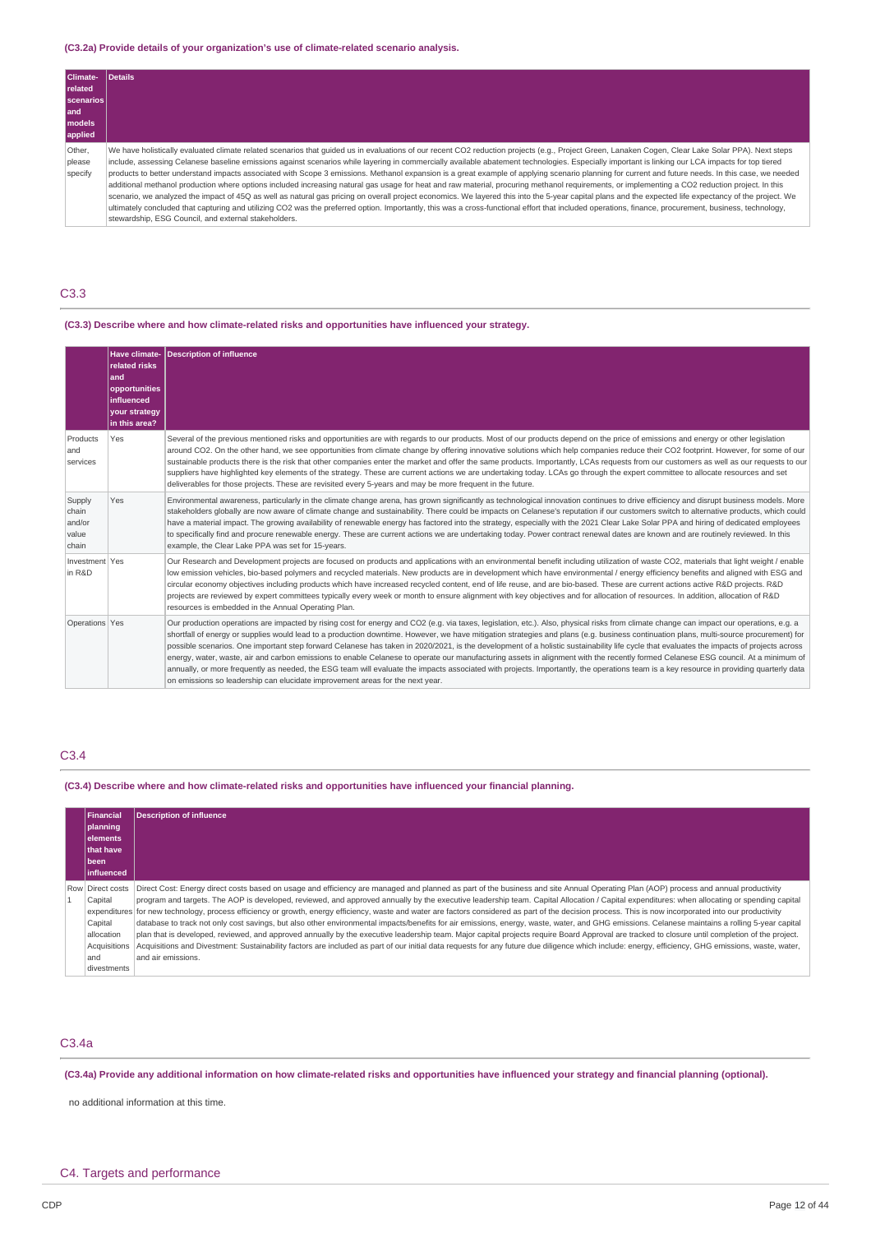### **(C3.2a) Provide details of your organization's use of climate-related scenario analysis.**

| Climate-                    | Details                                                                                                                                                                                                                                                                                                                                                                                                                                                                                                                                                                                                                                                                                                                                                                                                                                                                                                                                                                                                                                                                                                                                                                                                                                                                                    |
|-----------------------------|--------------------------------------------------------------------------------------------------------------------------------------------------------------------------------------------------------------------------------------------------------------------------------------------------------------------------------------------------------------------------------------------------------------------------------------------------------------------------------------------------------------------------------------------------------------------------------------------------------------------------------------------------------------------------------------------------------------------------------------------------------------------------------------------------------------------------------------------------------------------------------------------------------------------------------------------------------------------------------------------------------------------------------------------------------------------------------------------------------------------------------------------------------------------------------------------------------------------------------------------------------------------------------------------|
| <b>related</b>              |                                                                                                                                                                                                                                                                                                                                                                                                                                                                                                                                                                                                                                                                                                                                                                                                                                                                                                                                                                                                                                                                                                                                                                                                                                                                                            |
| scenarios                   |                                                                                                                                                                                                                                                                                                                                                                                                                                                                                                                                                                                                                                                                                                                                                                                                                                                                                                                                                                                                                                                                                                                                                                                                                                                                                            |
| l and                       |                                                                                                                                                                                                                                                                                                                                                                                                                                                                                                                                                                                                                                                                                                                                                                                                                                                                                                                                                                                                                                                                                                                                                                                                                                                                                            |
| models                      |                                                                                                                                                                                                                                                                                                                                                                                                                                                                                                                                                                                                                                                                                                                                                                                                                                                                                                                                                                                                                                                                                                                                                                                                                                                                                            |
| applied                     |                                                                                                                                                                                                                                                                                                                                                                                                                                                                                                                                                                                                                                                                                                                                                                                                                                                                                                                                                                                                                                                                                                                                                                                                                                                                                            |
| Other,<br>please<br>specify | We have holistically evaluated climate related scenarios that quided us in evaluations of our recent CO2 reduction projects (e.g., Project Green, Lanaken Cogen, Clear Lake Solar PPA). Next steps<br>include, assessing Celanese baseline emissions against scenarios while layering in commercially available abatement technologies. Especially important is linking our LCA impacts for top tiered<br>products to better understand impacts associated with Scope 3 emissions. Methanol expansion is a great example of applying scenario planning for current and future needs. In this case, we needed<br>additional methanol production where options included increasing natural gas usage for heat and raw material, procuring methanol requirements, or implementing a CO2 reduction project. In this<br>scenario, we analyzed the impact of 45Q as well as natural gas pricing on overall project economics. We layered this into the 5-year capital plans and the expected life expectancy of the project. We<br>ultimately concluded that capturing and utilizing CO2 was the preferred option. Importantly, this was a cross-functional effort that included operations, finance, procurement, business, technology,<br>stewardship, ESG Council, and external stakeholders. |

### C3.3

### **(C3.3) Describe where and how climate-related risks and opportunities have influenced your strategy.**

|                                             | Have climate-<br><b>related risks</b><br>land<br>opportunities<br><b>linfluenced</b><br><b>your strategy</b><br>in this area? | <b>Description of influence</b>                                                                                                                                                                                                                                                                                                                                                                                                                                                                                                                                                                                                                                                                                                                                                                                                                                                                                                                                                                                                                 |
|---------------------------------------------|-------------------------------------------------------------------------------------------------------------------------------|-------------------------------------------------------------------------------------------------------------------------------------------------------------------------------------------------------------------------------------------------------------------------------------------------------------------------------------------------------------------------------------------------------------------------------------------------------------------------------------------------------------------------------------------------------------------------------------------------------------------------------------------------------------------------------------------------------------------------------------------------------------------------------------------------------------------------------------------------------------------------------------------------------------------------------------------------------------------------------------------------------------------------------------------------|
| Products<br>and<br>services                 | Yes                                                                                                                           | Several of the previous mentioned risks and opportunities are with regards to our products. Most of our products depend on the price of emissions and energy or other legislation<br>around CO2. On the other hand, we see opportunities from climate change by offering innovative solutions which help companies reduce their CO2 footprint. However, for some of our<br>sustainable products there is the risk that other companies enter the market and offer the same products. Importantly, LCAs requests from our customers as well as our requests to our<br>suppliers have highlighted key elements of the strategy. These are current actions we are undertaking today. LCAs go through the expert committee to allocate resources and set<br>deliverables for those projects. These are revisited every 5-years and may be more frequent in the future.                                                                                                                                                                              |
| Supply<br>chain<br>and/or<br>value<br>chain | Yes                                                                                                                           | Environmental awareness, particularly in the climate change arena, has grown significantly as technological innovation continues to drive efficiency and disrupt business models. More<br>stakeholders globally are now aware of climate change and sustainability. There could be impacts on Celanese's reputation if our customers switch to alternative products, which could<br>have a material impact. The growing availability of renewable energy has factored into the strategy, especially with the 2021 Clear Lake Solar PPA and hiring of dedicated employees<br>to specifically find and procure renewable energy. These are current actions we are undertaking today. Power contract renewal dates are known and are routinely reviewed. In this<br>example, the Clear Lake PPA was set for 15-years.                                                                                                                                                                                                                              |
| Investment Yes<br>in R&D                    |                                                                                                                               | Our Research and Development projects are focused on products and applications with an environmental benefit including utilization of waste CO2, materials that light weight / enable<br>low emission vehicles, bio-based polymers and recycled materials. New products are in development which have environmental / energy efficiency benefits and aligned with ESG and<br>circular economy objectives including products which have increased recycled content, end of life reuse, and are bio-based. These are current actions active R&D projects. R&D<br>projects are reviewed by expert committees typically every week or month to ensure alignment with key objectives and for allocation of resources. In addition, allocation of R&D<br>resources is embedded in the Annual Operating Plan.                                                                                                                                                                                                                                          |
| Operations Yes                              |                                                                                                                               | Our production operations are impacted by rising cost for energy and CO2 (e.g. via taxes, legislation, etc.). Also, physical risks from climate change can impact our operations, e.g. a<br>shortfall of energy or supplies would lead to a production downtime. However, we have mitigation strategies and plans (e.g. business continuation plans, multi-source procurement) for<br>possible scenarios. One important step forward Celanese has taken in 2020/2021, is the development of a holistic sustainability life cycle that evaluates the impacts of projects across<br>energy, water, waste, air and carbon emissions to enable Celanese to operate our manufacturing assets in alignment with the recently formed Celanese ESG council. At a minimum of<br>annually, or more frequently as needed, the ESG team will evaluate the impacts associated with projects. Importantly, the operations team is a key resource in providing quarterly data<br>on emissions so leadership can elucidate improvement areas for the next year. |

# C3.4

### **(C3.4) Describe where and how climate-related risks and opportunities have influenced your financial planning.**

| Financial<br>planning<br>elements<br><b>Ithat have</b><br>been<br><b>linfluenced</b>       | <b>Description of influence</b>                                                                                                                                                                                                                                                                                                                                                                                                                                                                                                                                                                                                                                                                                                                                                                                                                                                                                                                                                                                                                                                                                                                                                                                                 |
|--------------------------------------------------------------------------------------------|---------------------------------------------------------------------------------------------------------------------------------------------------------------------------------------------------------------------------------------------------------------------------------------------------------------------------------------------------------------------------------------------------------------------------------------------------------------------------------------------------------------------------------------------------------------------------------------------------------------------------------------------------------------------------------------------------------------------------------------------------------------------------------------------------------------------------------------------------------------------------------------------------------------------------------------------------------------------------------------------------------------------------------------------------------------------------------------------------------------------------------------------------------------------------------------------------------------------------------|
| Row Direct costs<br>Capital<br>Capital<br>allocation<br>Acquisitions<br>and<br>divestments | Direct Cost: Energy direct costs based on usage and efficiency are managed and planned as part of the business and site Annual Operating Plan (AOP) process and annual productivity<br>program and targets. The AOP is developed, reviewed, and approved annually by the executive leadership team. Capital Allocation / Capital expenditures: when allocating or spending capital<br>expenditures for new technology, process efficiency or growth, energy efficiency, waste and water are factors considered as part of the decision process. This is now incorporated into our productivity<br>database to track not only cost savings, but also other environmental impacts/benefits for air emissions, energy, waste, water, and GHG emissions. Celanese maintains a rolling 5-year capital<br>plan that is developed, reviewed, and approved annually by the executive leadership team. Major capital projects require Board Approval are tracked to closure until completion of the project.<br>Acquisitions and Divestment: Sustainability factors are included as part of our initial data requests for any future due diligence which include: energy, efficiency, GHG emissions, waste, water,<br>and air emissions. |

### C3.4a

# (C3.4a) Provide any additional information on how climate-related risks and opportunities have influenced your strategy and financial planning (optional).

no additional information at this time.

# C4. Targets and performance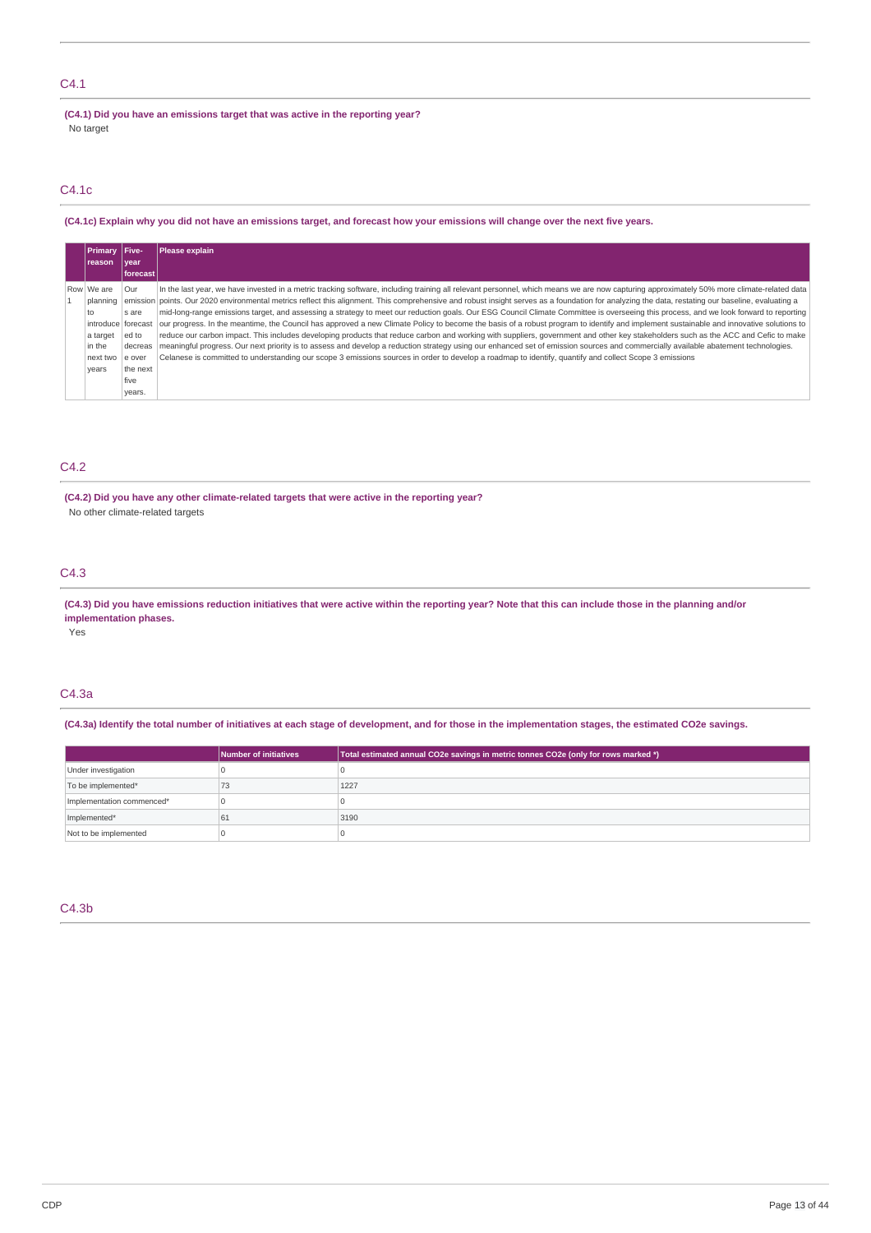# C4.1

**(C4.1) Did you have an emissions target that was active in the reporting year?** No target

# C4.1c

### (C4.1c) Explain why you did not have an emissions target, and forecast how your emissions will change over the next five years.

| Primary   Five-  |             | <b>Please explain</b>                                                                                                                                                                                     |
|------------------|-------------|-----------------------------------------------------------------------------------------------------------------------------------------------------------------------------------------------------------|
| Ireason          | <i>vear</i> |                                                                                                                                                                                                           |
|                  | forecast    |                                                                                                                                                                                                           |
| Row We are       | Our         | In the last year, we have invested in a metric tracking software, including training all relevant personnel, which means we are now capturing approximately 50% more climate-related data                 |
| planning         |             | emission points. Our 2020 environmental metrics reflect this alignment. This comprehensive and robust insight serves as a foundation for analyzing the data, restating our baseline, evaluating a         |
| to               | s are       | mid-long-range emissions target, and assessing a strategy to meet our reduction goals. Our ESG Council Climate Committee is overseeing this process, and we look forward to reporting                     |
|                  |             | introduce forecast our progress. In the meantime, the Council has approved a new Climate Policy to become the basis of a robust program to identify and implement sustainable and innovative solutions to |
| a target         | ed to       | reduce our carbon impact. This includes developing products that reduce carbon and working with suppliers, government and other key stakeholders such as the ACC and Cefic to make                        |
| in the           | decreas     | meaningful progress. Our next priority is to assess and develop a reduction strategy using our enhanced set of emission sources and commercially available abatement technologies.                        |
| next two le over |             | Celanese is committed to understanding our scope 3 emissions sources in order to develop a roadmap to identify, quantify and collect Scope 3 emissions                                                    |
| years            | the next    |                                                                                                                                                                                                           |
|                  | five        |                                                                                                                                                                                                           |
|                  | vears.      |                                                                                                                                                                                                           |

# C4.2

**(C4.2) Did you have any other climate-related targets that were active in the reporting year?** No other climate-related targets

# C4.3

(C4.3) Did you have emissions reduction initiatives that were active within the reporting year? Note that this can include those in the planning and/or **implementation phases.**

Yes

### C4.3a

(C4.3a) Identify the total number of initiatives at each stage of development, and for those in the implementation stages, the estimated CO2e savings.

|                           | Number of initiatives | Total estimated annual CO2e savings in metric tonnes CO2e (only for rows marked *) |
|---------------------------|-----------------------|------------------------------------------------------------------------------------|
| Under investigation       |                       |                                                                                    |
| To be implemented*        | 73                    | 1227                                                                               |
| Implementation commenced* |                       |                                                                                    |
| Implemented*              | 61                    | 3190                                                                               |
| Not to be implemented     |                       |                                                                                    |

# C4.3b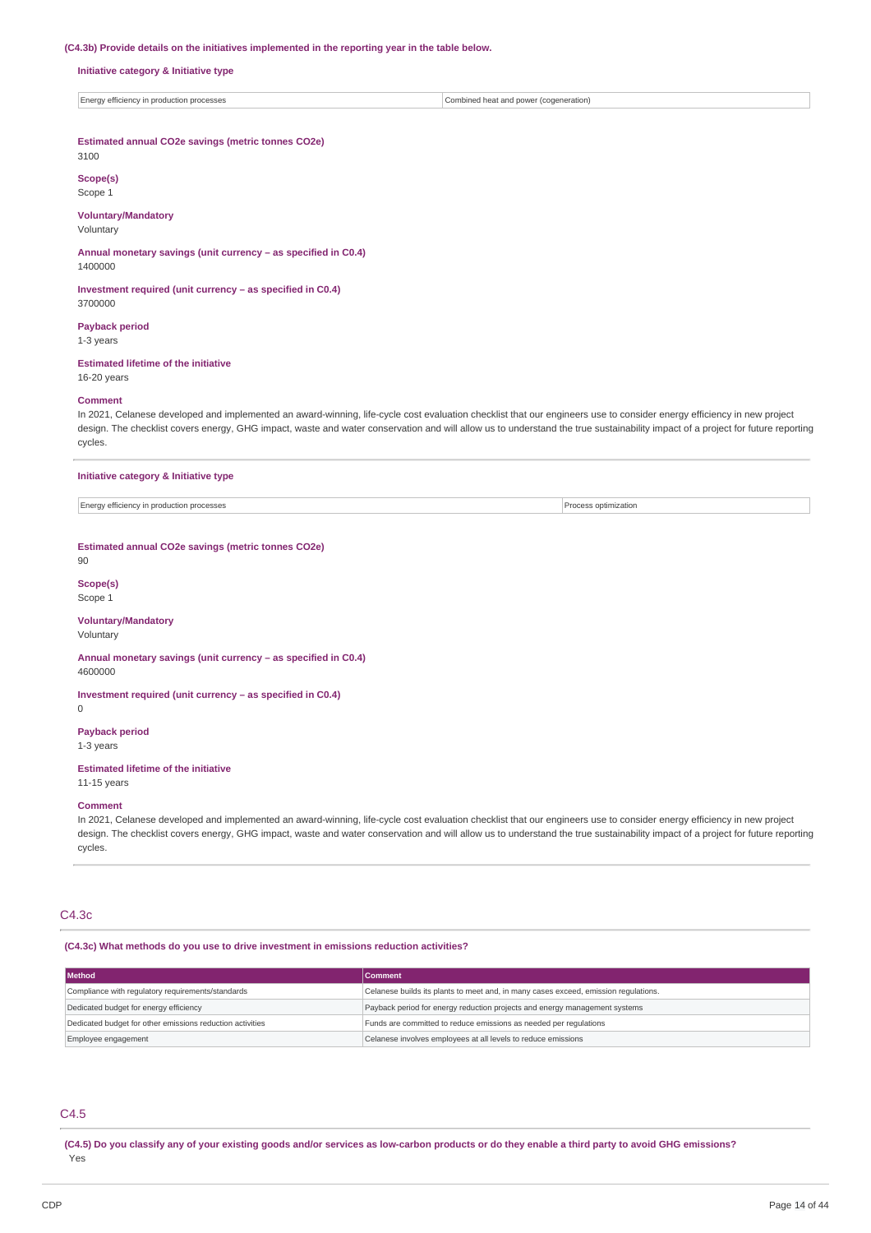#### **(C4.3b) Provide details on the initiatives implemented in the reporting year in the table below.**

#### **Initiative category & Initiative type**

### **Estimated annual CO2e savings (metric tonnes CO2e)**

3100

#### **Scope(s)** Scope 1

**Voluntary/Mandatory**

### Voluntary

**Annual monetary savings (unit currency – as specified in C0.4)** 1400000

**Investment required (unit currency – as specified in C0.4)** 3700000

#### **Payback period**

1-3 years

### **Estimated lifetime of the initiative**

# 16-20 years

#### **Comment**

In 2021, Celanese developed and implemented an award-winning, life-cycle cost evaluation checklist that our engineers use to consider energy efficiency in new project design. The checklist covers energy, GHG impact, waste and water conservation and will allow us to understand the true sustainability impact of a project for future reporting cycles.

### **Initiative category & Initiative type**

Energy efficiency in production processes **Process optimization** 

### **Estimated annual CO2e savings (metric tonnes CO2e)**

 $0<sub>0</sub>$ 

# **Scope(s)**

Scope 1

# **Voluntary/Mandatory**

Voluntary

#### **Annual monetary savings (unit currency – as specified in C0.4)** 4600000

**Investment required (unit currency – as specified in C0.4)**

### 0

**Payback period**

# 1-3 years

**Estimated lifetime of the initiative** 11-15 years

### **Comment**

In 2021, Celanese developed and implemented an award-winning, life-cycle cost evaluation checklist that our engineers use to consider energy efficiency in new project design. The checklist covers energy, GHG impact, waste and water conservation and will allow us to understand the true sustainability impact of a project for future reporting cycles.

#### C4.3c

### **(C4.3c) What methods do you use to drive investment in emissions reduction activities?**

| <b>Method</b>                                             | <b>Comment</b>                                                                      |  |
|-----------------------------------------------------------|-------------------------------------------------------------------------------------|--|
| Compliance with regulatory requirements/standards         | Celanese builds its plants to meet and, in many cases exceed, emission regulations. |  |
| Dedicated budget for energy efficiency                    | Payback period for energy reduction projects and energy management systems          |  |
| Dedicated budget for other emissions reduction activities | Funds are committed to reduce emissions as needed per regulations                   |  |
| Employee engagement                                       | Celanese involves employees at all levels to reduce emissions                       |  |

# C4.5

(C4.5) Do you classify any of your existing goods and/or services as low-carbon products or do they enable a third party to avoid GHG emissions? Yes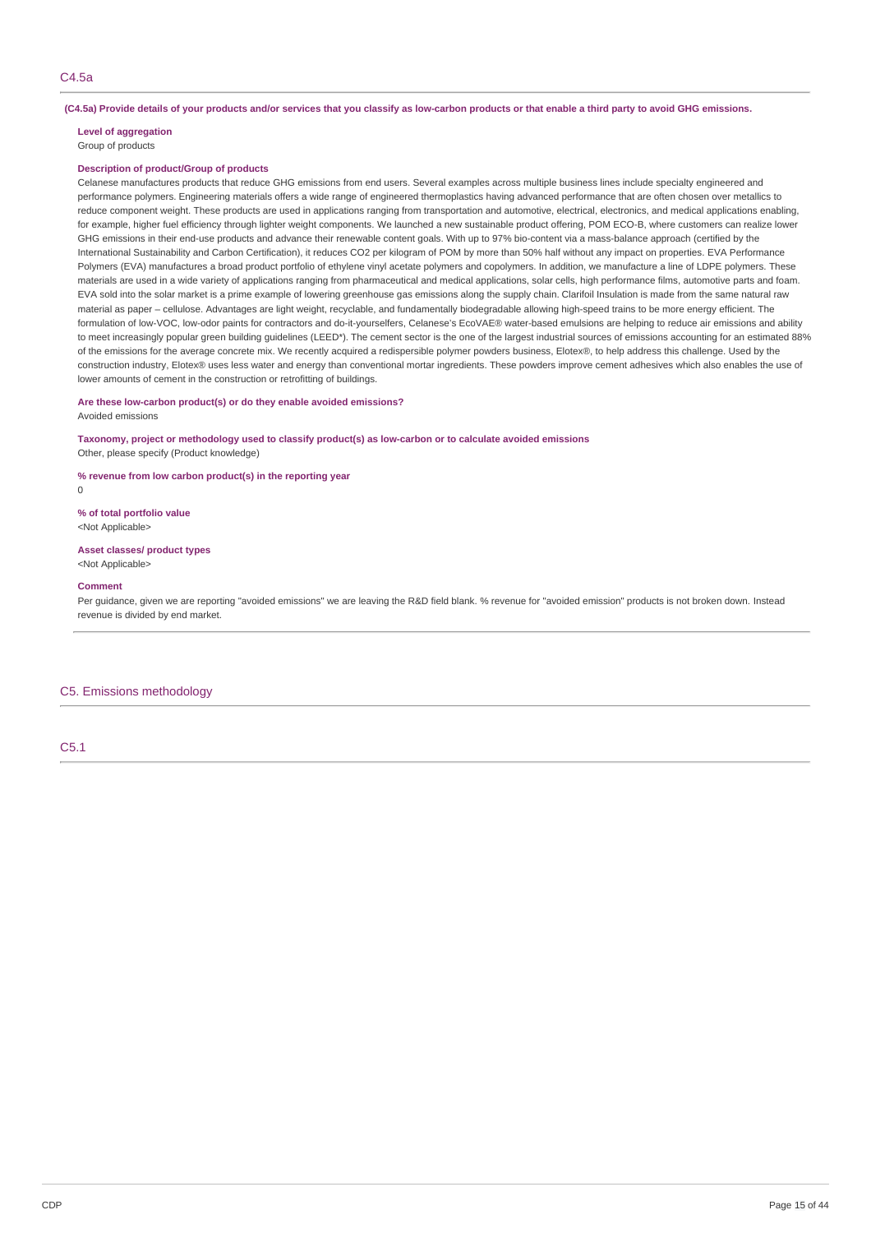#### (C4.5a) Provide details of your products and/or services that you classify as low-carbon products or that enable a third party to avoid GHG emissions.

# **Level of aggregation**

Group of products

### **Description of product/Group of products**

Celanese manufactures products that reduce GHG emissions from end users. Several examples across multiple business lines include specialty engineered and performance polymers. Engineering materials offers a wide range of engineered thermoplastics having advanced performance that are often chosen over metallics to reduce component weight. These products are used in applications ranging from transportation and automotive, electrical, electronics, and medical applications enabling. for example, higher fuel efficiency through lighter weight components. We launched a new sustainable product offering, POM ECO-B, where customers can realize lower GHG emissions in their end-use products and advance their renewable content goals. With up to 97% bio-content via a mass-balance approach (certified by the International Sustainability and Carbon Certification), it reduces CO2 per kilogram of POM by more than 50% half without any impact on properties. EVA Performance Polymers (EVA) manufactures a broad product portfolio of ethylene vinyl acetate polymers and copolymers. In addition, we manufacture a line of LDPE polymers. These materials are used in a wide variety of applications ranging from pharmaceutical and medical applications, solar cells, high performance films, automotive parts and foam. EVA sold into the solar market is a prime example of lowering greenhouse gas emissions along the supply chain. Clarifoil Insulation is made from the same natural raw material as paper – cellulose. Advantages are light weight, recyclable, and fundamentally biodegradable allowing high-speed trains to be more energy efficient. The formulation of low-VOC, low-odor paints for contractors and do-it-yourselfers, Celanese's EcoVAE® water-based emulsions are helping to reduce air emissions and ability to meet increasingly popular green building guidelines (LEED\*). The cement sector is the one of the largest industrial sources of emissions accounting for an estimated 88% of the emissions for the average concrete mix. We recently acquired a redispersible polymer powders business, Elotex®, to help address this challenge. Used by the construction industry, Elotex® uses less water and energy than conventional mortar ingredients. These powders improve cement adhesives which also enables the use of lower amounts of cement in the construction or retrofitting of buildings.

### **Are these low-carbon product(s) or do they enable avoided emissions?**

Avoided emissions

### **Taxonomy, project or methodology used to classify product(s) as low-carbon or to calculate avoided emissions** Other, please specify (Product knowledge)

**% revenue from low carbon product(s) in the reporting year**

 $\Omega$ 

**% of total portfolio value** <Not Applicable>

**Asset classes/ product types** <Not Applicable>

#### **Comment**

Per guidance, given we are reporting "avoided emissions" we are leaving the R&D field blank. % revenue for "avoided emission" products is not broken down. Instead revenue is divided by end market.

#### C5. Emissions methodology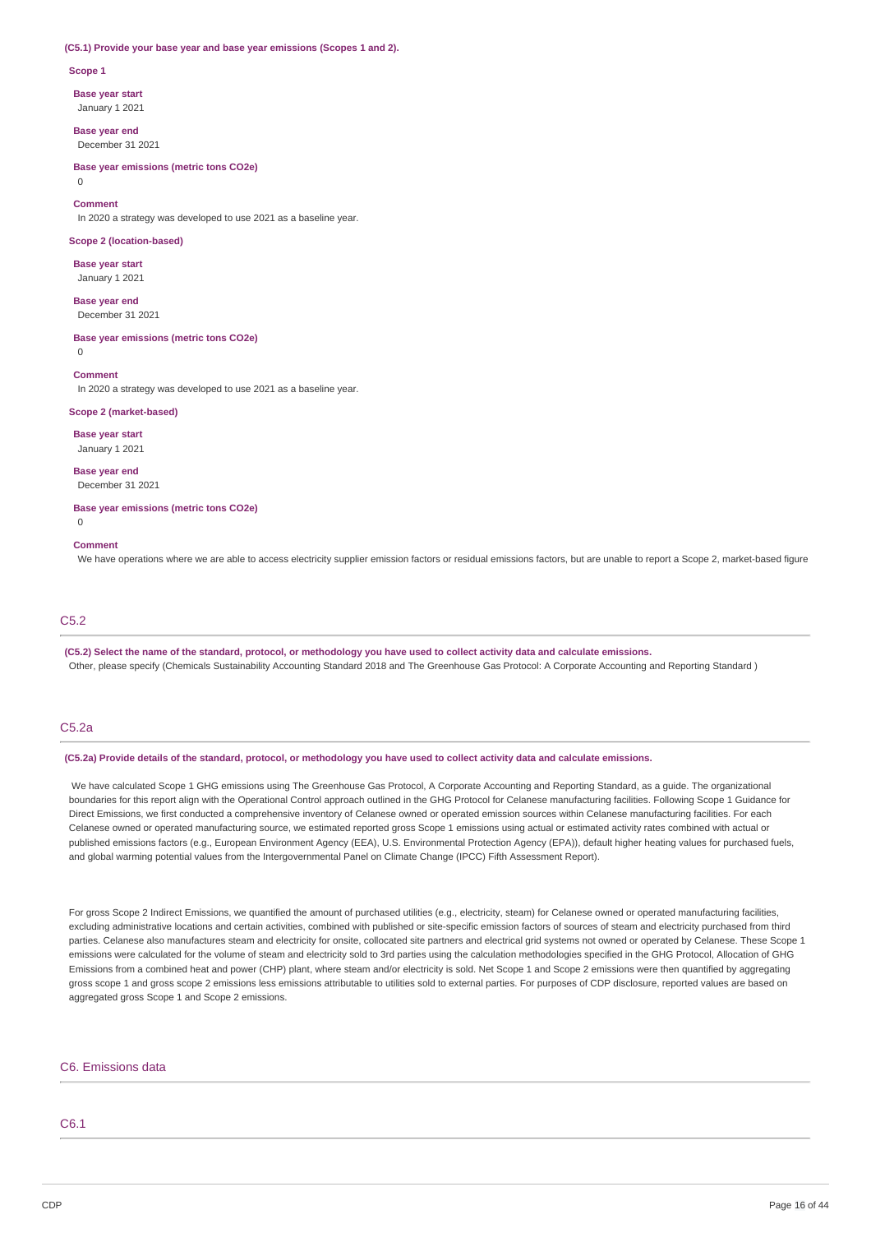#### **(C5.1) Provide your base year and base year emissions (Scopes 1 and 2).**

#### **Scope 1**

**Base year start**

January 1 2021

**Base year end** December 31 2021

**Base year emissions (metric tons CO2e)** 0

#### **Comment**

In 2020 a strategy was developed to use 2021 as a baseline year.

#### **Scope 2 (location-based)**

**Base year start** January 1 2021

**Base year end** December 31 2021

**Base year emissions (metric tons CO2e)**

 $\Omega$ 

**Comment**

In 2020 a strategy was developed to use 2021 as a baseline year.

### **Scope 2 (market-based)**

**Base year start** January 1 2021

**Base year end**

December 31 2021

**Base year emissions (metric tons CO2e)**

# $\overline{0}$

#### **Comment**

We have operations where we are able to access electricity supplier emission factors or residual emissions factors, but are unable to report a Scope 2, market-based figure

# C5.2

(C5.2) Select the name of the standard, protocol, or methodology you have used to collect activity data and calculate emissions. Other, please specify (Chemicals Sustainability Accounting Standard 2018 and The Greenhouse Gas Protocol: A Corporate Accounting and Reporting Standard )

### C5.2a

(C5.2a) Provide details of the standard, protocol, or methodology you have used to collect activity data and calculate emissions.

We have calculated Scope 1 GHG emissions using The Greenhouse Gas Protocol, A Corporate Accounting and Reporting Standard, as a guide. The organizational boundaries for this report align with the Operational Control approach outlined in the GHG Protocol for Celanese manufacturing facilities. Following Scope 1 Guidance for Direct Emissions, we first conducted a comprehensive inventory of Celanese owned or operated emission sources within Celanese manufacturing facilities. For each Celanese owned or operated manufacturing source, we estimated reported gross Scope 1 emissions using actual or estimated activity rates combined with actual or published emissions factors (e.g., European Environment Agency (EEA), U.S. Environmental Protection Agency (EPA)), default higher heating values for purchased fuels, and global warming potential values from the Intergovernmental Panel on Climate Change (IPCC) Fifth Assessment Report).

For gross Scope 2 Indirect Emissions, we quantified the amount of purchased utilities (e.g., electricity, steam) for Celanese owned or operated manufacturing facilities, excluding administrative locations and certain activities, combined with published or site-specific emission factors of sources of steam and electricity purchased from third parties. Celanese also manufactures steam and electricity for onsite, collocated site partners and electrical grid systems not owned or operated by Celanese. These Scope 1 emissions were calculated for the volume of steam and electricity sold to 3rd parties using the calculation methodologies specified in the GHG Protocol, Allocation of GHG Emissions from a combined heat and power (CHP) plant, where steam and/or electricity is sold. Net Scope 1 and Scope 2 emissions were then quantified by aggregating gross scope 1 and gross scope 2 emissions less emissions attributable to utilities sold to external parties. For purposes of CDP disclosure, reported values are based on aggregated gross Scope 1 and Scope 2 emissions.

### C6. Emissions data

### C6.1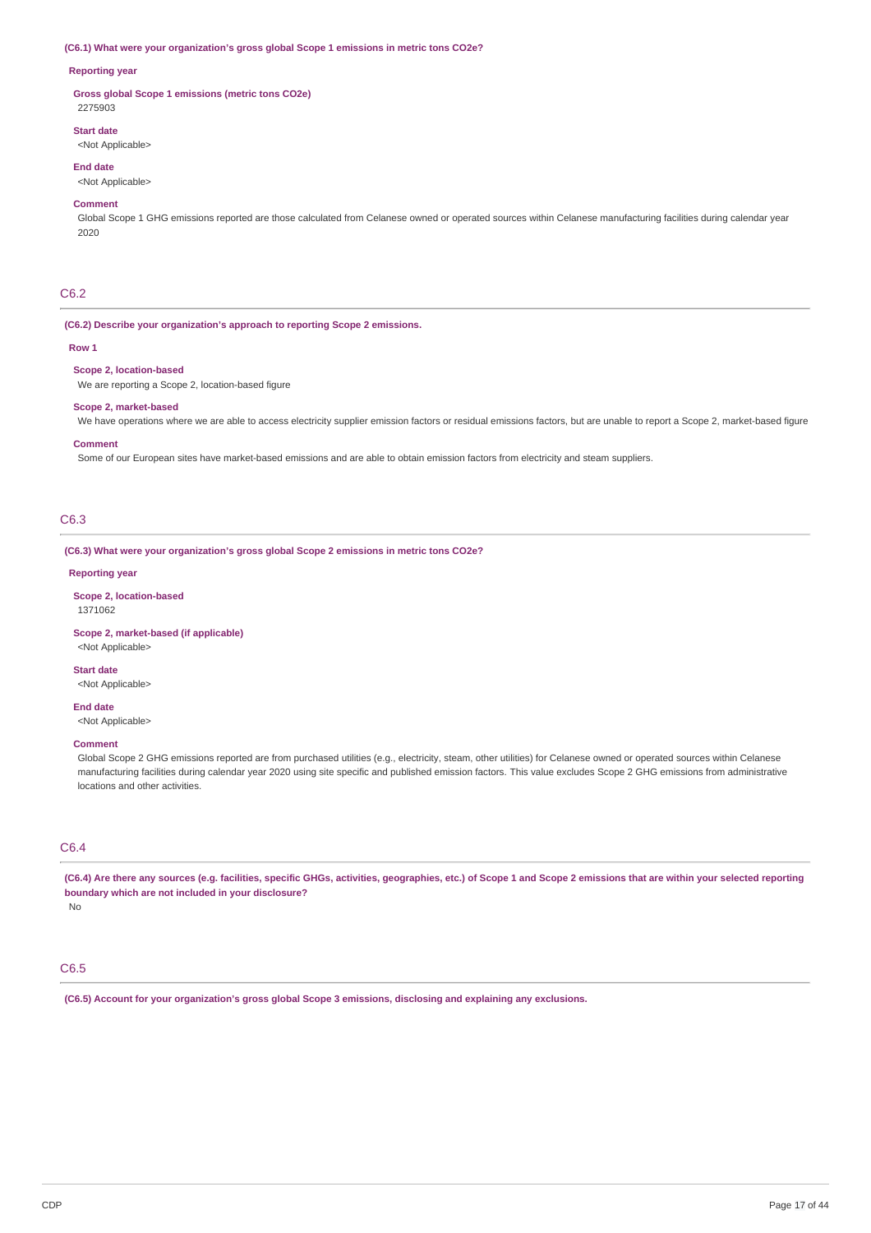#### **(C6.1) What were your organization's gross global Scope 1 emissions in metric tons CO2e?**

### **Reporting year**

**Gross global Scope 1 emissions (metric tons CO2e)** 2275903

# **Start date**

<Not Applicable>

#### **End date**

<Not Applicable>

### **Comment**

Global Scope 1 GHG emissions reported are those calculated from Celanese owned or operated sources within Celanese manufacturing facilities during calendar year 2020

### C6.2

#### **(C6.2) Describe your organization's approach to reporting Scope 2 emissions.**

#### **Row 1**

#### **Scope 2, location-based**

We are reporting a Scope 2, location-based figure

### **Scope 2, market-based**

We have operations where we are able to access electricity supplier emission factors or residual emissions factors, but are unable to report a Scope 2, market-based figure

#### **Comment**

Some of our European sites have market-based emissions and are able to obtain emission factors from electricity and steam suppliers.

# C6.3

**(C6.3) What were your organization's gross global Scope 2 emissions in metric tons CO2e?**

### **Reporting year**

**Scope 2, location-based** 1371062

### **Scope 2, market-based (if applicable)**

<Not Applicable>

**Start date** <Not Applicable>

# **End date**

<Not Applicable>

#### **Comment**

Global Scope 2 GHG emissions reported are from purchased utilities (e.g., electricity, steam, other utilities) for Celanese owned or operated sources within Celanese manufacturing facilities during calendar year 2020 using site specific and published emission factors. This value excludes Scope 2 GHG emissions from administrative locations and other activities.

### C6.4

(C6.4) Are there any sources (e.g. facilities, specific GHGs, activities, geographies, etc.) of Scope 1 and Scope 2 emissions that are within your selected reporting **boundary which are not included in your disclosure?**

No

# C6.5

**(C6.5) Account for your organization's gross global Scope 3 emissions, disclosing and explaining any exclusions.**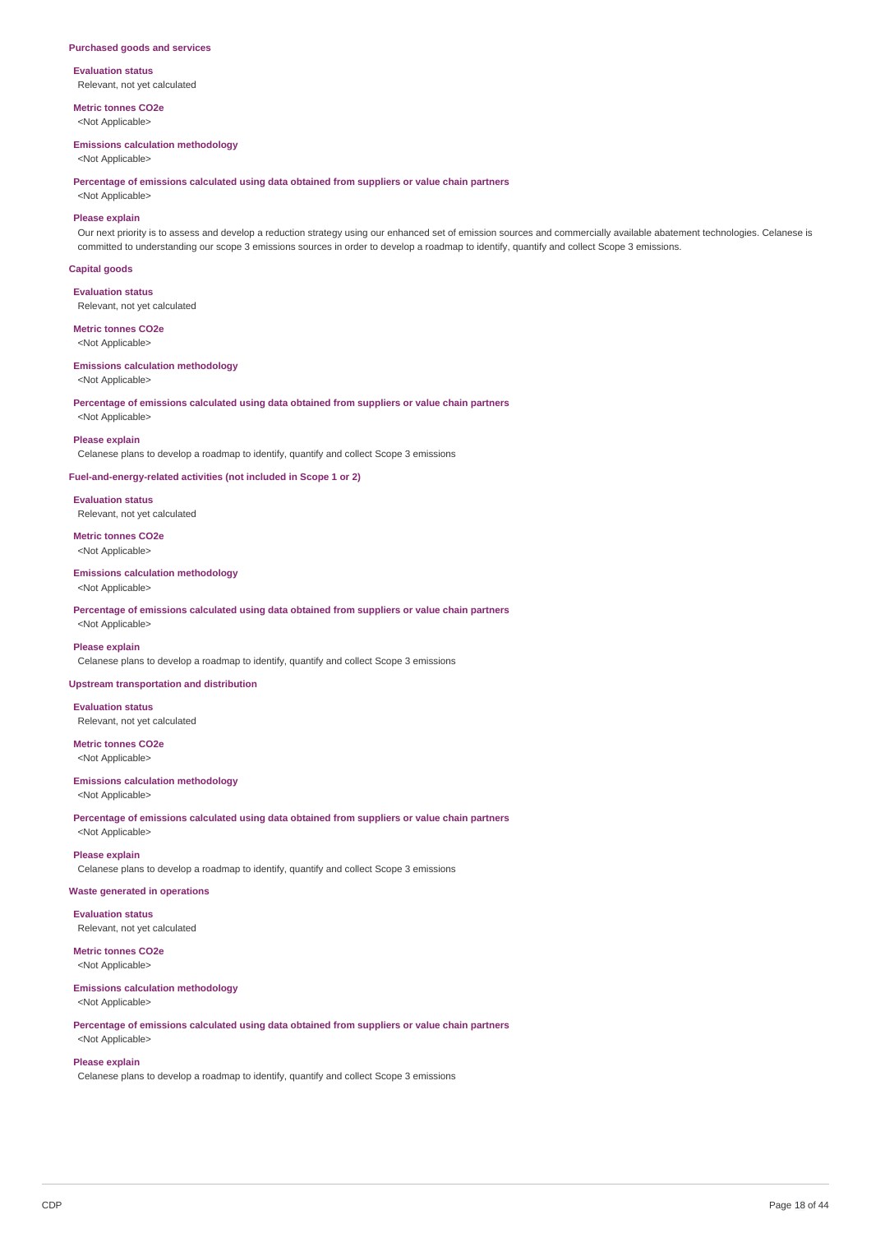#### **Purchased goods and services**

**Evaluation status** Relevant, not yet calculated

**Metric tonnes CO2e** <Not Applicable>

#### **Emissions calculation methodology**

<Not Applicable>

**Percentage of emissions calculated using data obtained from suppliers or value chain partners**

# <Not Applicable>

**Please explain** Our next priority is to assess and develop a reduction strategy using our enhanced set of emission sources and commercially available abatement technologies. Celanese is committed to understanding our scope 3 emissions sources in order to develop a roadmap to identify, quantify and collect Scope 3 emissions.

### **Capital goods**

**Evaluation status** Relevant, not yet calculated

# **Metric tonnes CO2e**

<Not Applicable>

# **Emissions calculation methodology**

<Not Applicable>

**Percentage of emissions calculated using data obtained from suppliers or value chain partners** <Not Applicable>

#### **Please explain**

Celanese plans to develop a roadmap to identify, quantify and collect Scope 3 emissions

### **Fuel-and-energy-related activities (not included in Scope 1 or 2)**

**Evaluation status** Relevant, not yet calculated

### **Metric tonnes CO2e** <Not Applicable>

**Emissions calculation methodology** <Not Applicable>

**Percentage of emissions calculated using data obtained from suppliers or value chain partners** <Not Applicable>

#### **Please explain**

Celanese plans to develop a roadmap to identify, quantify and collect Scope 3 emissions

### **Upstream transportation and distribution**

**Evaluation status** Relevant, not yet calculated

#### **Metric tonnes CO2e** <Not Applicable>

# **Emissions calculation methodology**

<Not Applicable>

**Percentage of emissions calculated using data obtained from suppliers or value chain partners** <Not Applicable>

### **Please explain**

Celanese plans to develop a roadmap to identify, quantify and collect Scope 3 emissions

### **Waste generated in operations**

**Evaluation status** Relevant, not yet calculated

# **Metric tonnes CO2e**

<Not Applicable>

# **Emissions calculation methodology**

<Not Applicable>

### **Percentage of emissions calculated using data obtained from suppliers or value chain partners** <Not Applicable>

### **Please explain**

Celanese plans to develop a roadmap to identify, quantify and collect Scope 3 emissions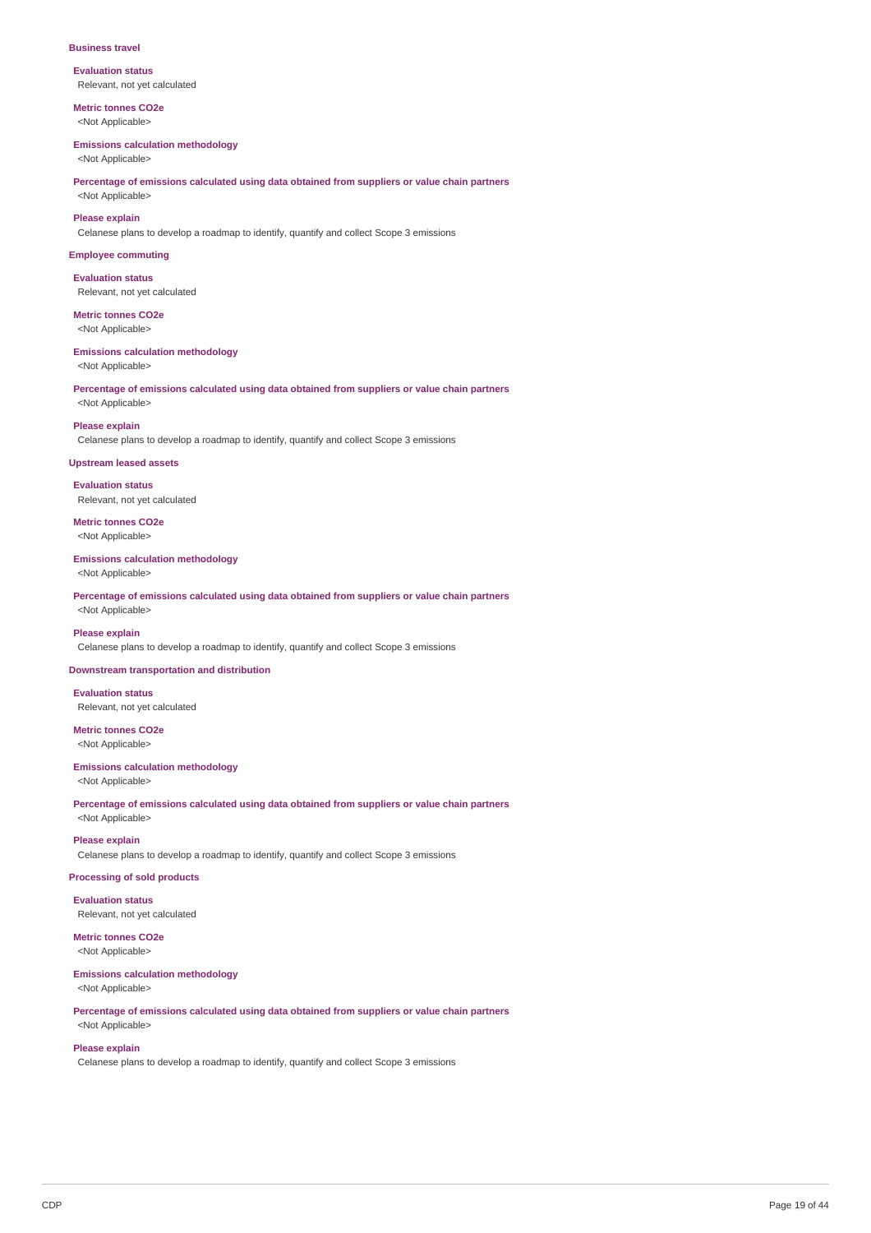#### **Business travel**

**Evaluation status** Relevant, not yet calculated

**Metric tonnes CO2e** <Not Applicable>

#### **Emissions calculation methodology**

<Not Applicable>

**Percentage of emissions calculated using data obtained from suppliers or value chain partners** <Not Applicable>

#### **Please explain**

Celanese plans to develop a roadmap to identify, quantify and collect Scope 3 emissions

### **Employee commuting**

**Evaluation status** Relevant, not yet calculated

#### **Metric tonnes CO2e** <Not Applicable>

#### **Emissions calculation methodology**

<Not Applicable>

**Percentage of emissions calculated using data obtained from suppliers or value chain partners** <Not Applicable>

#### **Please explain**

Celanese plans to develop a roadmap to identify, quantify and collect Scope 3 emissions

#### **Upstream leased assets**

**Evaluation status** Relevant, not yet calculated

**Metric tonnes CO2e** <Not Applicable>

#### **Emissions calculation methodology**

<Not Applicable>

**Percentage of emissions calculated using data obtained from suppliers or value chain partners** <Not Applicable>

### **Please explain**

Celanese plans to develop a roadmap to identify, quantify and collect Scope 3 emissions

### **Downstream transportation and distribution**

**Evaluation status** Relevant, not yet calculated

**Metric tonnes CO2e** <Not Applicable>

### **Emissions calculation methodology**

<Not Applicable>

**Percentage of emissions calculated using data obtained from suppliers or value chain partners** <Not Applicable>

#### **Please explain**

Celanese plans to develop a roadmap to identify, quantify and collect Scope 3 emissions

### **Processing of sold products**

**Evaluation status** Relevant, not yet calculated

# **Metric tonnes CO2e**

<Not Applicable>

#### **Emissions calculation methodology** <Not Applicable>

**Percentage of emissions calculated using data obtained from suppliers or value chain partners**

# <Not Applicable> **Please explain**

Celanese plans to develop a roadmap to identify, quantify and collect Scope 3 emissions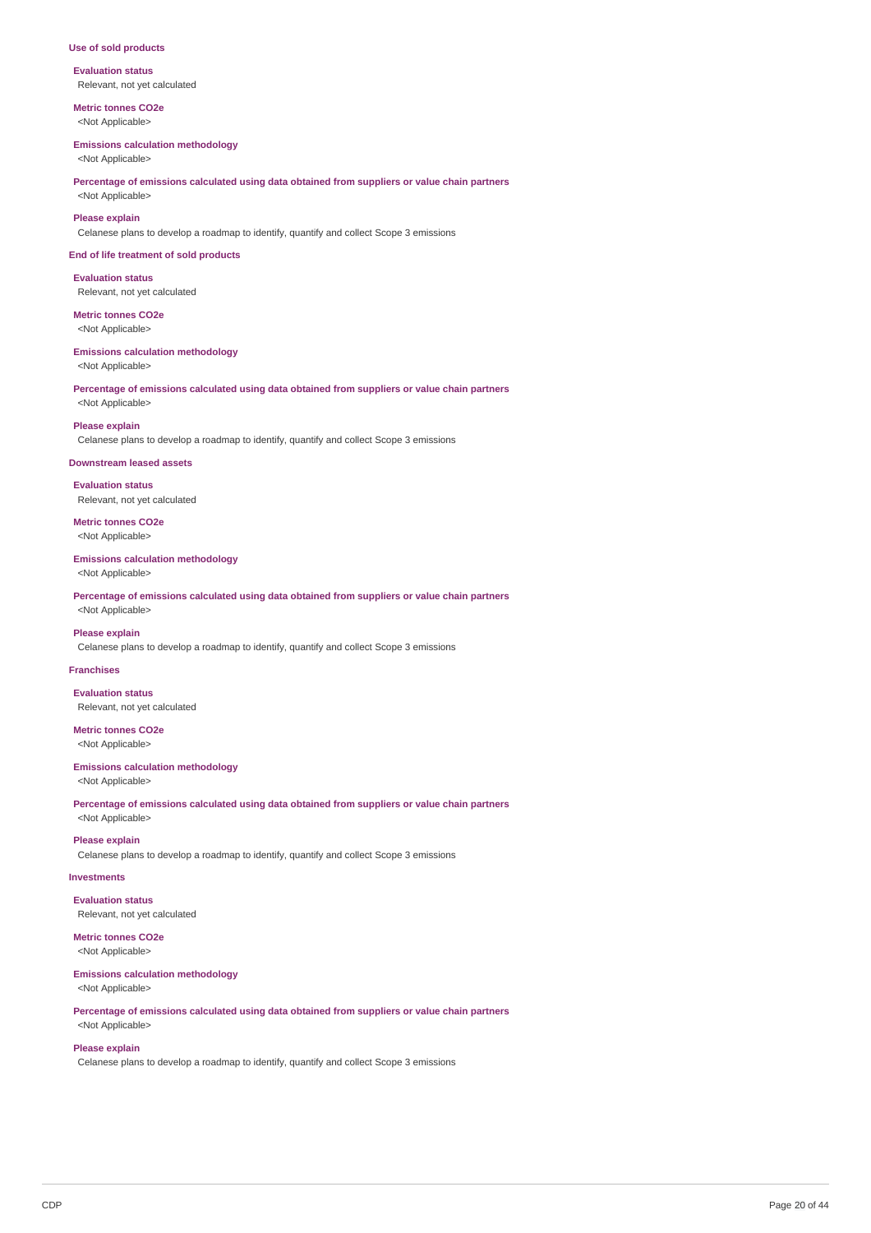#### **Use of sold products**

**Evaluation status** Relevant, not yet calculated

**Metric tonnes CO2e** <Not Applicable>

#### **Emissions calculation methodology**

<Not Applicable>

**Percentage of emissions calculated using data obtained from suppliers or value chain partners** <Not Applicable>

#### **Please explain**

Celanese plans to develop a roadmap to identify, quantify and collect Scope 3 emissions

**End of life treatment of sold products**

#### **Evaluation status** Relevant, not yet calculated

**Metric tonnes CO2e**

<Not Applicable>

#### **Emissions calculation methodology**

<Not Applicable>

**Percentage of emissions calculated using data obtained from suppliers or value chain partners** <Not Applicable>

#### **Please explain**

Celanese plans to develop a roadmap to identify, quantify and collect Scope 3 emissions

#### **Downstream leased assets**

**Evaluation status** Relevant, not yet calculated

**Metric tonnes CO2e** <Not Applicable>

#### **Emissions calculation methodology**

<Not Applicable>

**Percentage of emissions calculated using data obtained from suppliers or value chain partners** <Not Applicable>

### **Please explain**

Celanese plans to develop a roadmap to identify, quantify and collect Scope 3 emissions

### **Franchises**

**Evaluation status** Relevant, not yet calculated

# **Metric tonnes CO2e**

<Not Applicable>

#### **Emissions calculation methodology**

<Not Applicable>

**Percentage of emissions calculated using data obtained from suppliers or value chain partners** <Not Applicable>

### **Please explain**

Celanese plans to develop a roadmap to identify, quantify and collect Scope 3 emissions

### **Investments**

**Evaluation status** Relevant, not yet calculated

### **Metric tonnes CO2e**

<Not Applicable>

# **Emissions calculation methodology**

<Not Applicable>

**Percentage of emissions calculated using data obtained from suppliers or value chain partners** <Not Applicable>

### **Please explain**

Celanese plans to develop a roadmap to identify, quantify and collect Scope 3 emissions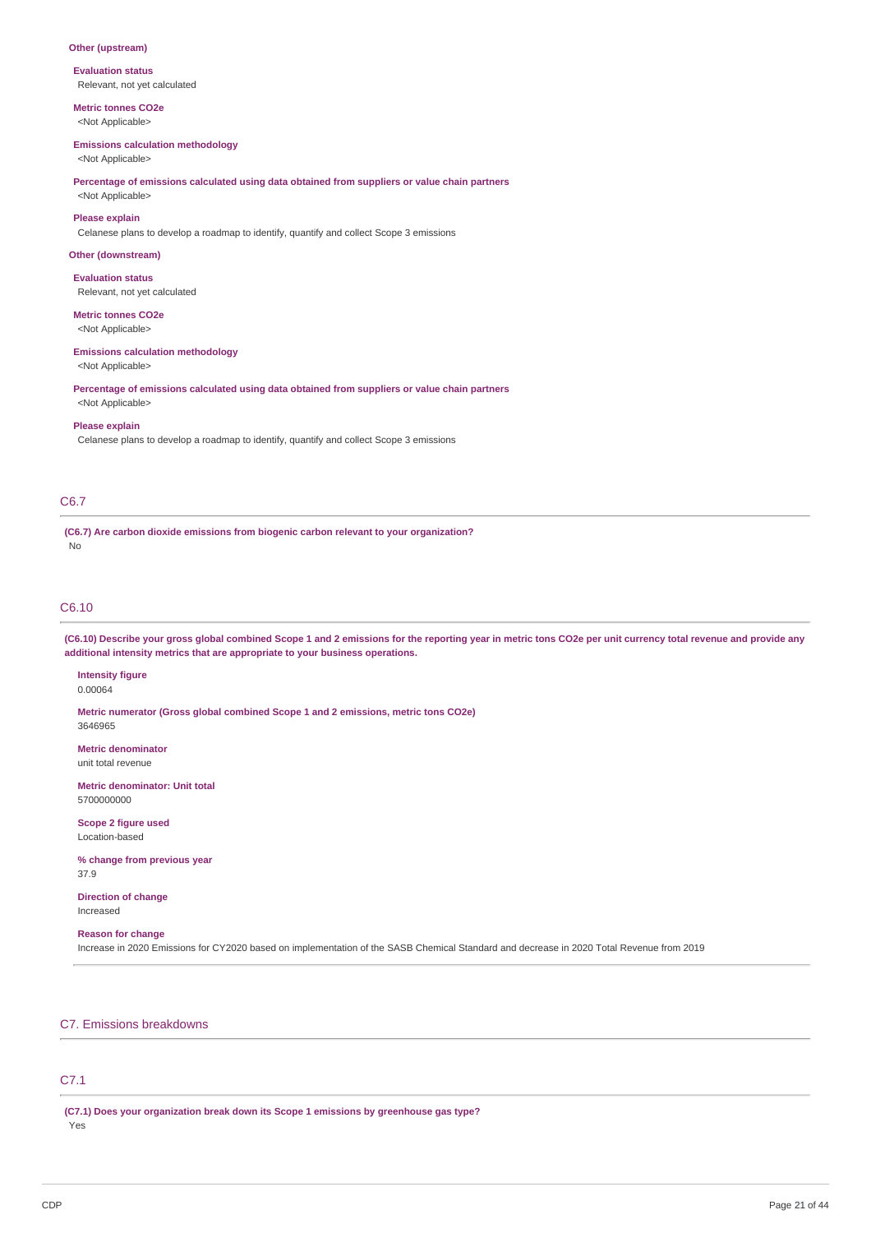### **Other (upstream)**

**Evaluation status** Relevant, not yet calculated

**Metric tonnes CO2e** <Not Applicable>

# **Emissions calculation methodology**

<Not Applicable>

### **Percentage of emissions calculated using data obtained from suppliers or value chain partners** <Not Applicable>

**Please explain**

Celanese plans to develop a roadmap to identify, quantify and collect Scope 3 emissions

### **Other (downstream)**

**Evaluation status** Relevant, not yet calculated

### **Metric tonnes CO2e**

<Not Applicable>

#### **Emissions calculation methodology**

<Not Applicable>

**Percentage of emissions calculated using data obtained from suppliers or value chain partners** <Not Applicable>

#### **Please explain**

Celanese plans to develop a roadmap to identify, quantify and collect Scope 3 emissions

### C6.7

**(C6.7) Are carbon dioxide emissions from biogenic carbon relevant to your organization?** No

### C6.10

(C6.10) Describe your gross global combined Scope 1 and 2 emissions for the reporting year in metric tons CO2e per unit currency total revenue and provide any **additional intensity metrics that are appropriate to your business operations.**

**Intensity figure** 0.00064

**Metric numerator (Gross global combined Scope 1 and 2 emissions, metric tons CO2e)** 3646965

**Metric denominator** unit total revenue

**Metric denominator: Unit total** 5700000000

**Scope 2 figure used** Location-based

**% change from previous year** 37.9

**Direction of change** Increased

### **Reason for change**

Increase in 2020 Emissions for CY2020 based on implementation of the SASB Chemical Standard and decrease in 2020 Total Revenue from 2019

### C7. Emissions breakdowns

# C7.1

**(C7.1) Does your organization break down its Scope 1 emissions by greenhouse gas type?** Yes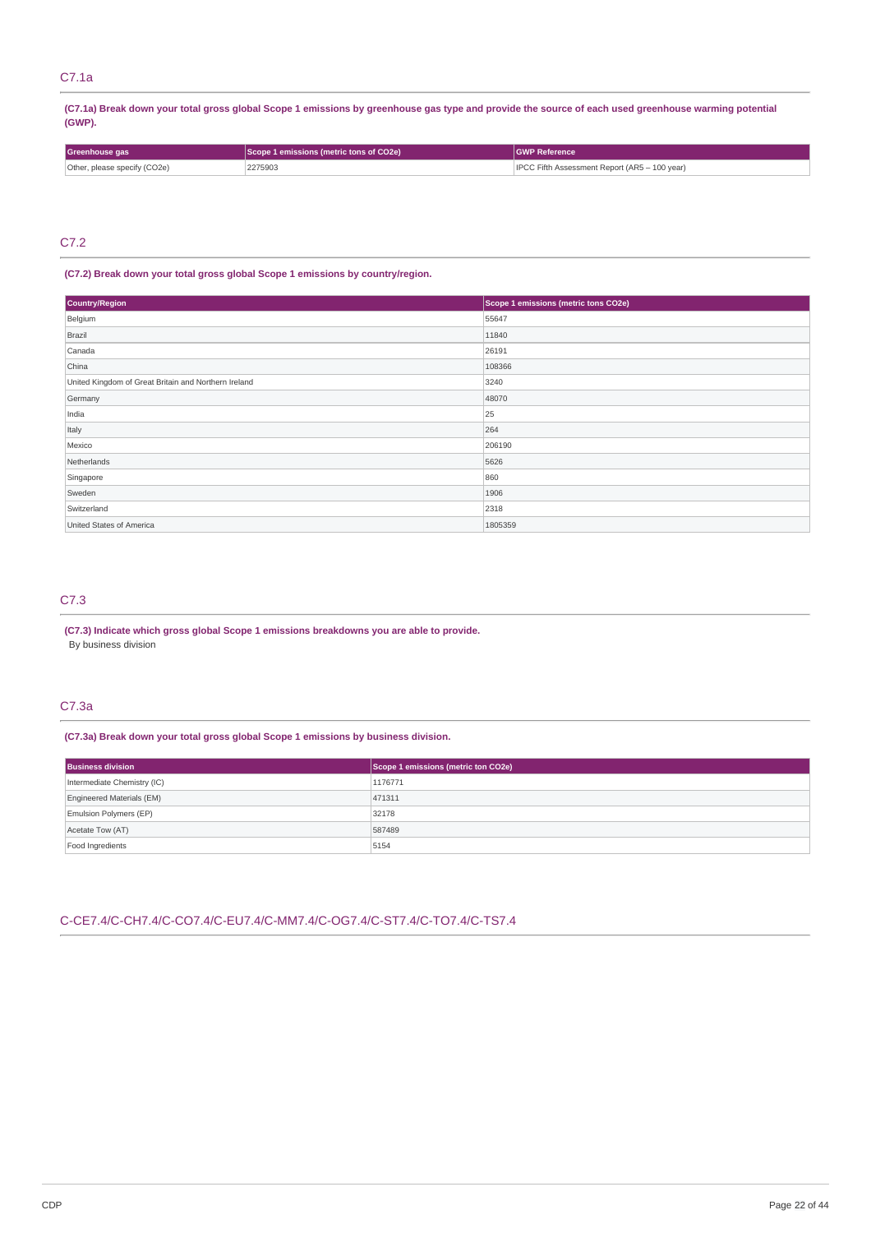# C7.1a

(C7.1a) Break down your total gross global Scope 1 emissions by greenhouse gas type and provide the source of each used greenhouse warming potential **(GWP).**

| Greenhouse gas               | Scope 1 emissions (metric tons of CO2e) | ' Reference                                   |
|------------------------------|-----------------------------------------|-----------------------------------------------|
| Other, please specify (CO2e) | 2275903                                 | IPCC Fifth Assessment Report (AR5 - 100 year) |

# C7.2

### **(C7.2) Break down your total gross global Scope 1 emissions by country/region.**

| Country/Region                                       | Scope 1 emissions (metric tons CO2e) |
|------------------------------------------------------|--------------------------------------|
| Belgium                                              | 55647                                |
| Brazil                                               | 11840                                |
| Canada                                               | 26191                                |
| China                                                | 108366                               |
| United Kingdom of Great Britain and Northern Ireland | 3240                                 |
| Germany                                              | 48070                                |
| India                                                | 25                                   |
| Italy                                                | 264                                  |
| Mexico                                               | 206190                               |
| Netherlands                                          | 5626                                 |
| Singapore                                            | 860                                  |
| Sweden                                               | 1906                                 |
| Switzerland                                          | 2318                                 |
| United States of America                             | 1805359                              |

### C7.3

**(C7.3) Indicate which gross global Scope 1 emissions breakdowns you are able to provide.** By business division

# C7.3a

# **(C7.3a) Break down your total gross global Scope 1 emissions by business division.**

| <b>Business division</b>    | Scope 1 emissions (metric ton CO2e) |
|-----------------------------|-------------------------------------|
| Intermediate Chemistry (IC) | 1176771                             |
| Engineered Materials (EM)   | 471311                              |
| Emulsion Polymers (EP)      | 32178                               |
| Acetate Tow (AT)            | 587489                              |
| Food Ingredients            | 5154                                |

# C-CE7.4/C-CH7.4/C-CO7.4/C-EU7.4/C-MM7.4/C-OG7.4/C-ST7.4/C-TO7.4/C-TS7.4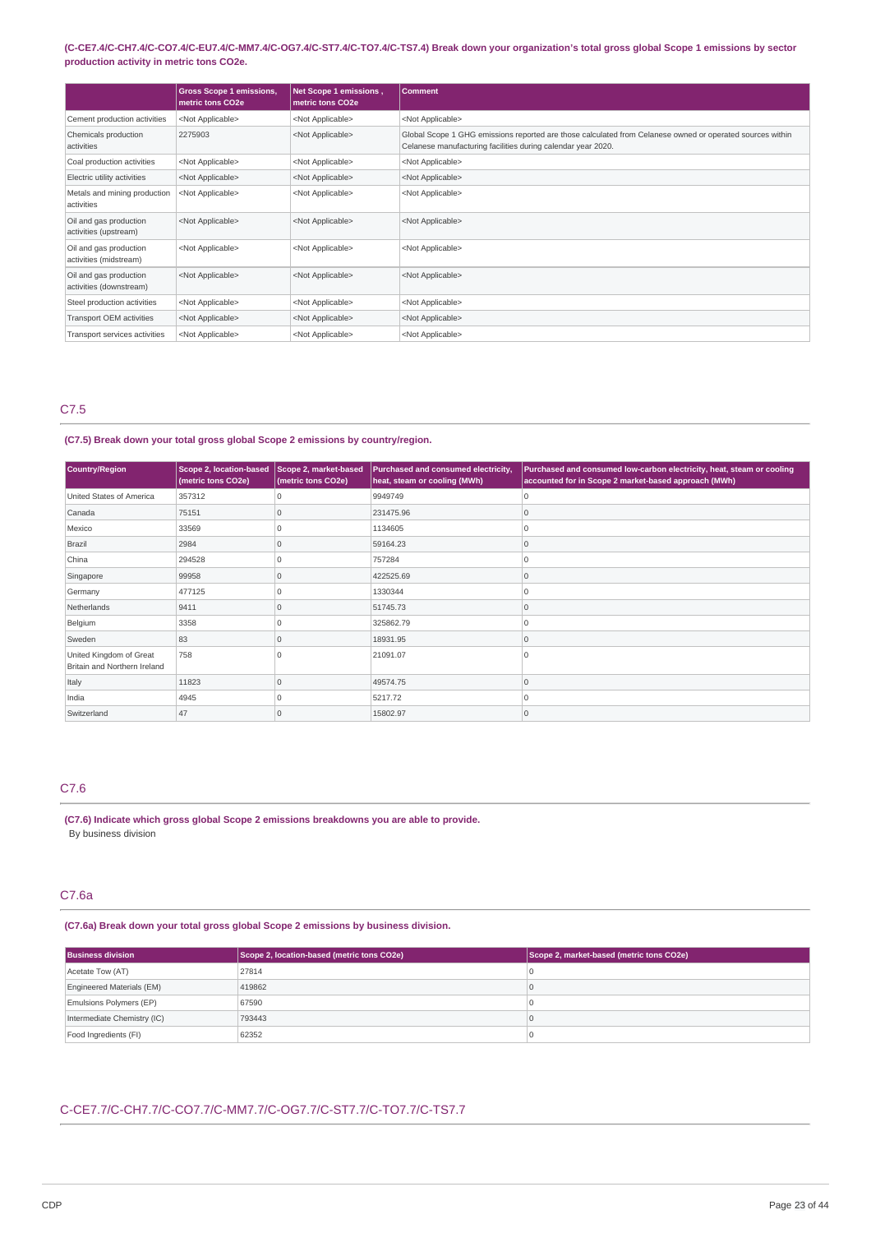### (C-CE7.4/C-CH7.4/C-CO7.4/C-EU7.4/C-MM7.4/C-OG7.4/C-ST7.4/C-TO7.4/C-TS7.4) Break down your organization's total gross global Scope 1 emissions by sector **production activity in metric tons CO2e.**

|                                                   | <b>Gross Scope 1 emissions,</b><br>metric tons CO2e | Net Scope 1 emissions,<br>metric tons CO2e | <b>Comment</b>                                                                                                                                                            |
|---------------------------------------------------|-----------------------------------------------------|--------------------------------------------|---------------------------------------------------------------------------------------------------------------------------------------------------------------------------|
| Cement production activities                      | <not applicable=""></not>                           | <not applicable=""></not>                  | <not applicable=""></not>                                                                                                                                                 |
| Chemicals production<br>activities                | 2275903                                             | <not applicable=""></not>                  | Global Scope 1 GHG emissions reported are those calculated from Celanese owned or operated sources within<br>Celanese manufacturing facilities during calendar year 2020. |
| Coal production activities                        | <not applicable=""></not>                           | <not applicable=""></not>                  | <not applicable=""></not>                                                                                                                                                 |
| Electric utility activities                       | <not applicable=""></not>                           | <not applicable=""></not>                  | <not applicable=""></not>                                                                                                                                                 |
| Metals and mining production<br>activities        | <not applicable=""></not>                           | <not applicable=""></not>                  | <not applicable=""></not>                                                                                                                                                 |
| Oil and gas production<br>activities (upstream)   | <not applicable=""></not>                           | <not applicable=""></not>                  | <not applicable=""></not>                                                                                                                                                 |
| Oil and gas production<br>activities (midstream)  | <not applicable=""></not>                           | <not applicable=""></not>                  | <not applicable=""></not>                                                                                                                                                 |
| Oil and gas production<br>activities (downstream) | <not applicable=""></not>                           | <not applicable=""></not>                  | <not applicable=""></not>                                                                                                                                                 |
| Steel production activities                       | <not applicable=""></not>                           | <not applicable=""></not>                  | <not applicable=""></not>                                                                                                                                                 |
| Transport OEM activities                          | <not applicable=""></not>                           | <not applicable=""></not>                  | <not applicable=""></not>                                                                                                                                                 |
| Transport services activities                     | <not applicable=""></not>                           | <not applicable=""></not>                  | <not applicable=""></not>                                                                                                                                                 |

# C7.5

### **(C7.5) Break down your total gross global Scope 2 emissions by country/region.**

| Country/Region                                          | <b>Scope 2, location-based</b><br>(metric tons CO2e) | Scope 2, market-based<br>(metric tons CO2e) | Purchased and consumed electricity,<br>heat, steam or cooling (MWh) | Purchased and consumed low-carbon electricity, heat, steam or cooling<br>accounted for in Scope 2 market-based approach (MWh) |
|---------------------------------------------------------|------------------------------------------------------|---------------------------------------------|---------------------------------------------------------------------|-------------------------------------------------------------------------------------------------------------------------------|
| United States of America                                | 357312                                               |                                             | 9949749                                                             |                                                                                                                               |
| Canada                                                  | 75151                                                | $\Omega$                                    | 231475.96                                                           | 10                                                                                                                            |
| Mexico                                                  | 33569                                                |                                             | 1134605                                                             | In                                                                                                                            |
| Brazil                                                  | 2984                                                 | $\Omega$                                    | 59164.23                                                            | 10                                                                                                                            |
| China                                                   | 294528                                               |                                             | 757284                                                              | ١O                                                                                                                            |
| Singapore                                               | 99958                                                | $\Omega$                                    | 422525.69                                                           | 10                                                                                                                            |
| Germany                                                 | 477125                                               |                                             | 1330344                                                             | $\Omega$                                                                                                                      |
| Netherlands                                             | 9411                                                 |                                             | 51745.73                                                            | 10                                                                                                                            |
| Belgium                                                 | 3358                                                 | $\Omega$                                    | 325862.79                                                           | $\Omega$                                                                                                                      |
| Sweden                                                  | 83                                                   | $\Omega$                                    | 18931.95                                                            | $\Omega$                                                                                                                      |
| United Kingdom of Great<br>Britain and Northern Ireland | 758                                                  |                                             | 21091.07                                                            | ١O                                                                                                                            |
| Italy                                                   | 11823                                                | $\Omega$                                    | 49574.75                                                            | $\Omega$                                                                                                                      |
| India                                                   | 4945                                                 | $\Omega$                                    | 5217.72                                                             | 10                                                                                                                            |
| Switzerland                                             | 47                                                   | $\Omega$                                    | 15802.97                                                            | 10                                                                                                                            |

# C7.6

**(C7.6) Indicate which gross global Scope 2 emissions breakdowns you are able to provide.** By business division

# C7.6a

### **(C7.6a) Break down your total gross global Scope 2 emissions by business division.**

| Scope 2, location-based (metric tons CO2e)<br><b>Business division</b> |        | Scope 2, market-based (metric tons CO2e) |
|------------------------------------------------------------------------|--------|------------------------------------------|
| Acetate Tow (AT)                                                       | 27814  |                                          |
| Engineered Materials (EM)                                              | 419862 |                                          |
| Emulsions Polymers (EP)                                                | 67590  |                                          |
| Intermediate Chemistry (IC)                                            | 793443 |                                          |
| Food Ingredients (FI)                                                  | 62352  |                                          |

### C-CE7.7/C-CH7.7/C-CO7.7/C-MM7.7/C-OG7.7/C-ST7.7/C-TO7.7/C-TS7.7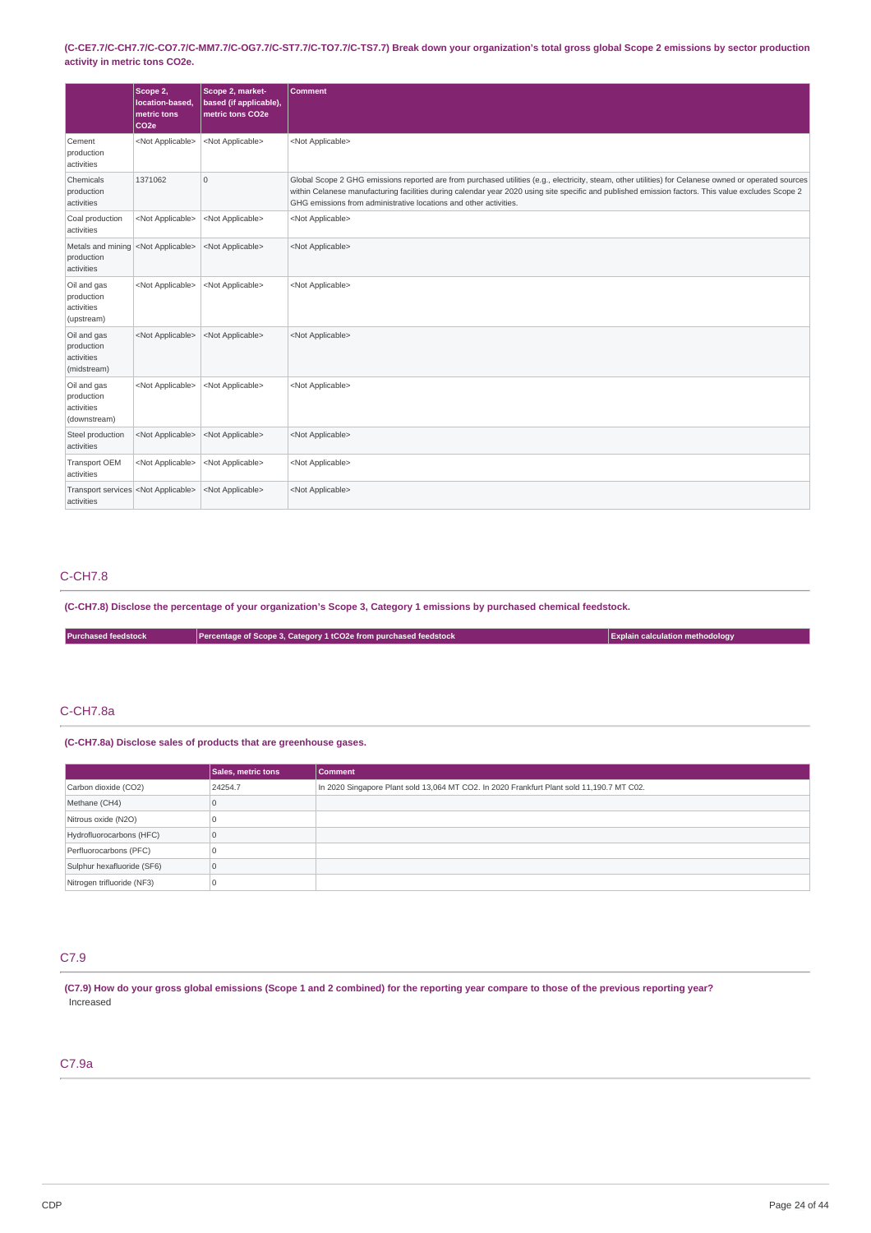(C-CE7.7/C-CH7.7/C-CO7.7/C-MM7.7/C-OG7.7/C-ST7.7/C-TO7.7/C-TS7.7) Break down your organization's total gross global Scope 2 emissions by sector production **activity in metric tons CO2e.**

|                                                             | Scope 2,<br>location-based,<br>metric tons<br>CO <sub>2e</sub> | Scope 2, market-<br>based (if applicable),<br>metric tons CO2e | <b>Comment</b>                                                                                                                                                                                                                                                                                                                                                                   |
|-------------------------------------------------------------|----------------------------------------------------------------|----------------------------------------------------------------|----------------------------------------------------------------------------------------------------------------------------------------------------------------------------------------------------------------------------------------------------------------------------------------------------------------------------------------------------------------------------------|
| Cement<br>production<br>activities                          | <not applicable=""></not>                                      | <not applicable=""></not>                                      | <not applicable=""></not>                                                                                                                                                                                                                                                                                                                                                        |
| Chemicals<br>production<br>activities                       | 1371062                                                        | $\overline{0}$                                                 | Global Scope 2 GHG emissions reported are from purchased utilities (e.g., electricity, steam, other utilities) for Celanese owned or operated sources<br>within Celanese manufacturing facilities during calendar year 2020 using site specific and published emission factors. This value excludes Scope 2<br>GHG emissions from administrative locations and other activities. |
| Coal production<br>activities                               | <not applicable=""></not>                                      | <not applicable=""></not>                                      | <not applicable=""></not>                                                                                                                                                                                                                                                                                                                                                        |
| Metals and mining<br>production<br>activities               | <not applicable=""></not>                                      | <not applicable=""></not>                                      | <not applicable=""></not>                                                                                                                                                                                                                                                                                                                                                        |
| Oil and gas<br>production<br>activities<br>(upstream)       | <not applicable=""></not>                                      | <not applicable=""></not>                                      | <not applicable=""></not>                                                                                                                                                                                                                                                                                                                                                        |
| Oil and gas<br>production<br>activities<br>(midstream)      | <not applicable=""></not>                                      | <not applicable=""></not>                                      | <not applicable=""></not>                                                                                                                                                                                                                                                                                                                                                        |
| Oil and gas<br>production<br>activities<br>(downstream)     | <not applicable=""></not>                                      | <not applicable=""></not>                                      | <not applicable=""></not>                                                                                                                                                                                                                                                                                                                                                        |
| Steel production<br>activities                              | <not applicable=""></not>                                      | <not applicable=""></not>                                      | <not applicable=""></not>                                                                                                                                                                                                                                                                                                                                                        |
| <b>Transport OEM</b><br>activities                          | <not applicable=""></not>                                      | <not applicable=""></not>                                      | <not applicable=""></not>                                                                                                                                                                                                                                                                                                                                                        |
| Transport services <not applicable=""><br/>activities</not> |                                                                | <not applicable=""></not>                                      | <not applicable=""></not>                                                                                                                                                                                                                                                                                                                                                        |

# C-CH7.8

(C-CH7.8) Disclose the percentage of your organization's Scope 3, Category 1 emissions by purchased chemical feedstock.

**Purchased feedstock Percentage** of **Scope 3, Category 1 tCO2e** from purchased feedstock **Explain Explain** calculation methodology

# C-CH7.8a

**(C-CH7.8a) Disclose sales of products that are greenhouse gases.**

|                            | Sales, metric tons | <b>Comment</b>                                                                            |
|----------------------------|--------------------|-------------------------------------------------------------------------------------------|
| Carbon dioxide (CO2)       | 24254.7            | In 2020 Singapore Plant sold 13,064 MT CO2. In 2020 Frankfurt Plant sold 11,190.7 MT C02. |
| Methane (CH4)              |                    |                                                                                           |
| Nitrous oxide (N2O)        |                    |                                                                                           |
| Hydrofluorocarbons (HFC)   |                    |                                                                                           |
| Perfluorocarbons (PFC)     |                    |                                                                                           |
| Sulphur hexafluoride (SF6) |                    |                                                                                           |
| Nitrogen trifluoride (NF3) |                    |                                                                                           |

### C7.9

(C7.9) How do your gross global emissions (Scope 1 and 2 combined) for the reporting year compare to those of the previous reporting year? Increased

# C7.9a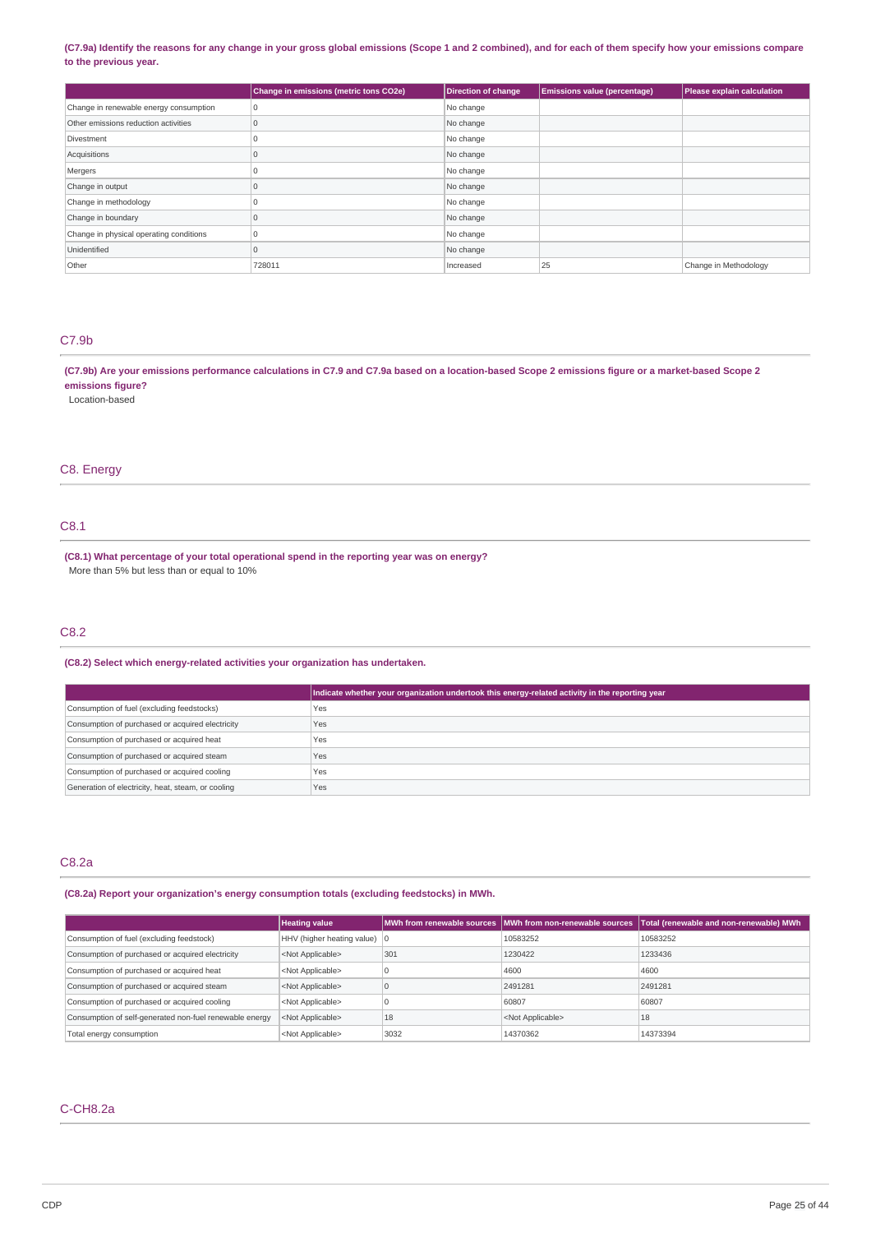### (C7.9a) Identify the reasons for any change in your gross global emissions (Scope 1 and 2 combined), and for each of them specify how your emissions compare **to the previous year.**

|                                         | Change in emissions (metric tons CO2e) | <b>Direction of change</b> | <b>Emissions value (percentage)</b> | Please explain calculation |
|-----------------------------------------|----------------------------------------|----------------------------|-------------------------------------|----------------------------|
| Change in renewable energy consumption  | $\Omega$                               | No change                  |                                     |                            |
| Other emissions reduction activities    | $\Omega$                               | No change                  |                                     |                            |
| Divestment                              |                                        | No change                  |                                     |                            |
| Acquisitions                            |                                        | No change                  |                                     |                            |
| Mergers                                 |                                        | No change                  |                                     |                            |
| Change in output                        | $\Omega$                               | No change                  |                                     |                            |
| Change in methodology                   |                                        | No change                  |                                     |                            |
| Change in boundary                      | 0                                      | No change                  |                                     |                            |
| Change in physical operating conditions | $\Omega$                               | No change                  |                                     |                            |
| Unidentified                            | 0                                      | No change                  |                                     |                            |
| Other                                   | 728011                                 | Increased                  | 25                                  | Change in Methodology      |

### C7.9b

(C7.9b) Are your emissions performance calculations in C7.9 and C7.9a based on a location-based Scope 2 emissions figure or a market-based Scope 2 **emissions figure?**

Location-based

### C8. Energy

# C8.1

**(C8.1) What percentage of your total operational spend in the reporting year was on energy?** More than 5% but less than or equal to 10%

## C8.2

### **(C8.2) Select which energy-related activities your organization has undertaken.**

|                                                    | Indicate whether your organization undertook this energy-related activity in the reporting year |
|----------------------------------------------------|-------------------------------------------------------------------------------------------------|
| Consumption of fuel (excluding feedstocks)         | <b>Yes</b>                                                                                      |
| Consumption of purchased or acquired electricity   | Yes                                                                                             |
| Consumption of purchased or acquired heat          | Yes                                                                                             |
| Consumption of purchased or acquired steam         | Yes                                                                                             |
| Consumption of purchased or acquired cooling       | <b>Yes</b>                                                                                      |
| Generation of electricity, heat, steam, or cooling | Yes                                                                                             |

### C8.2a

### **(C8.2a) Report your organization's energy consumption totals (excluding feedstocks) in MWh.**

|                                                         | <b>Heating value</b>         |      | MWh from renewable sources MWh from non-renewable sources | Total (renewable and non-renewable) MWh |
|---------------------------------------------------------|------------------------------|------|-----------------------------------------------------------|-----------------------------------------|
| Consumption of fuel (excluding feedstock)               | HHV (higher heating value) 0 |      | 10583252                                                  | 10583252                                |
| Consumption of purchased or acquired electricity        | <not applicable=""></not>    | 301  | 1230422                                                   | 1233436                                 |
| Consumption of purchased or acquired heat               | <not applicable=""></not>    |      | 4600                                                      | 4600                                    |
| Consumption of purchased or acquired steam              | <not applicable=""></not>    |      | 2491281                                                   | 2491281                                 |
| Consumption of purchased or acquired cooling            | <not applicable=""></not>    |      | 60807                                                     | 60807                                   |
| Consumption of self-generated non-fuel renewable energy | <not applicable=""></not>    | 18   | <not applicable=""></not>                                 | 18                                      |
| Total energy consumption                                | <not applicable=""></not>    | 3032 | 14370362                                                  | 14373394                                |

# C-CH8.2a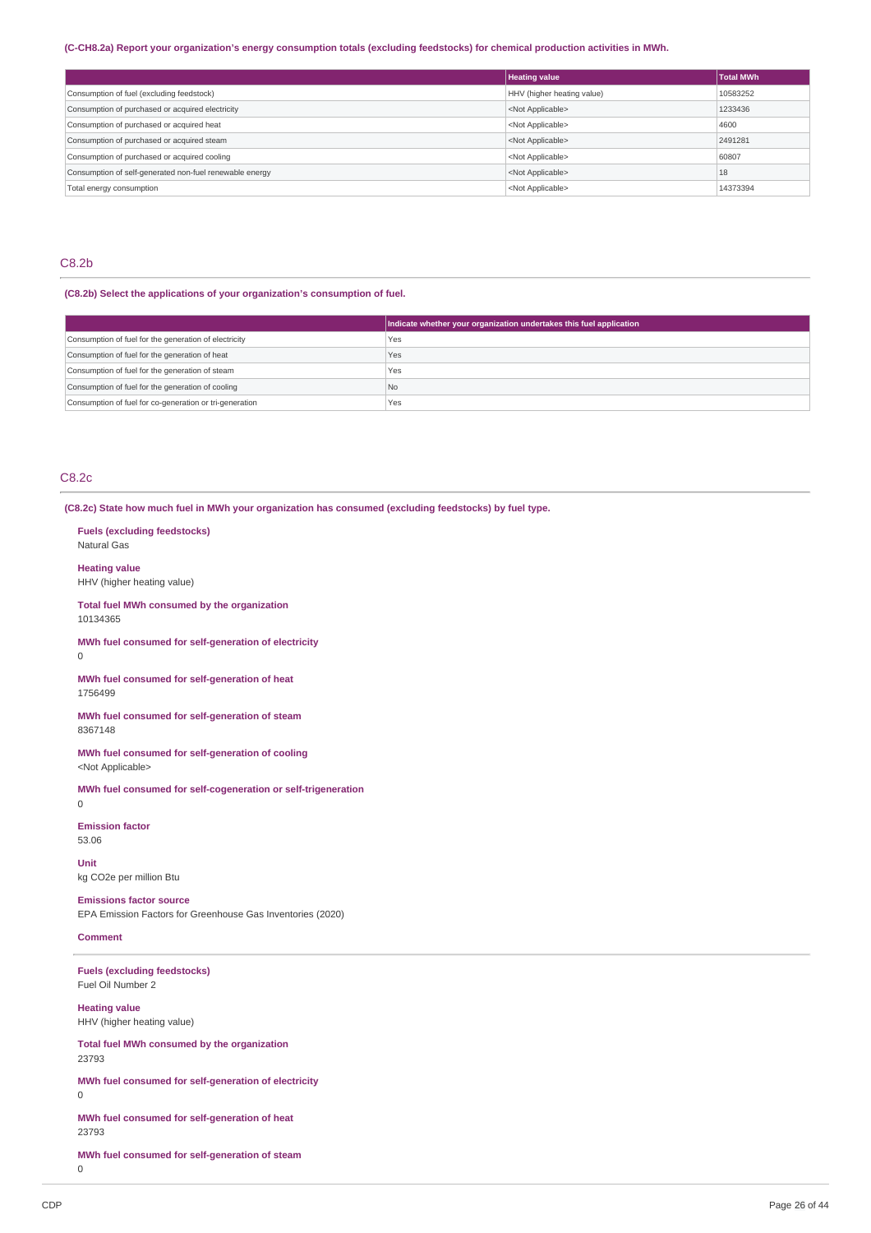### (C-CH8.2a) Report your organization's energy consumption totals (excluding feedstocks) for chemical production activities in MWh.

|                                                         | <b>Heating value</b>       | <b>Total MWh</b> |
|---------------------------------------------------------|----------------------------|------------------|
| Consumption of fuel (excluding feedstock)               | HHV (higher heating value) | 10583252         |
| Consumption of purchased or acquired electricity        | <not applicable=""></not>  | 1233436          |
| Consumption of purchased or acquired heat               | <not applicable=""></not>  | 4600             |
| Consumption of purchased or acquired steam              | <not applicable=""></not>  | 2491281          |
| Consumption of purchased or acquired cooling            | <not applicable=""></not>  | 60807            |
| Consumption of self-generated non-fuel renewable energy | <not applicable=""></not>  | 18               |
| Total energy consumption                                | <not applicable=""></not>  | 14373394         |

## C8.2b

### **(C8.2b) Select the applications of your organization's consumption of fuel.**

|                                                         | Indicate whether your organization undertakes this fuel application |
|---------------------------------------------------------|---------------------------------------------------------------------|
| Consumption of fuel for the generation of electricity   | Yes                                                                 |
| Consumption of fuel for the generation of heat          | Yes                                                                 |
| Consumption of fuel for the generation of steam         | Yes                                                                 |
| Consumption of fuel for the generation of cooling       | No.                                                                 |
| Consumption of fuel for co-generation or tri-generation | 'Yes                                                                |

### C8.2c

**Fuels (excluding feedstocks)**

**(C8.2c) State how much fuel in MWh your organization has consumed (excluding feedstocks) by fuel type.**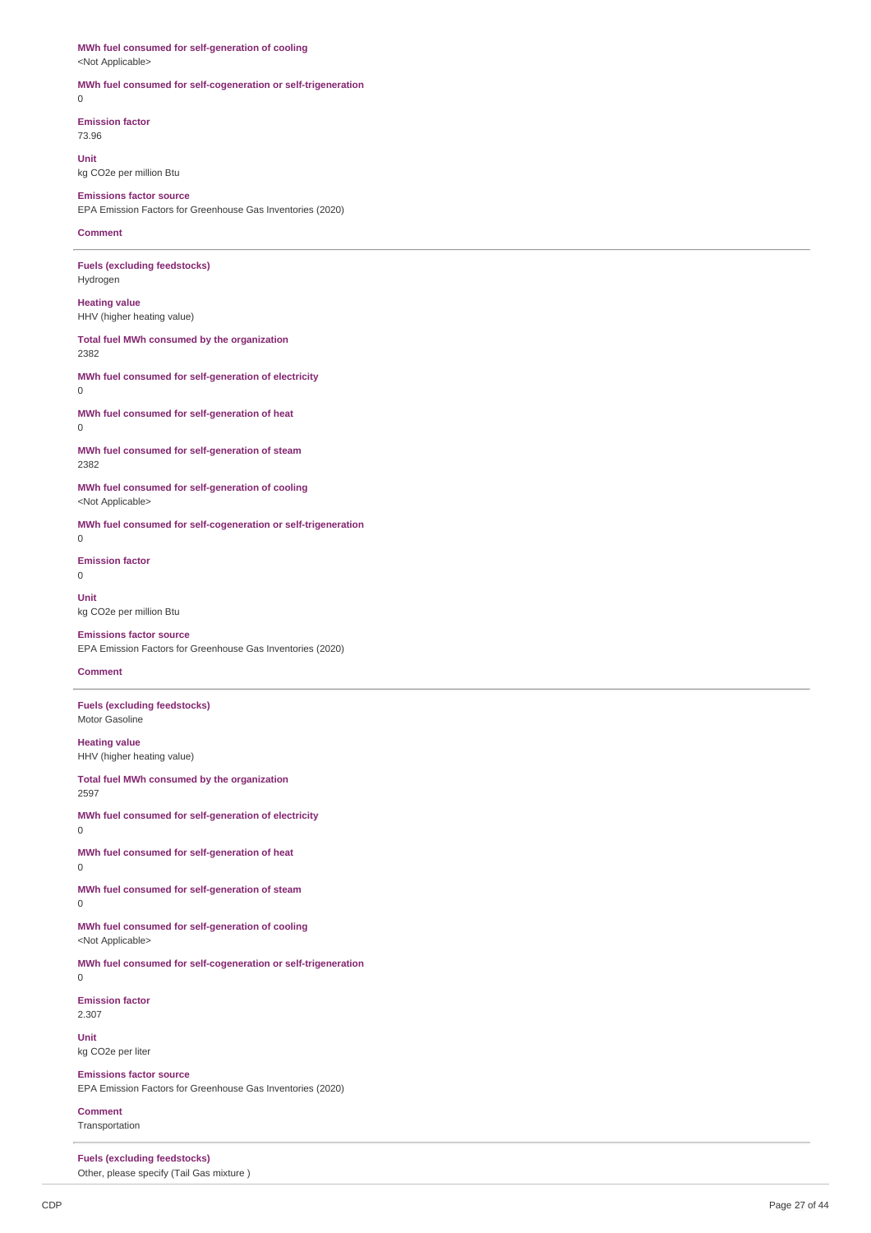# **MWh fuel consumed for self-generation of cooling**

<Not Applicable>

### **MWh fuel consumed for self-cogeneration or self-trigeneration**

 $\theta$ 

**Emission factor** 73.96

**Unit**

# kg CO2e per million Btu

**Emissions factor source** EPA Emission Factors for Greenhouse Gas Inventories (2020)

#### **Comment**

**Fuels (excluding feedstocks)** Hydrogen

**Heating value** HHV (higher heating value)

**Total fuel MWh consumed by the organization** 2382

### **MWh fuel consumed for self-generation of electricity** 0

**MWh fuel consumed for self-generation of heat** 0

**MWh fuel consumed for self-generation of steam** 2382

**MWh fuel consumed for self-generation of cooling** <Not Applicable>

**MWh fuel consumed for self-cogeneration or self-trigeneration** 0

**Emission factor** 0

**Unit** kg CO2e per million Btu

### **Emissions factor source**

EPA Emission Factors for Greenhouse Gas Inventories (2020)

### **Comment**

**Fuels (excluding feedstocks)** Motor Gasoline

**Heating value** HHV (higher heating value)

**Total fuel MWh consumed by the organization** 2597

**MWh fuel consumed for self-generation of electricity**

0

**MWh fuel consumed for self-generation of heat**  $\Omega$ 

**MWh fuel consumed for self-generation of steam**  $\overline{0}$ 

### **MWh fuel consumed for self-generation of cooling** <Not Applicable>

**MWh fuel consumed for self-cogeneration or self-trigeneration** 0

**Emission factor** 2.307

**Unit** kg CO2e per liter

**Emissions factor source** EPA Emission Factors for Greenhouse Gas Inventories (2020)

**Comment** Transportation

**Fuels (excluding feedstocks)** Other, please specify (Tail Gas mixture )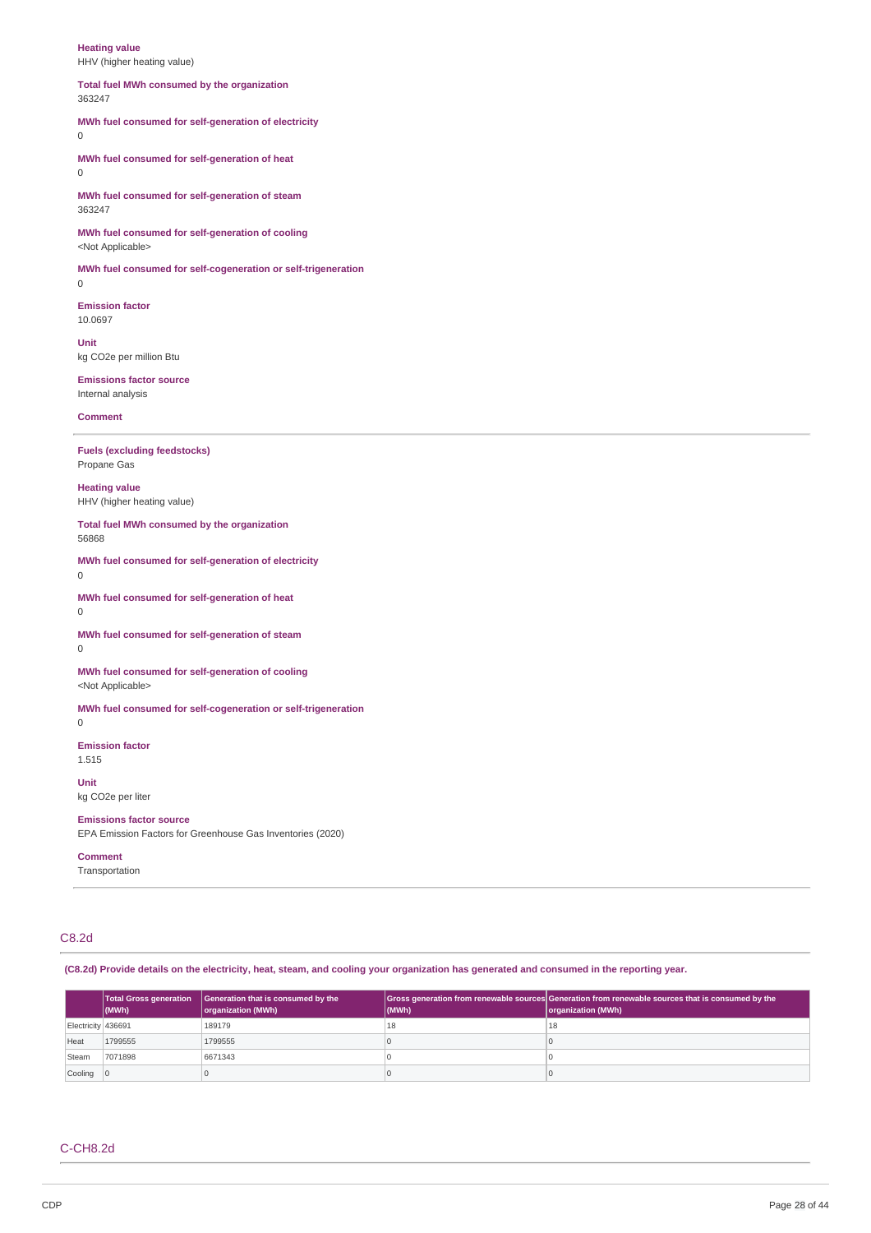**Heating value** HHV (higher heating value)

#### **Total fuel MWh consumed by the organization** 363247

### **MWh fuel consumed for self-generation of electricity** 0

**MWh fuel consumed for self-generation of heat** 0

**MWh fuel consumed for self-generation of steam** 363247

**MWh fuel consumed for self-generation of cooling** <Not Applicable>

**MWh fuel consumed for self-cogeneration or self-trigeneration** 0

**Emission factor** 10.0697

**Unit** kg CO2e per million Btu

**Emissions factor source** Internal analysis

### **Comment**

**Fuels (excluding feedstocks)** Propane Gas

**Heating value** HHV (higher heating value)

**Total fuel MWh consumed by the organization** 56868

**MWh fuel consumed for self-generation of electricity**

0

**MWh fuel consumed for self-generation of heat** 0

**MWh fuel consumed for self-generation of steam** 0

**MWh fuel consumed for self-generation of cooling** <Not Applicable>

**MWh fuel consumed for self-cogeneration or self-trigeneration**

0

**Emission factor** 1.515

**Unit** kg CO2e per liter

**Emissions factor source** EPA Emission Factors for Greenhouse Gas Inventories (2020)

### **Comment**

Transportation

# C8.2d

(C8.2d) Provide details on the electricity, heat, steam, and cooling your organization has generated and consumed in the reporting year.

|                    | $ $ (MWh) | Total Gross generation   Generation that is consumed by the<br>organization (MWh) | (MWh) | Gross generation from renewable sources Generation from renewable sources that is consumed by the<br>organization (MWh) |
|--------------------|-----------|-----------------------------------------------------------------------------------|-------|-------------------------------------------------------------------------------------------------------------------------|
| Electricity 436691 |           | 189179                                                                            | 18    | 18                                                                                                                      |
| Heat               | 1799555   | 1799555                                                                           |       |                                                                                                                         |
| Steam              | 7071898   | 6671343                                                                           |       |                                                                                                                         |
| Cooling            |           |                                                                                   |       |                                                                                                                         |

# C-CH8.2d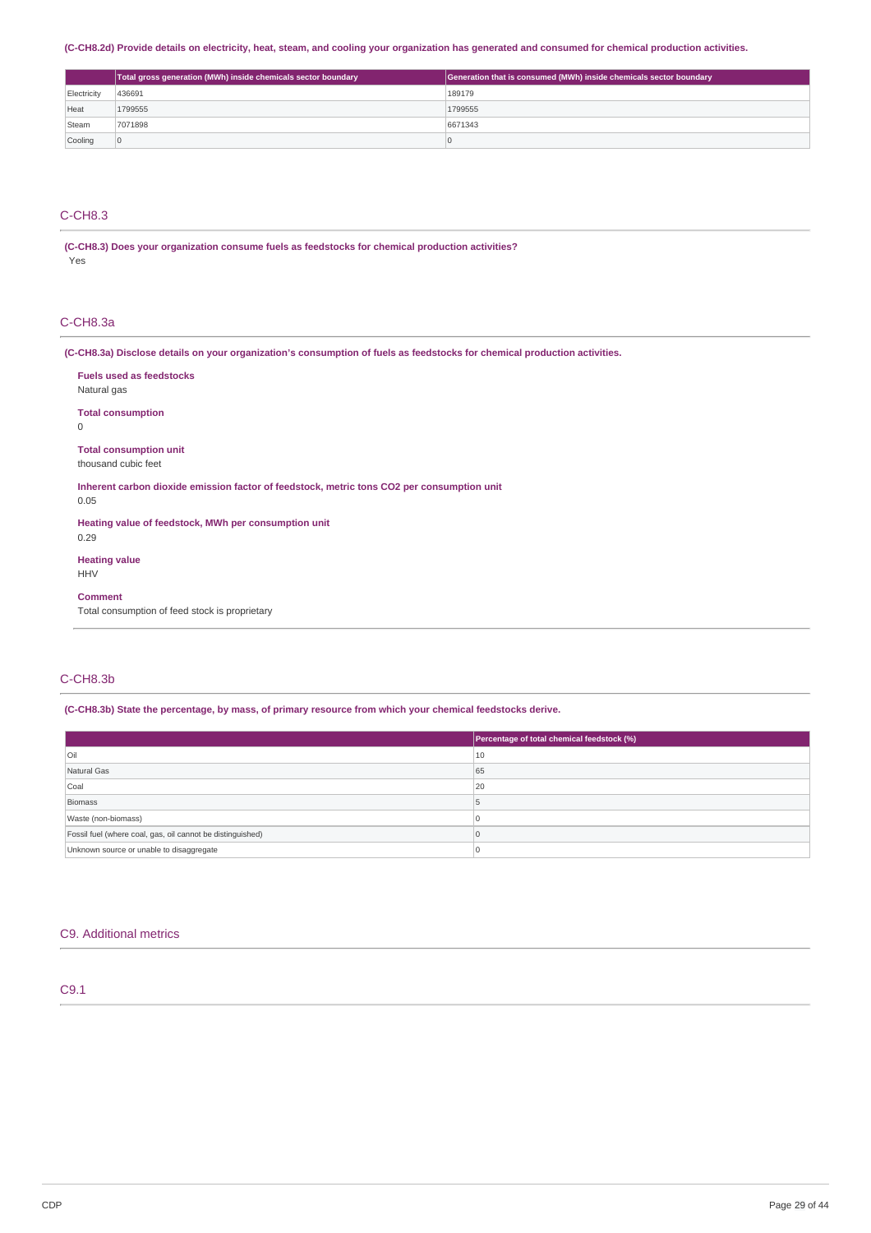(C-CH8.2d) Provide details on electricity, heat, steam, and cooling your organization has generated and consumed for chemical production activities.

|             | Total gross generation (MWh) inside chemicals sector boundary | Generation that is consumed (MWh) inside chemicals sector boundary |
|-------------|---------------------------------------------------------------|--------------------------------------------------------------------|
| Electricity | 436691                                                        | 189179                                                             |
| Heat        | 1799555                                                       | 1799555                                                            |
| Steam       | 7071898                                                       | 6671343                                                            |
| Cooling     | 10                                                            | ш                                                                  |

# C-CH8.3

### **(C-CH8.3) Does your organization consume fuels as feedstocks for chemical production activities?** Yes

### C-CH8.3a

(C-CH8.3a) Disclose details on your organization's consumption of fuels as feedstocks for chemical production activities.

| <b>Fuels used as feedstocks</b>                                                            |
|--------------------------------------------------------------------------------------------|
| Natural gas                                                                                |
| <b>Total consumption</b>                                                                   |
| 0                                                                                          |
| <b>Total consumption unit</b>                                                              |
| thousand cubic feet                                                                        |
| Inherent carbon dioxide emission factor of feedstock, metric tons CO2 per consumption unit |
| 0.05                                                                                       |
| Heating value of feedstock, MWh per consumption unit                                       |
| 0.29                                                                                       |
| <b>Heating value</b>                                                                       |
| <b>HHV</b>                                                                                 |
| <b>Comment</b>                                                                             |
| Total consumption of feed stock is proprietary                                             |
|                                                                                            |

### C-CH8.3b

### **(C-CH8.3b) State the percentage, by mass, of primary resource from which your chemical feedstocks derive.**

|                                                            | Percentage of total chemical feedstock (%) |
|------------------------------------------------------------|--------------------------------------------|
| Oil                                                        | 10                                         |
| Natural Gas                                                | 65                                         |
| Coal                                                       | 20                                         |
| Biomass                                                    |                                            |
| Waste (non-biomass)                                        |                                            |
| Fossil fuel (where coal, gas, oil cannot be distinguished) |                                            |
| Unknown source or unable to disaggregate                   |                                            |

### C9. Additional metrics

# C9.1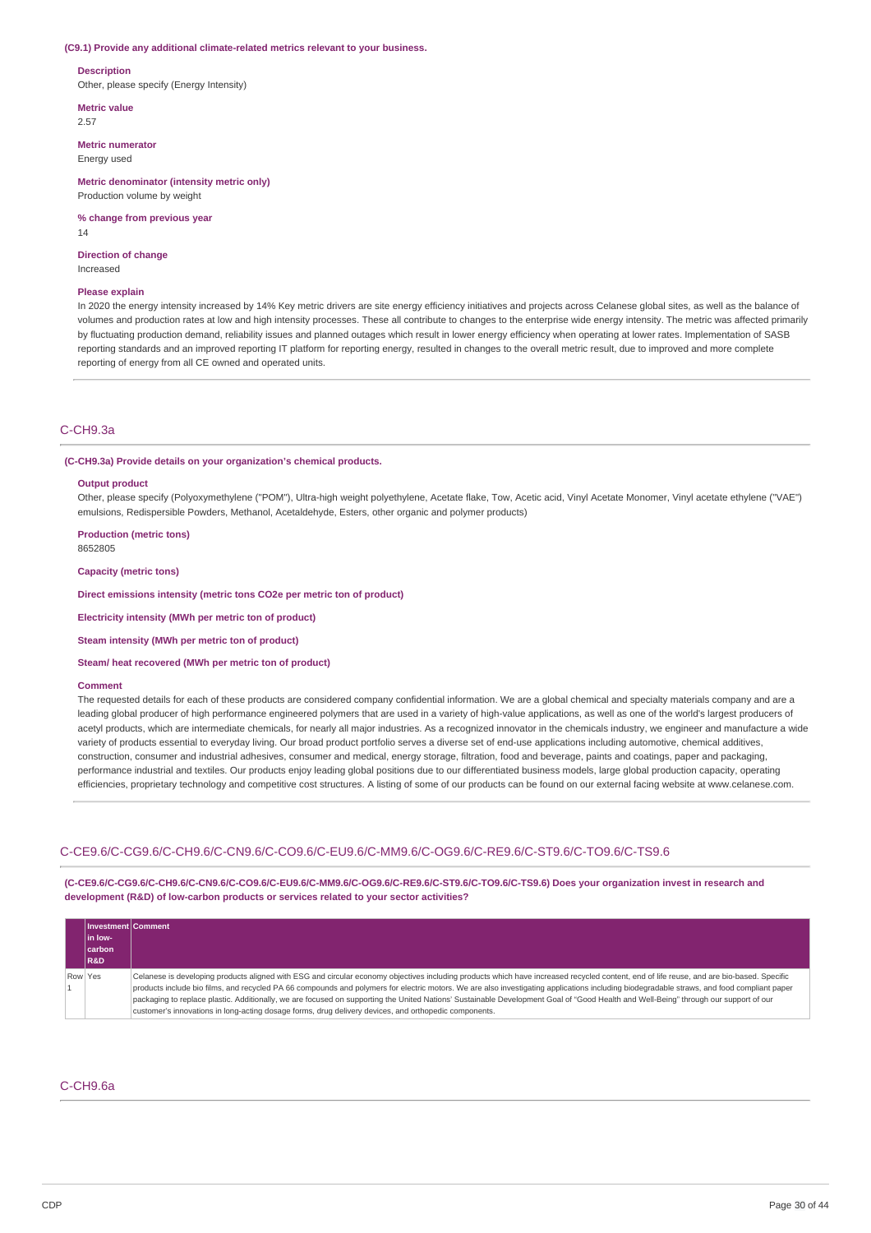#### **(C9.1) Provide any additional climate-related metrics relevant to your business.**

#### **Description**

Other, please specify (Energy Intensity)

**Metric value** 2.57

#### **Metric numerator**

Energy used

#### **Metric denominator (intensity metric only)** Production volume by weight

**% change from previous year**

14

#### **Direction of change** Increased

#### **Please explain**

In 2020 the energy intensity increased by 14% Key metric drivers are site energy efficiency initiatives and projects across Celanese global sites, as well as the balance of volumes and production rates at low and high intensity processes. These all contribute to changes to the enterprise wide energy intensity. The metric was affected primarily by fluctuating production demand, reliability issues and planned outages which result in lower energy efficiency when operating at lower rates. Implementation of SASB reporting standards and an improved reporting IT platform for reporting energy, resulted in changes to the overall metric result, due to improved and more complete reporting of energy from all CE owned and operated units.

### C-CH9.3a

#### **(C-CH9.3a) Provide details on your organization's chemical products.**

#### **Output product**

Other, please specify (Polyoxymethylene ("POM"), Ultra-high weight polyethylene, Acetate flake, Tow, Acetic acid, Vinyl Acetate Monomer, Vinyl acetate ethylene ("VAE") emulsions, Redispersible Powders, Methanol, Acetaldehyde, Esters, other organic and polymer products)

**Production (metric tons)** 8652805

**Capacity (metric tons)**

**Direct emissions intensity (metric tons CO2e per metric ton of product)**

**Electricity intensity (MWh per metric ton of product)**

**Steam intensity (MWh per metric ton of product)**

### **Steam/ heat recovered (MWh per metric ton of product)**

#### **Comment**

The requested details for each of these products are considered company confidential information. We are a global chemical and specialty materials company and are a leading global producer of high performance engineered polymers that are used in a variety of high-value applications, as well as one of the world's largest producers of acetyl products, which are intermediate chemicals, for nearly all major industries. As a recognized innovator in the chemicals industry, we engineer and manufacture a wide variety of products essential to everyday living. Our broad product portfolio serves a diverse set of end-use applications including automotive, chemical additives, construction, consumer and industrial adhesives, consumer and medical, energy storage, filtration, food and beverage, paints and coatings, paper and packaging, performance industrial and textiles. Our products enjoy leading global positions due to our differentiated business models, large global production capacity, operating efficiencies, proprietary technology and competitive cost structures. A listing of some of our products can be found on our external facing website at www.celanese.com.

### C-CE9.6/C-CG9.6/C-CH9.6/C-CN9.6/C-CO9.6/C-EU9.6/C-MM9.6/C-OG9.6/C-RE9.6/C-ST9.6/C-TO9.6/C-TS9.6

**(C-CE9.6/C-CG9.6/C-CH9.6/C-CN9.6/C-CO9.6/C-EU9.6/C-MM9.6/C-OG9.6/C-RE9.6/C-ST9.6/C-TO9.6/C-TS9.6) Does your organization invest in research and development (R&D) of low-carbon products or services related to your sector activities?**

| Investment Comment |                                                                                                                                                                                            |  |  |
|--------------------|--------------------------------------------------------------------------------------------------------------------------------------------------------------------------------------------|--|--|
| l in Iow-          |                                                                                                                                                                                            |  |  |
| carbon             |                                                                                                                                                                                            |  |  |
| <b>R&amp;D</b>     |                                                                                                                                                                                            |  |  |
| Row Yes            | Celanese is developing products aligned with ESG and circular economy objectives including products which have increased recycled content, end of life reuse, and are bio-based. Specific  |  |  |
|                    | products include bio films, and recycled PA 66 compounds and polymers for electric motors. We are also investigating applications including biodegradable straws, and food compliant paper |  |  |
|                    | packaging to replace plastic. Additionally, we are focused on supporting the United Nations' Sustainable Development Goal of "Good Health and Well-Being" through our support of our       |  |  |
|                    | customer's innovations in long-acting dosage forms, drug delivery devices, and orthopedic components.                                                                                      |  |  |

### C-CH9.6a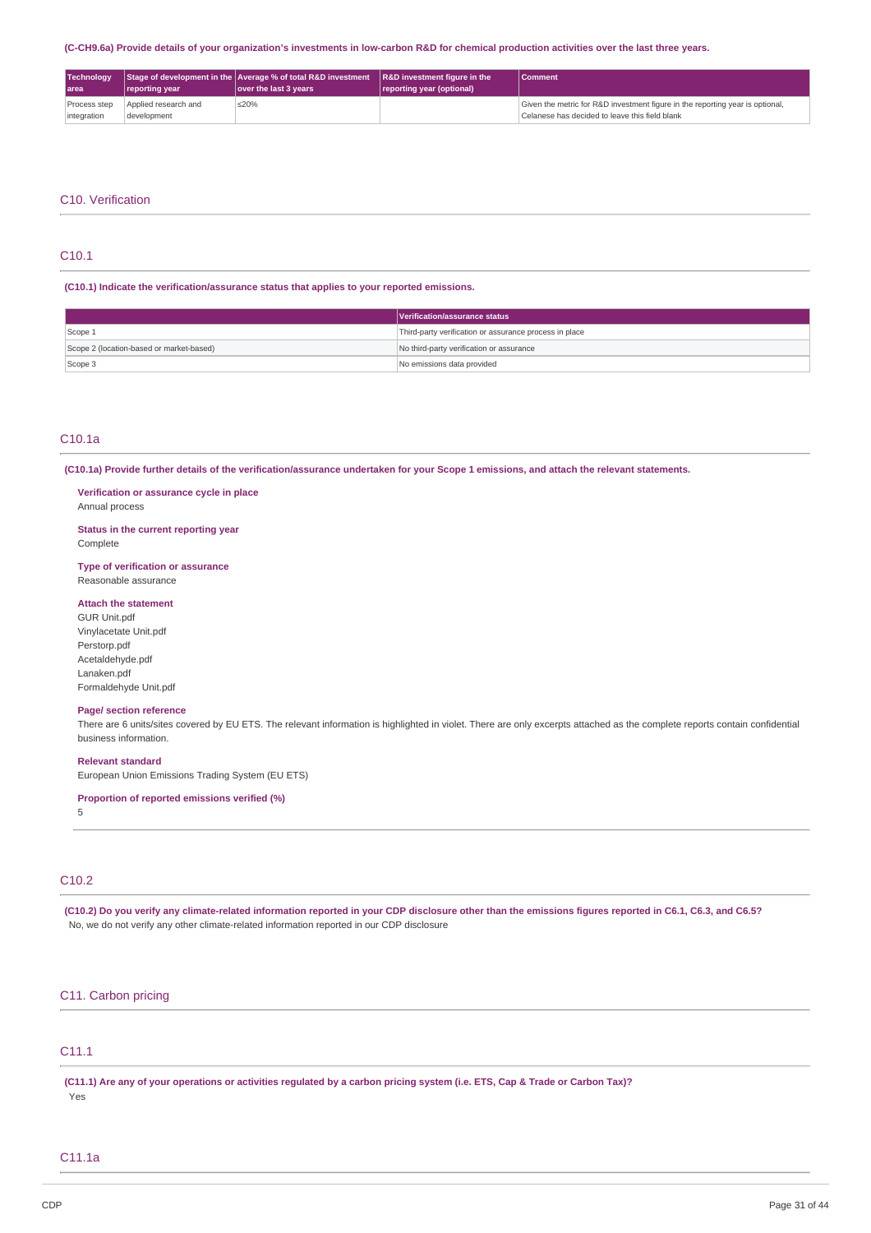#### (C-CH9.6a) Provide details of your organization's investments in low-carbon R&D for chemical production activities over the last three years.

| Technology<br>l area        | reporting year                      | Stage of development in the $\vert$ Average % of total R&D investment $\vert$ R&D investment figure in the<br>lover the last 3 years | reporting year (optional) | Comment                                                                                                                         |
|-----------------------------|-------------------------------------|--------------------------------------------------------------------------------------------------------------------------------------|---------------------------|---------------------------------------------------------------------------------------------------------------------------------|
| Process step<br>integration | Applied research and<br>development | ≤20%                                                                                                                                 |                           | Given the metric for R&D investment figure in the reporting year is optional,<br>Celanese has decided to leave this field blank |

### C10. Verification

## C10.1

**(C10.1) Indicate the verification/assurance status that applies to your reported emissions.**

|                                          | Verification/assurance status                          |  |
|------------------------------------------|--------------------------------------------------------|--|
| Scope 1                                  | Third-party verification or assurance process in place |  |
| Scope 2 (location-based or market-based) | No third-party verification or assurance               |  |
| Scope 3                                  | No emissions data provided                             |  |

### C10.1a

(C10.1a) Provide further details of the verification/assurance undertaken for your Scope 1 emissions, and attach the relevant statements.

#### **Verification or assurance cycle in place** Annual process

**Status in the current reporting year** Complete

**Type of verification or assurance** Reasonable assurance

### **Attach the statement**

GUR Unit.pdf Vinylacetate Unit.pdf Perstorp.pdf Acetaldehyde.pdf Lanaken.pdf Formaldehyde Unit.pdf

### **Page/ section reference**

There are 6 units/sites covered by EU ETS. The relevant information is highlighted in violet. There are only excerpts attached as the complete reports contain confidential business information.

### **Relevant standard**

European Union Emissions Trading System (EU ETS)

**Proportion of reported emissions verified (%)**

5

# C10.2

(C10.2) Do you verify any climate-related information reported in your CDP disclosure other than the emissions figures reported in C6.1, C6.3, and C6.5? No, we do not verify any other climate-related information reported in our CDP disclosure

### C11. Carbon pricing

# C11.1

(C11.1) Are any of your operations or activities regulated by a carbon pricing system (i.e. ETS, Cap & Trade or Carbon Tax)? Yes

### C11.1a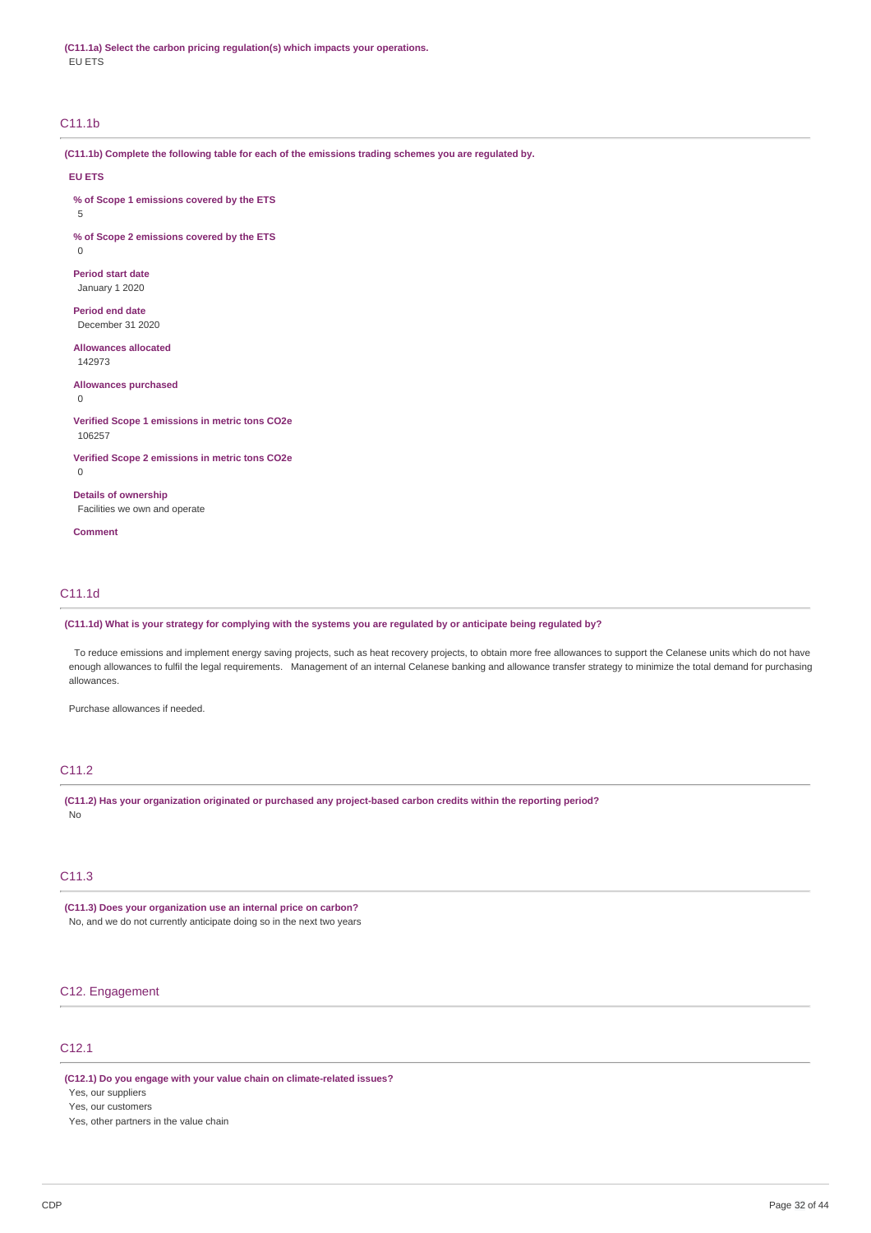**(C11.1a) Select the carbon pricing regulation(s) which impacts your operations.** EU ETS

### C11.1b

**(C11.1b) Complete the following table for each of the emissions trading schemes you are regulated by.**

#### **EU ETS**

**% of Scope 1 emissions covered by the ETS**

5

0

**% of Scope 2 emissions covered by the ETS**

# **Period start date**

January 1 2020

**Period end date** December 31 2020

# **Allowances allocated**

142973

#### **Allowances purchased** 0

#### **Verified Scope 1 emissions in metric tons CO2e** 106257

**Verified Scope 2 emissions in metric tons CO2e**

### 0

**Details of ownership** Facilities we own and operate

**Comment**

### C11.1d

### (C11.1d) What is your strategy for complying with the systems you are regulated by or anticipate being regulated by?

To reduce emissions and implement energy saving projects, such as heat recovery projects, to obtain more free allowances to support the Celanese units which do not have enough allowances to fulfil the legal requirements. Management of an internal Celanese banking and allowance transfer strategy to minimize the total demand for purchasing allowances.

Purchase allowances if needed.

### C11.2

**(C11.2) Has your organization originated or purchased any project-based carbon credits within the reporting period?** No

# C11.3

**(C11.3) Does your organization use an internal price on carbon?** No, and we do not currently anticipate doing so in the next two years

# C12. Engagement

# C12.1

**(C12.1) Do you engage with your value chain on climate-related issues?**

Yes, our suppliers

Yes, our customers

Yes, other partners in the value chain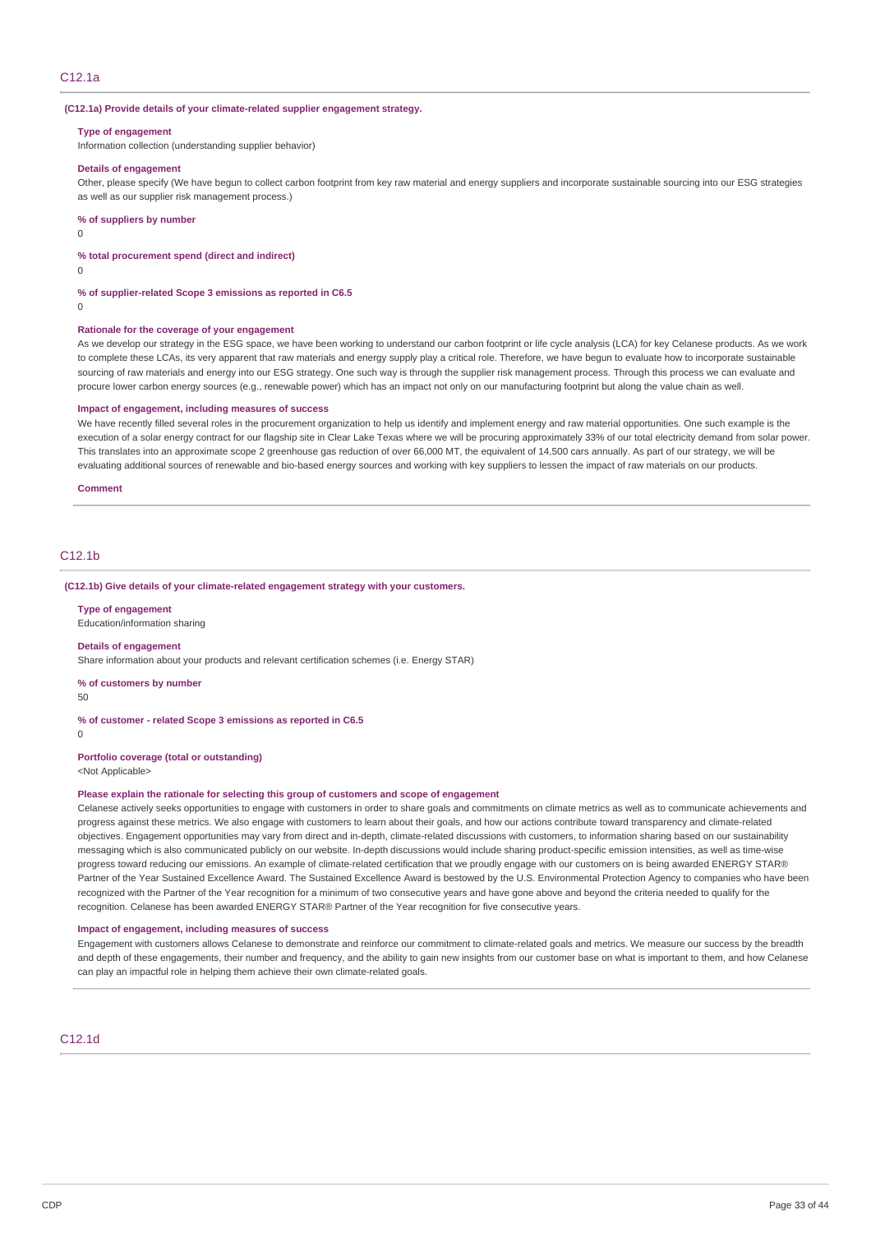### **(C12.1a) Provide details of your climate-related supplier engagement strategy.**

#### **Type of engagement**

Information collection (understanding supplier behavior)

### **Details of engagement**

Other, please specify (We have begun to collect carbon footprint from key raw material and energy suppliers and incorporate sustainable sourcing into our ESG strategies as well as our supplier risk management process.)

#### **% of suppliers by number**

0

#### **% total procurement spend (direct and indirect)**

 $\Omega$ 

#### **% of supplier-related Scope 3 emissions as reported in C6.5**

 $\Omega$ 

#### **Rationale for the coverage of your engagement**

As we develop our strategy in the ESG space, we have been working to understand our carbon footprint or life cycle analysis (LCA) for key Celanese products. As we work to complete these LCAs, its very apparent that raw materials and energy supply play a critical role. Therefore, we have begun to evaluate how to incorporate sustainable sourcing of raw materials and energy into our ESG strategy. One such way is through the supplier risk management process. Through this process we can evaluate and procure lower carbon energy sources (e.g., renewable power) which has an impact not only on our manufacturing footprint but along the value chain as well.

#### **Impact of engagement, including measures of success**

We have recently filled several roles in the procurement organization to help us identify and implement energy and raw material opportunities. One such example is the execution of a solar energy contract for our flagship site in Clear Lake Texas where we will be procuring approximately 33% of our total electricity demand from solar power. This translates into an approximate scope 2 greenhouse gas reduction of over 66,000 MT, the equivalent of 14,500 cars annually. As part of our strategy, we will be evaluating additional sources of renewable and bio-based energy sources and working with key suppliers to lessen the impact of raw materials on our products.

#### **Comment**

### C<sub>12</sub>.1<sub>b</sub>

#### **(C12.1b) Give details of your climate-related engagement strategy with your customers.**

#### **Type of engagement**

Education/information sharing

#### **Details of engagement**

Share information about your products and relevant certification schemes (i.e. Energy STAR)

#### **% of customers by number**

 $50$ 

### **% of customer - related Scope 3 emissions as reported in C6.5**

 $\Omega$ 

# **Portfolio coverage (total or outstanding)**

<Not Applicable>

### **Please explain the rationale for selecting this group of customers and scope of engagement**

Celanese actively seeks opportunities to engage with customers in order to share goals and commitments on climate metrics as well as to communicate achievements and progress against these metrics. We also engage with customers to learn about their goals, and how our actions contribute toward transparency and climate-related objectives. Engagement opportunities may vary from direct and in-depth, climate-related discussions with customers, to information sharing based on our sustainability messaging which is also communicated publicly on our website. In-depth discussions would include sharing product-specific emission intensities, as well as time-wise progress toward reducing our emissions. An example of climate-related certification that we proudly engage with our customers on is being awarded ENERGY STAR® Partner of the Year Sustained Excellence Award. The Sustained Excellence Award is bestowed by the U.S. Environmental Protection Agency to companies who have been recognized with the Partner of the Year recognition for a minimum of two consecutive years and have gone above and beyond the criteria needed to qualify for the recognition. Celanese has been awarded ENERGY STAR® Partner of the Year recognition for five consecutive years.

#### **Impact of engagement, including measures of success**

Engagement with customers allows Celanese to demonstrate and reinforce our commitment to climate-related goals and metrics. We measure our success by the breadth and depth of these engagements, their number and frequency, and the ability to gain new insights from our customer base on what is important to them, and how Celanese can play an impactful role in helping them achieve their own climate-related goals.

# C12.1d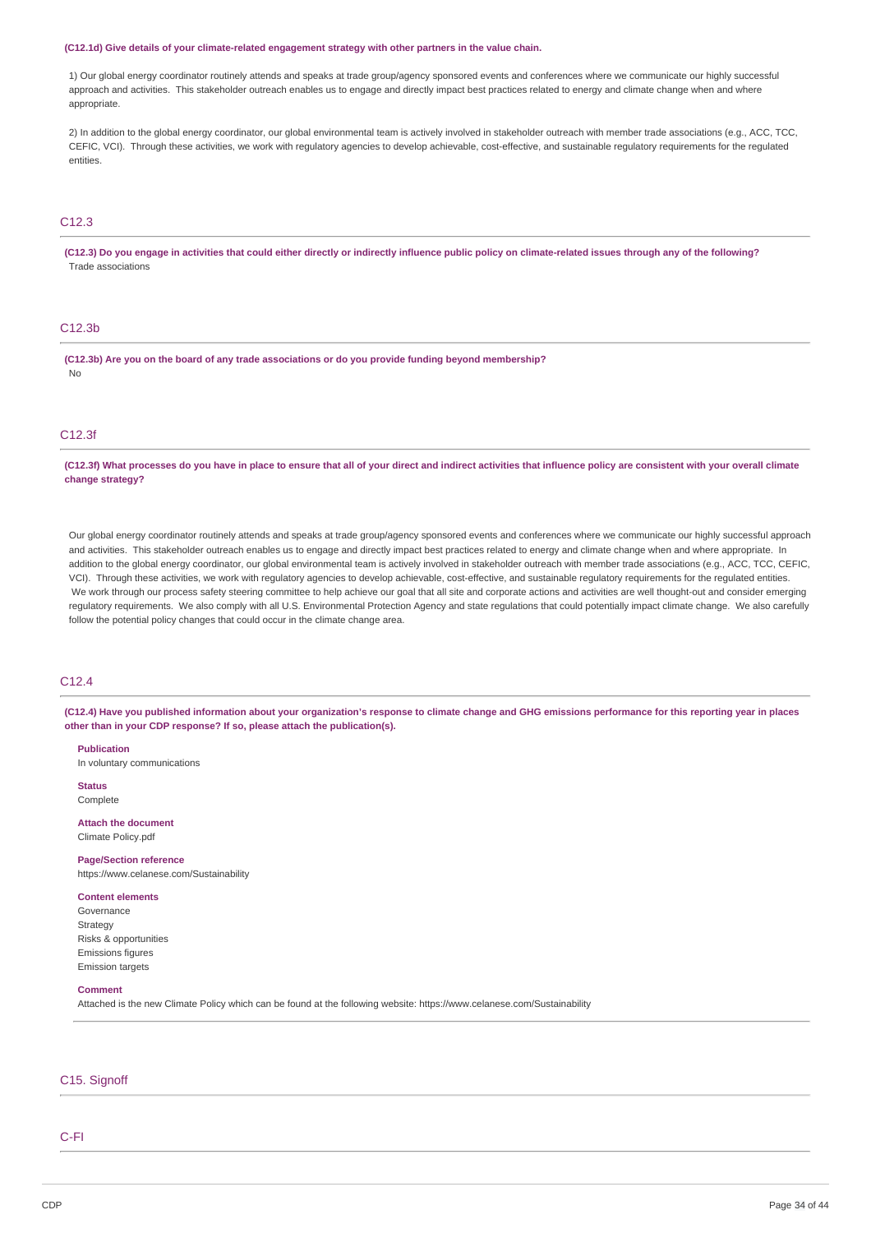#### **(C12.1d) Give details of your climate-related engagement strategy with other partners in the value chain.**

1) Our global energy coordinator routinely attends and speaks at trade group/agency sponsored events and conferences where we communicate our highly successful approach and activities. This stakeholder outreach enables us to engage and directly impact best practices related to energy and climate change when and where appropriate.

2) In addition to the global energy coordinator, our global environmental team is actively involved in stakeholder outreach with member trade associations (e.g., ACC, TCC, CEFIC, VCI). Through these activities, we work with regulatory agencies to develop achievable, cost-effective, and sustainable regulatory requirements for the regulated entities.

# C12.3

(C12.3) Do you engage in activities that could either directly or indirectly influence public policy on climate-related issues through any of the following? Trade associations

### C12.3b

**(C12.3b) Are you on the board of any trade associations or do you provide funding beyond membership?** No

### C12.3f

(C12.3f) What processes do you have in place to ensure that all of your direct and indirect activities that influence policy are consistent with your overall climate **change strategy?**

Our global energy coordinator routinely attends and speaks at trade group/agency sponsored events and conferences where we communicate our highly successful approach and activities. This stakeholder outreach enables us to engage and directly impact best practices related to energy and climate change when and where appropriate. In addition to the global energy coordinator, our global environmental team is actively involved in stakeholder outreach with member trade associations (e.g., ACC, TCC, CEFIC, VCI). Through these activities, we work with regulatory agencies to develop achievable, cost-effective, and sustainable regulatory requirements for the regulated entities. We work through our process safety steering committee to help achieve our goal that all site and corporate actions and activities are well thought-out and consider emerging regulatory requirements. We also comply with all U.S. Environmental Protection Agency and state regulations that could potentially impact climate change. We also carefully follow the potential policy changes that could occur in the climate change area.

### C12.4

(C12.4) Have you published information about your organization's response to climate change and GHG emissions performance for this reporting year in places **other than in your CDP response? If so, please attach the publication(s).**

**Publication** In voluntary communications

**Status** Complete

**Attach the document** Climate Policy.pdf

**Page/Section reference**

https://www.celanese.com/Sustainability

#### **Content elements**

Governance Strategy Risks & opportunities Emissions figures Emission targets

#### **Comment**

Attached is the new Climate Policy which can be found at the following website: https://www.celanese.com/Sustainability

### C15. Signoff

# C-FI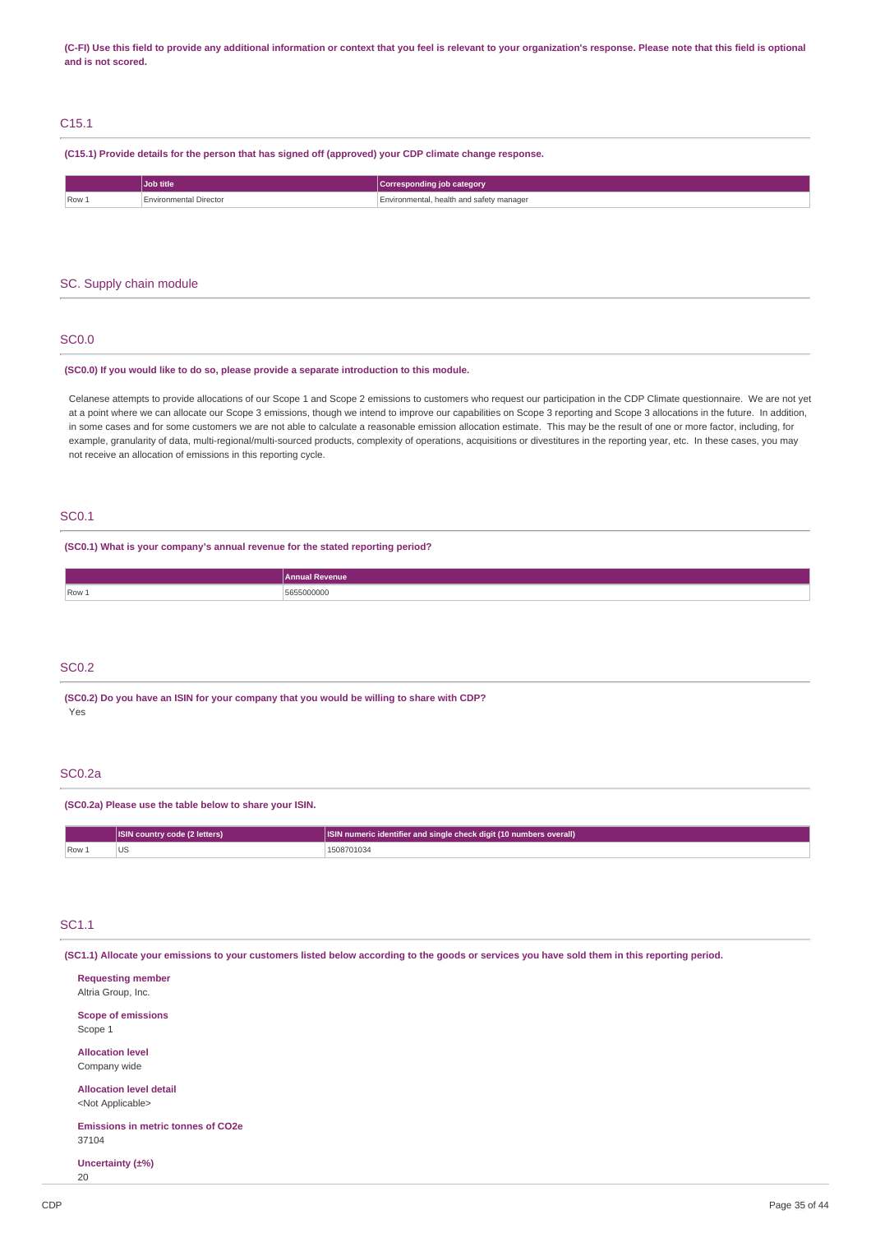(C-FI) Use this field to provide any additional information or context that you feel is relevant to your organization's response. Please note that this field is optional **and is not scored.**

# C15.1

**(C15.1) Provide details for the person that has signed off (approved) your CDP climate change response.**

|       | Job title               | Corresponding job category               |
|-------|-------------------------|------------------------------------------|
| Row 1 | nvironmental Directorے. | Environmental, health and safety manager |
| $-$   |                         |                                          |

### SC. Supply chain module

### SC0.0

#### **(SC0.0) If you would like to do so, please provide a separate introduction to this module.**

Celanese attempts to provide allocations of our Scope 1 and Scope 2 emissions to customers who request our participation in the CDP Climate questionnaire. We are not yet at a point where we can allocate our Scope 3 emissions, though we intend to improve our capabilities on Scope 3 reporting and Scope 3 allocations in the future. In addition, in some cases and for some customers we are not able to calculate a reasonable emission allocation estimate. This may be the result of one or more factor, including, for example, granularity of data, multi-regional/multi-sourced products, complexity of operations, acquisitions or divestitures in the reporting year, etc. In these cases, you may not receive an allocation of emissions in this reporting cycle.

### SC0.1

**(SC0.1) What is your company's annual revenue for the stated reporting period?**

|       | renue<br>muar Re      |
|-------|-----------------------|
| Row 1 | 55000000<br>$-6$<br>. |

### SC0.2

**(SC0.2) Do you have an ISIN for your company that you would be willing to share with CDP?** Yes

### SC0.2a

#### **(SC0.2a) Please use the table below to share your ISIN.**

|      | <b>ISIN country code (2 letters)</b> | SIN numeric identifier and single check digit (10 numbers overall) |
|------|--------------------------------------|--------------------------------------------------------------------|
| Row. | US                                   | -08701034                                                          |

### SC1.1

(SC1.1) Allocate your emissions to your customers listed below according to the goods or services you have sold them in this reporting period.

**Requesting member** Altria Group, Inc. **Scope of emissions** Scope 1 **Allocation level** Company wide **Allocation level detail** <Not Applicable> **Emissions in metric tonnes of CO2e** 37104 **Uncertainty (±%)** 20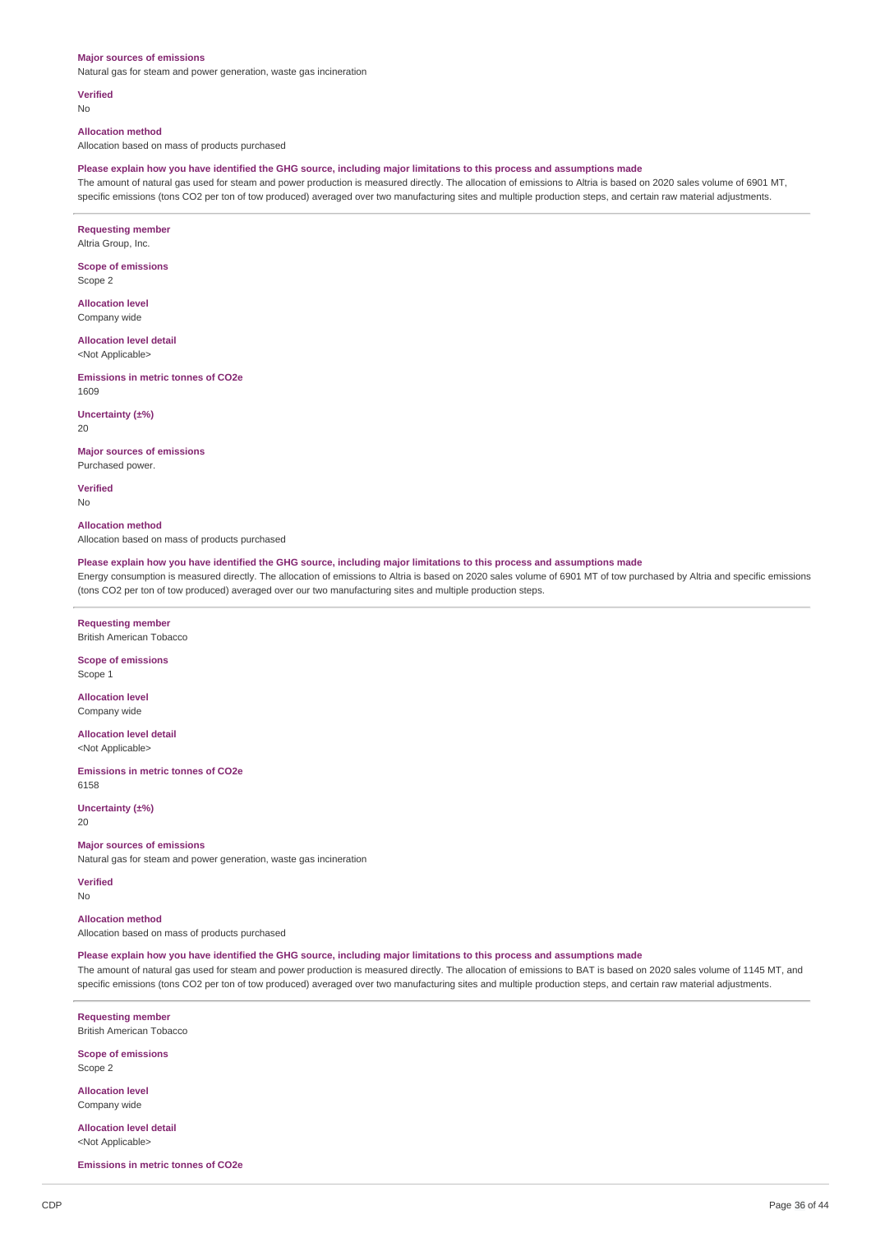#### **Major sources of emissions**

Natural gas for steam and power generation, waste gas incineration

#### **Verified**

No

#### **Allocation method**

Allocation based on mass of products purchased

### Please explain how you have identified the GHG source, including major limitations to this process and assumptions made

The amount of natural gas used for steam and power production is measured directly. The allocation of emissions to Altria is based on 2020 sales volume of 6901 MT, specific emissions (tons CO2 per ton of tow produced) averaged over two manufacturing sites and multiple production steps, and certain raw material adjustments.

**Requesting member** Altria Group, Inc.

**Scope of emissions** Scope 2

**Allocation level** Company wide

**Allocation level detail** <Not Applicable>

**Emissions in metric tonnes of CO2e** 1609

**Uncertainty (±%)** 20

**Major sources of emissions** Purchased power.

**Verified** No

**Allocation method** Allocation based on mass of products purchased

Please explain how you have identified the GHG source, including major limitations to this process and assumptions made

Energy consumption is measured directly. The allocation of emissions to Altria is based on 2020 sales volume of 6901 MT of tow purchased by Altria and specific emissions (tons CO2 per ton of tow produced) averaged over our two manufacturing sites and multiple production steps.

**Requesting member** British American Tobacco

**Scope of emissions** Scope 1

**Allocation level** Company wide

**Allocation level detail** <Not Applicable>

**Emissions in metric tonnes of CO2e** 6158

**Uncertainty (±%)** 20

**Major sources of emissions**

Natural gas for steam and power generation, waste gas incineration

**Verified** No

**Allocation method**

Allocation based on mass of products purchased

Please explain how you have identified the GHG source, including major limitations to this process and assumptions made

The amount of natural gas used for steam and power production is measured directly. The allocation of emissions to BAT is based on 2020 sales volume of 1145 MT, and specific emissions (tons CO2 per ton of tow produced) averaged over two manufacturing sites and multiple production steps, and certain raw material adjustments.

**Requesting member** British American Tobacco

**Scope of emissions**

Scope 2

**Allocation level** Company wide

**Allocation level detail** <Not Applicable>

**Emissions in metric tonnes of CO2e**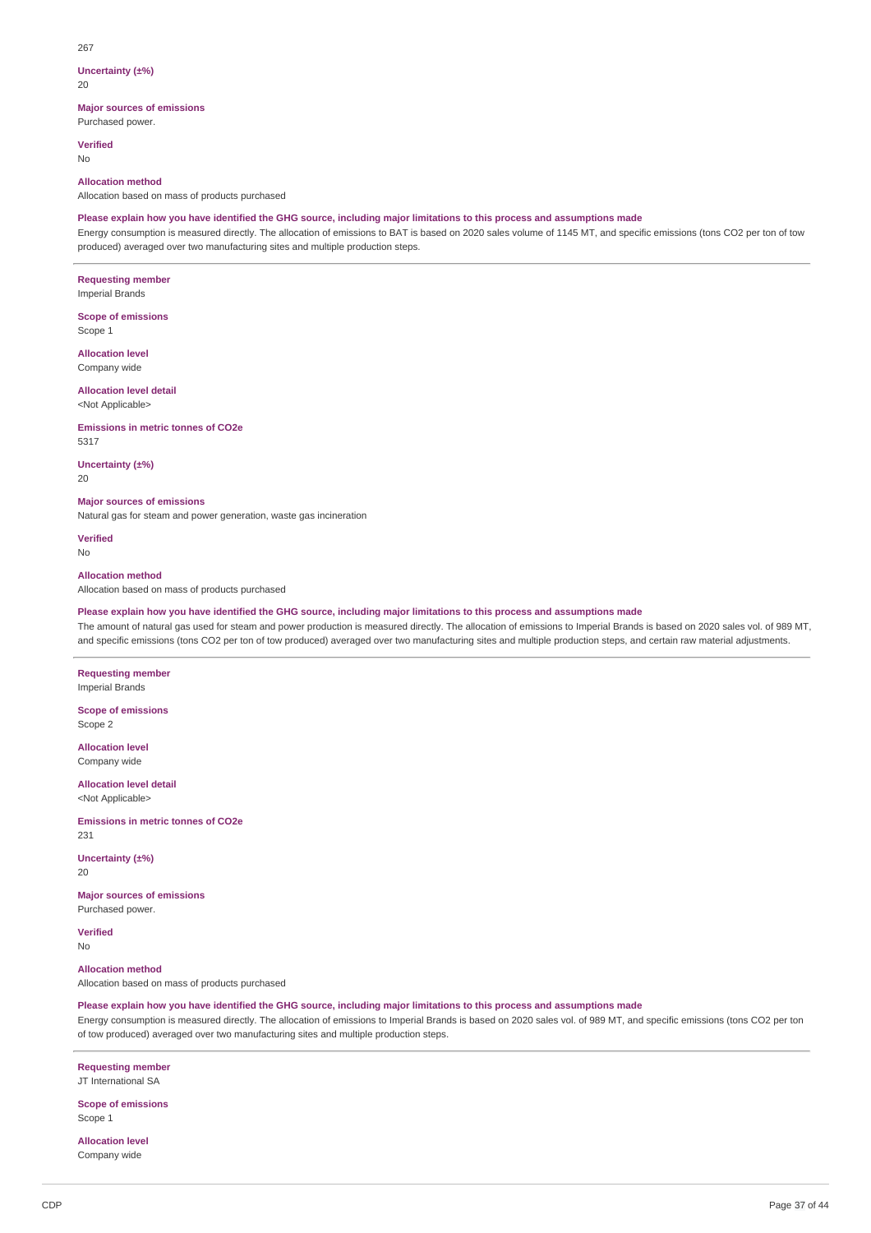#### 267

### **Uncertainty (±%)**

 $20$ 

### **Major sources of emissions**

Purchased power.

**Verified**

No

### **Allocation method**

Allocation based on mass of products purchased

### Please explain how you have identified the GHG source, including major limitations to this process and assumptions made

Energy consumption is measured directly. The allocation of emissions to BAT is based on 2020 sales volume of 1145 MT, and specific emissions (tons CO2 per ton of tow produced) averaged over two manufacturing sites and multiple production steps.

**Requesting member** Imperial Brands

**Scope of emissions** Scope 1

**Allocation level** Company wide

#### **Allocation level detail** <Not Applicable>

**Emissions in metric tonnes of CO2e** 5317

**Uncertainty (±%)** 20

**Major sources of emissions**

Natural gas for steam and power generation, waste gas incineration

**Verified** No

### **Allocation method**

Allocation based on mass of products purchased

# Please explain how you have identified the GHG source, including major limitations to this process and assumptions made

The amount of natural gas used for steam and power production is measured directly. The allocation of emissions to Imperial Brands is based on 2020 sales vol. of 989 MT, and specific emissions (tons CO2 per ton of tow produced) averaged over two manufacturing sites and multiple production steps, and certain raw material adjustments.

**Requesting member** Imperial Brands

**Scope of emissions** Scope 2

**Allocation level** Company wide

**Allocation level detail** <Not Applicable>

**Emissions in metric tonnes of CO2e** 231

**Uncertainty (±%)** 20

**Major sources of emissions** Purchased power.

**Verified** No

**Allocation method** Allocation based on mass of products purchased

Please explain how you have identified the GHG source, including major limitations to this process and assumptions made

Energy consumption is measured directly. The allocation of emissions to Imperial Brands is based on 2020 sales vol. of 989 MT, and specific emissions (tons CO2 per ton of tow produced) averaged over two manufacturing sites and multiple production steps.

**Requesting member** JT International SA

**Scope of emissions** Scope 1

**Allocation level** Company wide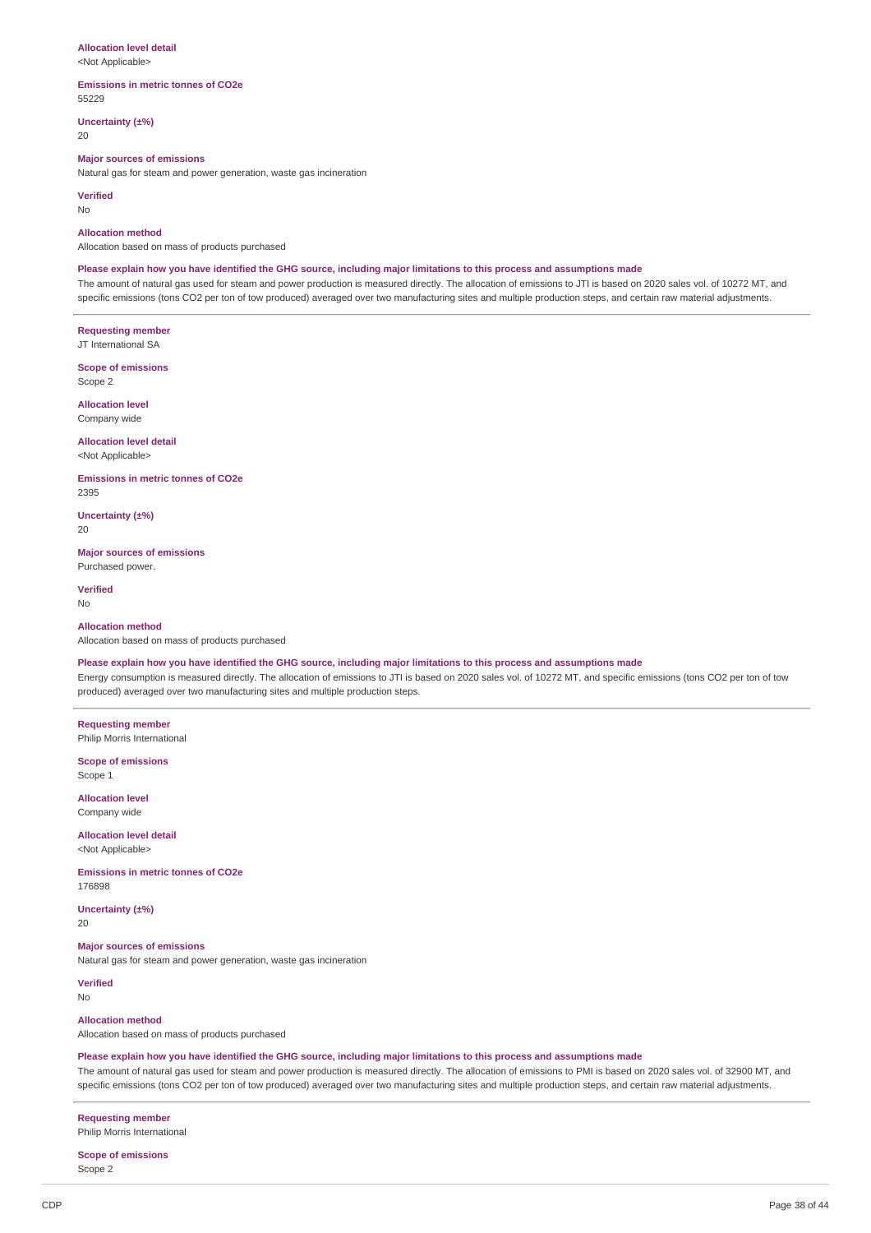#### **Allocation level detail**

<Not Applicable>

#### **Emissions in metric tonnes of CO2e** 55229

**Uncertainty (±%)**

20

### **Major sources of emissions**

Natural gas for steam and power generation, waste gas incineration

#### **Verified**

No

#### **Allocation method**

Allocation based on mass of products purchased

#### Please explain how you have identified the GHG source, including major limitations to this process and assumptions made

The amount of natural gas used for steam and power production is measured directly. The allocation of emissions to JTI is based on 2020 sales vol. of 10272 MT, and specific emissions (tons CO2 per ton of tow produced) averaged over two manufacturing sites and multiple production steps, and certain raw material adjustments.

**Requesting member** JT International SA

**Scope of emissions** Scope 2

**Allocation level** Company wide

**Allocation level detail** <Not Applicable>

**Emissions in metric tonnes of CO2e** 2395

**Uncertainty (±%)** 20

**Major sources of emissions** Purchased power.

**Verified** No

#### **Allocation method**

Allocation based on mass of products purchased

### Please explain how you have identified the GHG source, including major limitations to this process and assumptions made

Energy consumption is measured directly. The allocation of emissions to JTI is based on 2020 sales vol. of 10272 MT, and specific emissions (tons CO2 per ton of tow produced) averaged over two manufacturing sites and multiple production steps.

**Requesting member** Philip Morris International

**Scope of emissions**

Scope 1

**Allocation level** Company wide

**Allocation level detail** <Not Applicable>

**Emissions in metric tonnes of CO2e** 176898

**Uncertainty (±%)**  $20$ 

#### **Major sources of emissions**

Natural gas for steam and power generation, waste gas incineration

**Verified** No

#### **Allocation method**

Allocation based on mass of products purchased

#### Please explain how you have identified the GHG source, including major limitations to this process and assumptions made

The amount of natural gas used for steam and power production is measured directly. The allocation of emissions to PMI is based on 2020 sales vol. of 32900 MT, and specific emissions (tons CO2 per ton of tow produced) averaged over two manufacturing sites and multiple production steps, and certain raw material adjustments.

**Requesting member** Philip Morris International

**Scope of emissions** Scope 2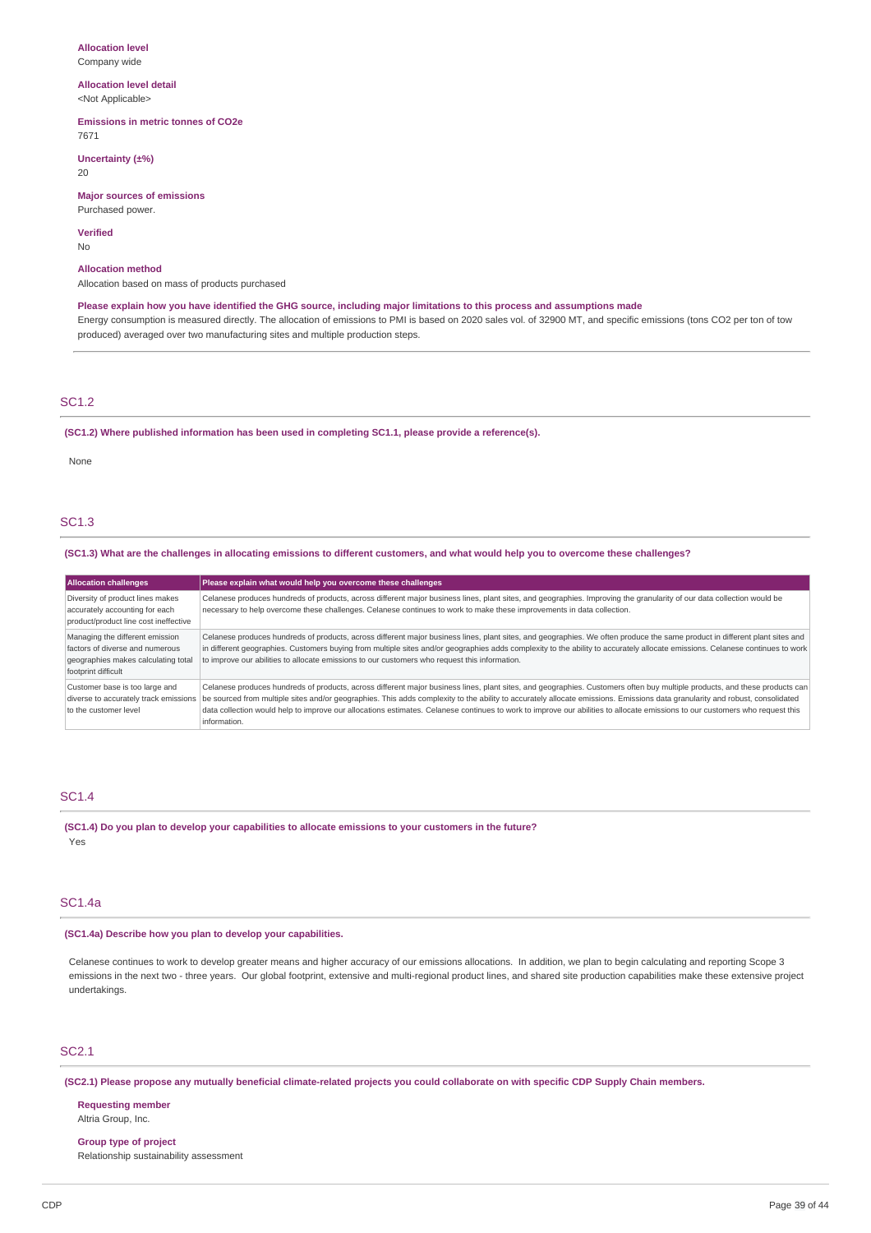# **Allocation level**

Company wide

#### **Allocation level detail** <Not Applicable>

### **Emissions in metric tonnes of CO2e**

7671

### **Uncertainty (±%)**

20

### **Major sources of emissions**

Purchased power.

### **Verified**

No

# **Allocation method**

Allocation based on mass of products purchased

Please explain how you have identified the GHG source, including major limitations to this process and assumptions made Energy consumption is measured directly. The allocation of emissions to PMI is based on 2020 sales vol. of 32900 MT, and specific emissions (tons CO2 per ton of tow produced) averaged over two manufacturing sites and multiple production steps.

### SC1.2

#### **(SC1.2) Where published information has been used in completing SC1.1, please provide a reference(s).**

None

# SC1.3

### (SC1.3) What are the challenges in allocating emissions to different customers, and what would help you to overcome these challenges?

| <b>Allocation challenges</b>                                                                                                     | Please explain what would help you overcome these challenges                                                                                                                                                                                                                                                                                                                                                                                                                                                                                                                                     |
|----------------------------------------------------------------------------------------------------------------------------------|--------------------------------------------------------------------------------------------------------------------------------------------------------------------------------------------------------------------------------------------------------------------------------------------------------------------------------------------------------------------------------------------------------------------------------------------------------------------------------------------------------------------------------------------------------------------------------------------------|
| Diversity of product lines makes<br>accurately accounting for each<br>product/product line cost ineffective                      | Celanese produces hundreds of products, across different major business lines, plant sites, and geographies. Improving the granularity of our data collection would be<br>necessary to help overcome these challenges. Celanese continues to work to make these improvements in data collection.                                                                                                                                                                                                                                                                                                 |
| Managing the different emission<br>factors of diverse and numerous<br>geographies makes calculating total<br>footprint difficult | Celanese produces hundreds of products, across different major business lines, plant sites, and geographies. We often produce the same product in different plant sites and<br>in different geographies. Customers buying from multiple sites and/or geographies adds complexity to the ability to accurately allocate emissions. Celanese continues to work<br>to improve our abilities to allocate emissions to our customers who request this information.                                                                                                                                    |
| Customer base is too large and<br>to the customer level                                                                          | Celanese produces hundreds of products, across different major business lines, plant sites, and geographies. Customers often buy multiple products, and these products can<br>diverse to accurately track emissions be sourced from multiple sites and/or geographies. This adds complexity to the ability to accurately allocate emissions. Emissions data granularity and robust, consolidated<br>data collection would help to improve our allocations estimates. Celanese continues to work to improve our abilities to allocate emissions to our customers who request this<br>information. |

#### SC1.4

**(SC1.4) Do you plan to develop your capabilities to allocate emissions to your customers in the future?** Yes

### SC1.4a

### **(SC1.4a) Describe how you plan to develop your capabilities.**

Celanese continues to work to develop greater means and higher accuracy of our emissions allocations. In addition, we plan to begin calculating and reporting Scope 3 emissions in the next two - three years. Our global footprint, extensive and multi-regional product lines, and shared site production capabilities make these extensive project undertakings.

### SC2.1

(SC2.1) Please propose any mutually beneficial climate-related projects you could collaborate on with specific CDP Supply Chain members.

**Requesting member** Altria Group, Inc.

**Group type of project** Relationship sustainability assessment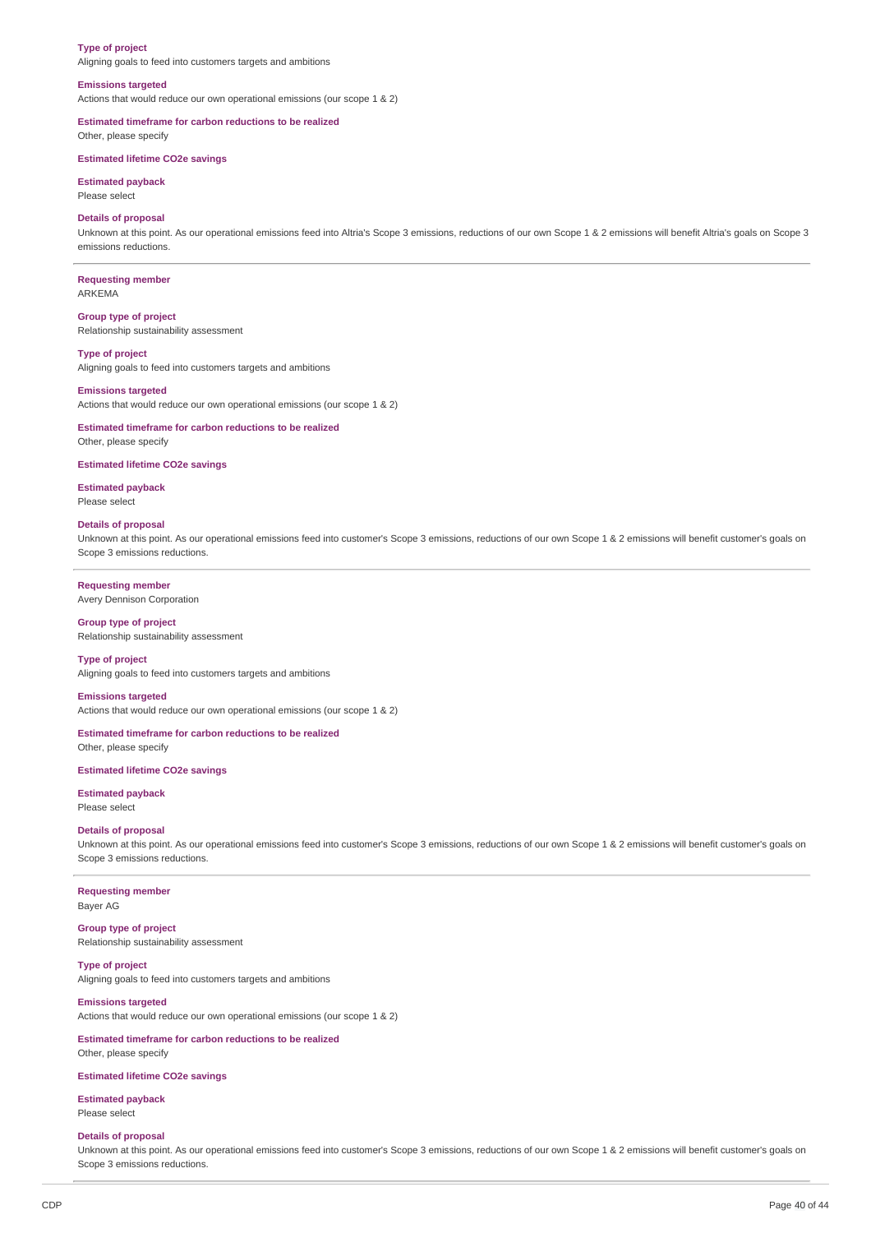#### **Type of project**

Aligning goals to feed into customers targets and ambitions

#### **Emissions targeted**

Actions that would reduce our own operational emissions (our scope 1 & 2)

**Estimated timeframe for carbon reductions to be realized** Other, please specify

### **Estimated lifetime CO2e savings**

**Estimated payback** Please select

#### **Details of proposal**

Unknown at this point. As our operational emissions feed into Altria's Scope 3 emissions, reductions of our own Scope 1 & 2 emissions will benefit Altria's goals on Scope 3 emissions reductions.

**Requesting member** ARKEMA

**Group type of project**

Relationship sustainability assessment

**Type of project** Aligning goals to feed into customers targets and ambitions

#### **Emissions targeted**

Actions that would reduce our own operational emissions (our scope 1 & 2)

**Estimated timeframe for carbon reductions to be realized** Other, please specify

#### **Estimated lifetime CO2e savings**

**Estimated payback** Please select

#### **Details of proposal**

Unknown at this point. As our operational emissions feed into customer's Scope 3 emissions, reductions of our own Scope 1 & 2 emissions will benefit customer's goals on Scope 3 emissions reductions.

#### **Requesting member**

Avery Dennison Corporation

**Group type of project** Relationship sustainability assessment

**Type of project** Aligning goals to feed into customers targets and ambitions

### **Emissions targeted**

Actions that would reduce our own operational emissions (our scope 1 & 2)

**Estimated timeframe for carbon reductions to be realized** Other, please specify

#### **Estimated lifetime CO2e savings**

**Estimated payback** Please select

### **Details of proposal**

Unknown at this point. As our operational emissions feed into customer's Scope 3 emissions, reductions of our own Scope 1 & 2 emissions will benefit customer's goals on Scope 3 emissions reductions.

### **Requesting member**

Bayer AG

**Group type of project** Relationship sustainability assessment

#### **Type of project**

Aligning goals to feed into customers targets and ambitions

### **Emissions targeted**

Actions that would reduce our own operational emissions (our scope 1 & 2)

### **Estimated timeframe for carbon reductions to be realized** Other, please specify

**Estimated lifetime CO2e savings**

# **Estimated payback**

Please select

#### **Details of proposal**

Unknown at this point. As our operational emissions feed into customer's Scope 3 emissions, reductions of our own Scope 1 & 2 emissions will benefit customer's goals on Scope 3 emissions reductions.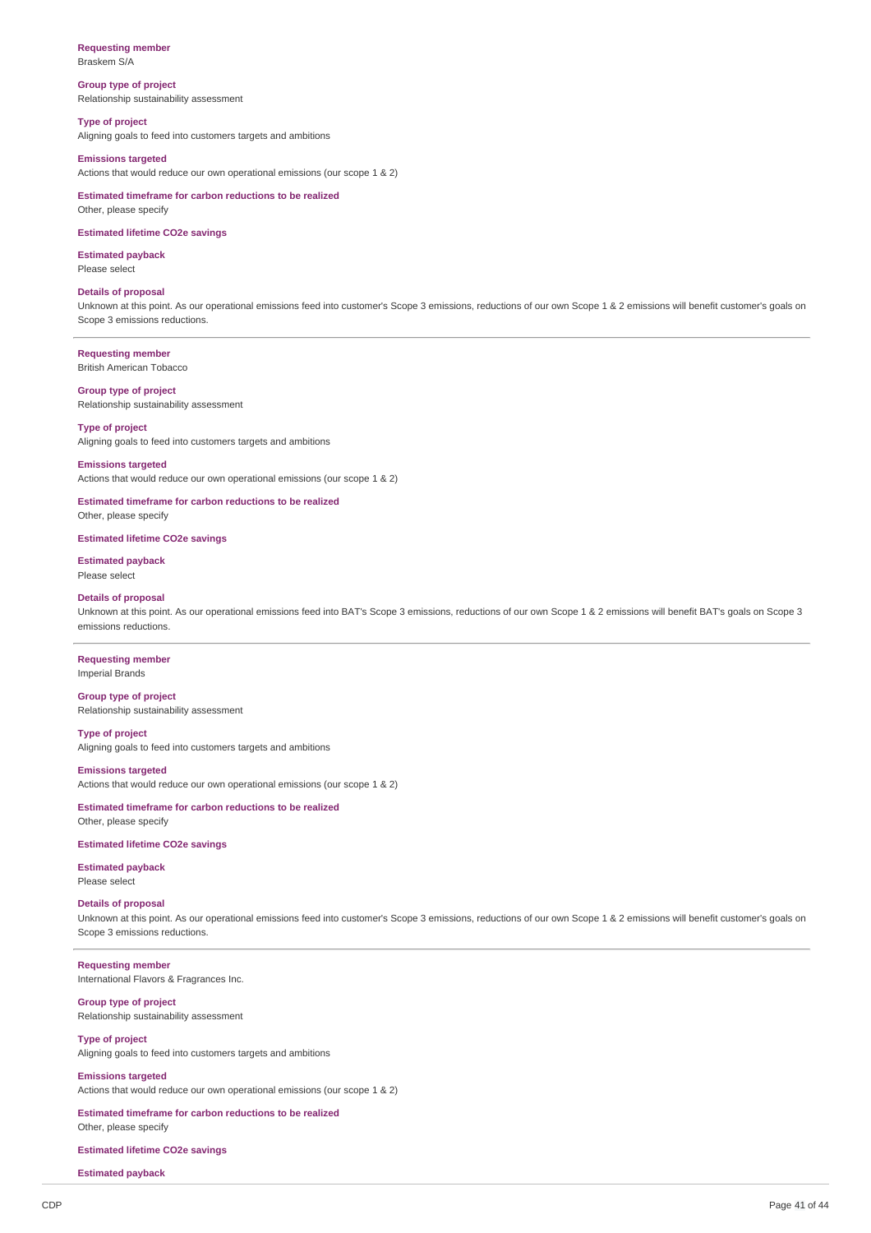#### **Requesting member** Braskem S/A

**Group type of project** Relationship sustainability assessment

**Type of project**

Aligning goals to feed into customers targets and ambitions

### **Emissions targeted**

Actions that would reduce our own operational emissions (our scope 1 & 2)

**Estimated timeframe for carbon reductions to be realized** Other, please specify

### **Estimated lifetime CO2e savings**

**Estimated payback** Please select

#### **Details of proposal**

Unknown at this point. As our operational emissions feed into customer's Scope 3 emissions, reductions of our own Scope 1 & 2 emissions will benefit customer's goals on Scope 3 emissions reductions.

### **Requesting member**

British American Tobacco

### **Group type of project**

Relationship sustainability assessment

# **Type of project**

Aligning goals to feed into customers targets and ambitions

### **Emissions targeted**

Actions that would reduce our own operational emissions (our scope 1 & 2)

# **Estimated timeframe for carbon reductions to be realized**

Other, please specify

### **Estimated lifetime CO2e savings**

**Estimated payback** Please select

#### **Details of proposal**

Unknown at this point. As our operational emissions feed into BAT's Scope 3 emissions, reductions of our own Scope 1 & 2 emissions will benefit BAT's goals on Scope 3 emissions reductions.

#### **Requesting member**

Imperial Brands

#### **Group type of project** Relationship sustainability assessment

**Type of project** Aligning goals to feed into customers targets and ambitions

#### **Emissions targeted**

Actions that would reduce our own operational emissions (our scope 1 & 2)

### **Estimated timeframe for carbon reductions to be realized** Other, please specify

### **Estimated lifetime CO2e savings**

**Estimated payback**

Please select

#### **Details of proposal**

Unknown at this point. As our operational emissions feed into customer's Scope 3 emissions, reductions of our own Scope 1 & 2 emissions will benefit customer's goals on Scope 3 emissions reductions.

#### **Requesting member**

International Flavors & Fragrances Inc.

### **Group type of project** Relationship sustainability assessment

### **Type of project** Aligning goals to feed into customers targets and ambitions

#### **Emissions targeted**

Actions that would reduce our own operational emissions (our scope 1 & 2)

### **Estimated timeframe for carbon reductions to be realized** Other, please specify

**Estimated lifetime CO2e savings**

#### **Estimated payback**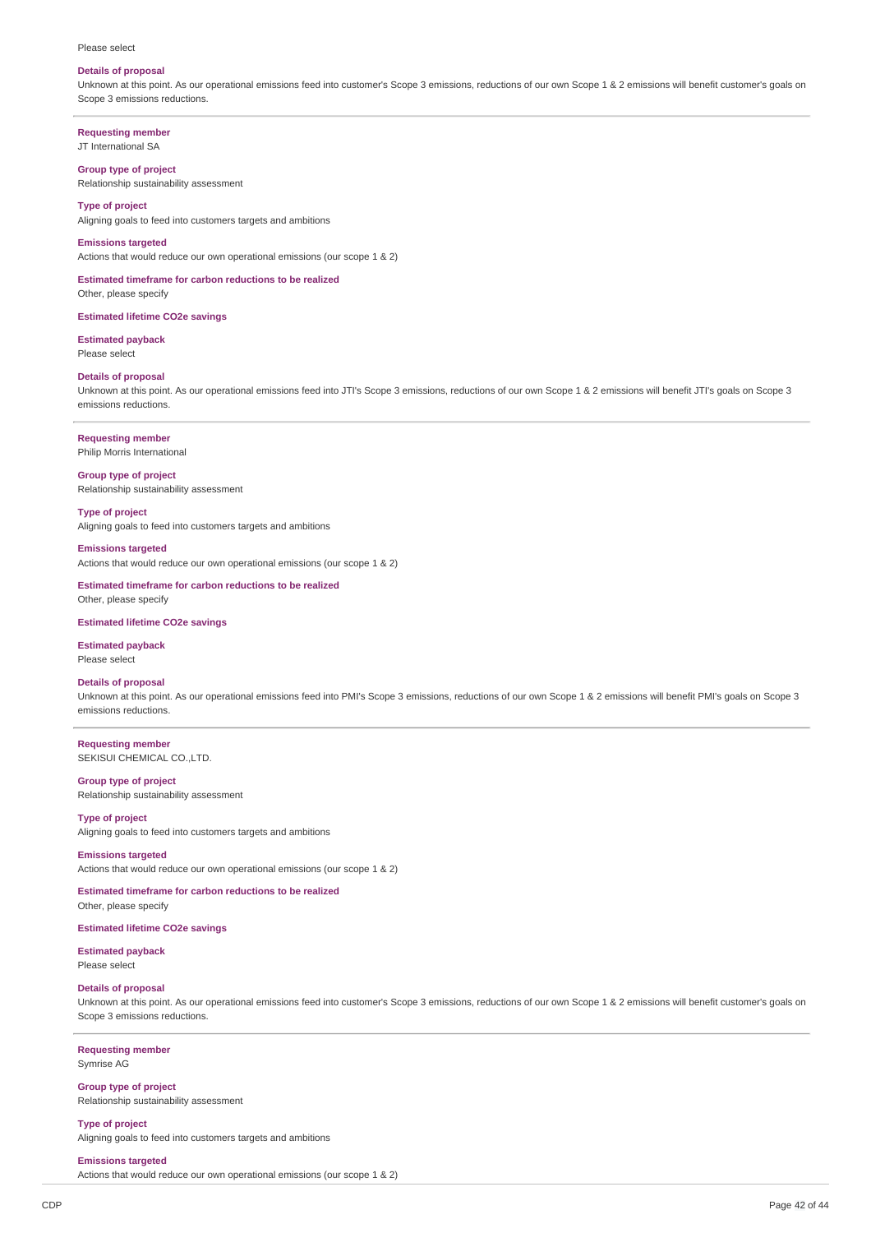#### Please select

#### **Details of proposal**

Unknown at this point. As our operational emissions feed into customer's Scope 3 emissions, reductions of our own Scope 1 & 2 emissions will benefit customer's goals on Scope 3 emissions reductions.

**Requesting member** JT International SA

### **Group type of project**

Relationship sustainability assessment

### **Type of project**

Aligning goals to feed into customers targets and ambitions

#### **Emissions targeted**

Actions that would reduce our own operational emissions (our scope 1 & 2)

**Estimated timeframe for carbon reductions to be realized** Other, please specify

**Estimated lifetime CO2e savings**

**Estimated payback** Please select

#### **Details of proposal**

Unknown at this point. As our operational emissions feed into JTI's Scope 3 emissions, reductions of our own Scope 1 & 2 emissions will benefit JTI's goals on Scope 3 emissions reductions.

#### **Requesting member**

Philip Morris International

**Group type of project** Relationship sustainability assessment

**Type of project** Aligning goals to feed into customers targets and ambitions

#### **Emissions targeted**

Actions that would reduce our own operational emissions (our scope 1 & 2)

**Estimated timeframe for carbon reductions to be realized** Other, please specify

#### **Estimated lifetime CO2e savings**

**Estimated payback**

Please select

### **Details of proposal**

Unknown at this point. As our operational emissions feed into PMI's Scope 3 emissions, reductions of our own Scope 1 & 2 emissions will benefit PMI's goals on Scope 3 emissions reductions.

**Requesting member** SEKISUI CHEMICAL CO.,LTD.

### **Group type of project**

Relationship sustainability assessment

**Type of project** Aligning goals to feed into customers targets and ambitions

#### **Emissions targeted**

Actions that would reduce our own operational emissions (our scope 1 & 2)

**Estimated timeframe for carbon reductions to be realized** Other, please specify

#### **Estimated lifetime CO2e savings**

**Estimated payback** Please select

### **Details of proposal**

Unknown at this point. As our operational emissions feed into customer's Scope 3 emissions, reductions of our own Scope 1 & 2 emissions will benefit customer's goals on Scope 3 emissions reductions.

**Requesting member** Symrise AG

**Group type of project** Relationship sustainability assessment

**Type of project** Aligning goals to feed into customers targets and ambitions

**Emissions targeted**

Actions that would reduce our own operational emissions (our scope 1 & 2)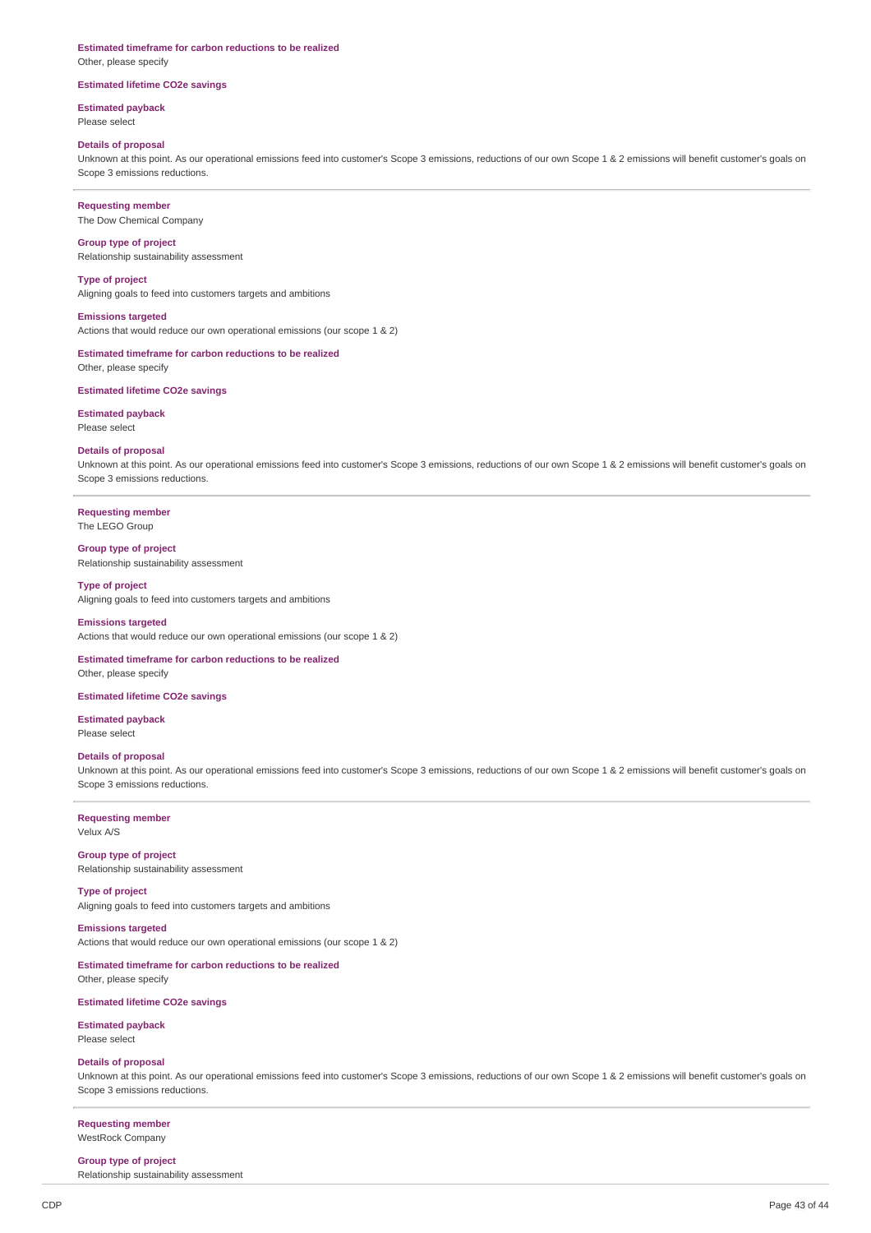### **Estimated timeframe for carbon reductions to be realized**

Other, please specify

### **Estimated lifetime CO2e savings**

# **Estimated payback**

Please select

# **Details of proposal**

Unknown at this point. As our operational emissions feed into customer's Scope 3 emissions, reductions of our own Scope 1 & 2 emissions will benefit customer's goals on Scope 3 emissions reductions.

**Requesting member** The Dow Chemical Company

**Group type of project** Relationship sustainability assessment

**Type of project**

Aligning goals to feed into customers targets and ambitions

**Emissions targeted** Actions that would reduce our own operational emissions (our scope 1 & 2)

**Estimated timeframe for carbon reductions to be realized** Other, please specify

**Estimated lifetime CO2e savings**

# **Estimated payback**

Please select

# **Details of proposal**

Unknown at this point. As our operational emissions feed into customer's Scope 3 emissions, reductions of our own Scope 1 & 2 emissions will benefit customer's goals on Scope 3 emissions reductions.

#### **Requesting member**

The LEGO Group

### **Group type of project**

Relationship sustainability assessment

### **Type of project**

Aligning goals to feed into customers targets and ambitions

### **Emissions targeted**

Actions that would reduce our own operational emissions (our scope 1 & 2)

#### **Estimated timeframe for carbon reductions to be realized**

Other, please specify

### **Estimated lifetime CO2e savings**

**Estimated payback** Please select

#### **Details of proposal**

Unknown at this point. As our operational emissions feed into customer's Scope 3 emissions, reductions of our own Scope 1 & 2 emissions will benefit customer's goals on Scope 3 emissions reductions.

**Requesting member** Velux A/S

**Group type of project** Relationship sustainability assessment

**Type of project** Aligning goals to feed into customers targets and ambitions

**Emissions targeted** Actions that would reduce our own operational emissions (our scope 1 & 2)

### **Estimated timeframe for carbon reductions to be realized**

Other, please specify

### **Estimated lifetime CO2e savings**

**Estimated payback** Please select

#### **Details of proposal**

Unknown at this point. As our operational emissions feed into customer's Scope 3 emissions, reductions of our own Scope 1 & 2 emissions will benefit customer's goals on Scope 3 emissions reductions.

**Requesting member** WestRock Company

#### **Group type of project**

Relationship sustainability assessment